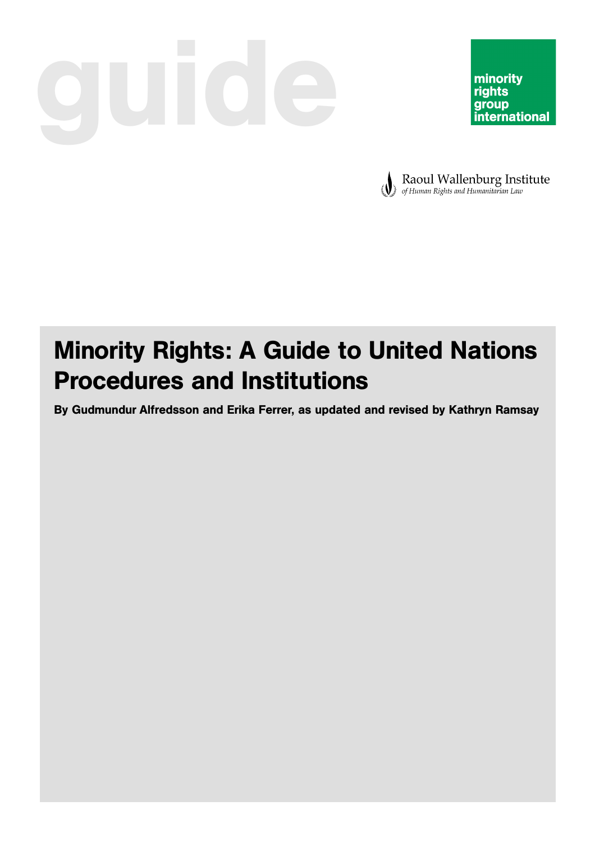# guide

minority rights group<br>international

 $\bigotimes_{\mathcal{I}} \text{Raoul Wallenburg Institute}$ 

# Minority Rights: A Guide to United Nations Procedures and Institutions

By Gudmundur Alfredsson and Erika Ferrer, as updated and revised by Kathryn Ramsay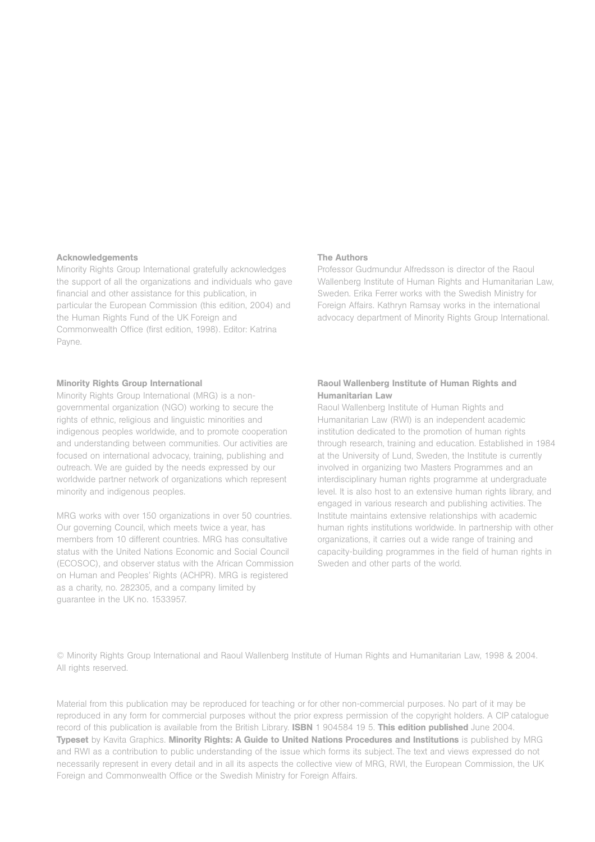#### Acknowledgements

Minority Rights Group International gratefully acknowledges the support of all the organizations and individuals who gave financial and other assistance for this publication, in particular the European Commission (this edition, 2004) and the Human Rights Fund of the UK Foreign and Commonwealth Office (first edition, 1998). Editor: Katrina Payne.

#### Minority Rights Group International

Minority Rights Group International (MRG) is a nongovernmental organization (NGO) working to secure the rights of ethnic, religious and linguistic minorities and indigenous peoples worldwide, and to promote cooperation and understanding between communities. Our activities are focused on international advocacy, training, publishing and outreach. We are guided by the needs expressed by our worldwide partner network of organizations which represent minority and indigenous peoples.

MRG works with over 150 organizations in over 50 countries. Our governing Council, which meets twice a year, has members from 10 different countries. MRG has consultative status with the United Nations Economic and Social Council (ECOSOC), and observer status with the African Commission on Human and Peoples' Rights (ACHPR). MRG is registered as a charity, no. 282305, and a company limited by guarantee in the UK no. 1533957.

#### The Authors

Professor Gudmundur Alfredsson is director of the Raoul Wallenberg Institute of Human Rights and Humanitarian Law, Sweden. Erika Ferrer works with the Swedish Ministry for Foreign Affairs. Kathryn Ramsay works in the international advocacy department of Minority Rights Group International.

#### Raoul Wallenberg Institute of Human Rights and Humanitarian Law

Raoul Wallenberg Institute of Human Rights and Humanitarian Law (RWI) is an independent academic institution dedicated to the promotion of human rights through research, training and education. Established in 1984 at the University of Lund, Sweden, the Institute is currently involved in organizing two Masters Programmes and an interdisciplinary human rights programme at undergraduate level. It is also host to an extensive human rights library, and engaged in various research and publishing activities. The Institute maintains extensive relationships with academic human rights institutions worldwide. In partnership with other organizations, it carries out a wide range of training and capacity-building programmes in the field of human rights in Sweden and other parts of the world.

© Minority Rights Group International and Raoul Wallenberg Institute of Human Rights and Humanitarian Law, 1998 & 2004. All rights reserved.

Material from this publication may be reproduced for teaching or for other non-commercial purposes. No part of it may be reproduced in any form for commercial purposes without the prior express permission of the copyright holders. A CIP catalogue record of this publication is available from the British Library. **ISBN** 1 904584 19 5. This edition published June 2004. Typeset by Kavita Graphics. Minority Rights: A Guide to United Nations Procedures and Institutions is published by MRG and RWI as a contribution to public understanding of the issue which forms its subject. The text and views expressed do not necessarily represent in every detail and in all its aspects the collective view of MRG, RWI, the European Commission, the UK Foreign and Commonwealth Office or the Swedish Ministry for Foreign Affairs.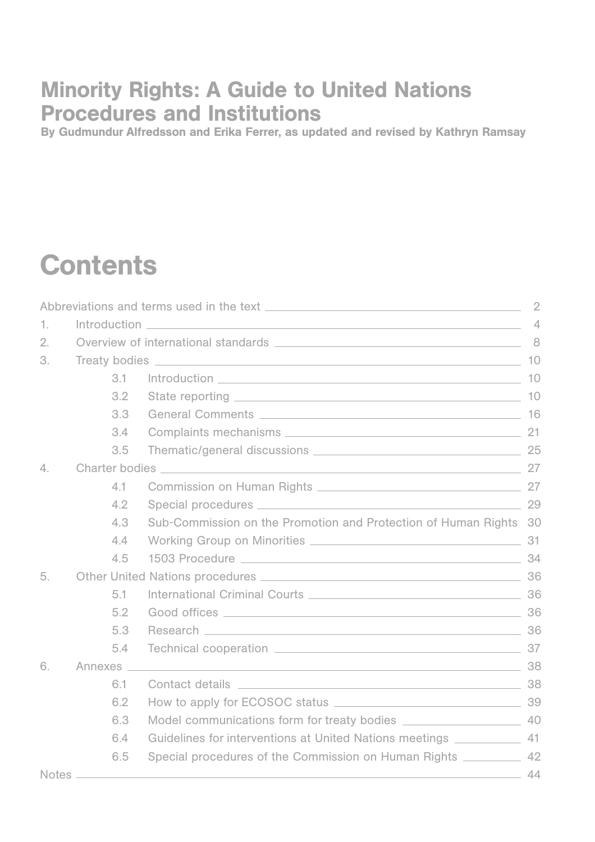# Minority Rights: A Guide to United Nations Procedures and Institutions

By Gudmundur Alfredsson and Erika Ferrer, as updated and revised by Kathryn Ramsay

# **Contents**

|    |                  |                                                                                                                       | $\overline{2}$ |
|----|------------------|-----------------------------------------------------------------------------------------------------------------------|----------------|
| 1. |                  |                                                                                                                       | $\overline{4}$ |
| 2. |                  |                                                                                                                       |                |
| 3. |                  |                                                                                                                       |                |
|    | 3.1              |                                                                                                                       |                |
|    | 3.2              |                                                                                                                       |                |
|    | 3.3              |                                                                                                                       |                |
|    | 3.4              |                                                                                                                       |                |
|    | 3.5              |                                                                                                                       |                |
| 4. |                  |                                                                                                                       |                |
|    | 4.1              |                                                                                                                       |                |
|    | 4.2              | Special procedures 29                                                                                                 |                |
|    | 4.3              | Sub-Commission on the Promotion and Protection of Human Rights 30                                                     |                |
|    | 4.4              |                                                                                                                       |                |
|    | 4.5              |                                                                                                                       |                |
| 5. |                  |                                                                                                                       |                |
|    | 5.1              | International Criminal Courts<br>36                                                                                   |                |
|    | 5.2              |                                                                                                                       |                |
|    | 5.3              |                                                                                                                       |                |
|    | 5.4              |                                                                                                                       |                |
| 6. | <b>Annexes</b>   | <u>28 a de anos de la contrada de la contrada de la contrada de la contrada de la contrada de la contrada de la c</u> |                |
|    | 6.1              |                                                                                                                       |                |
|    | 6.2              |                                                                                                                       |                |
|    | 6.3              |                                                                                                                       |                |
|    | 6.4              | Guidelines for interventions at United Nations meetings _____________ 41                                              |                |
|    | 6.5              | Special procedures of the Commission on Human Rights ____________ 42                                                  |                |
|    | Notes __________ | $\sim$ 44                                                                                                             |                |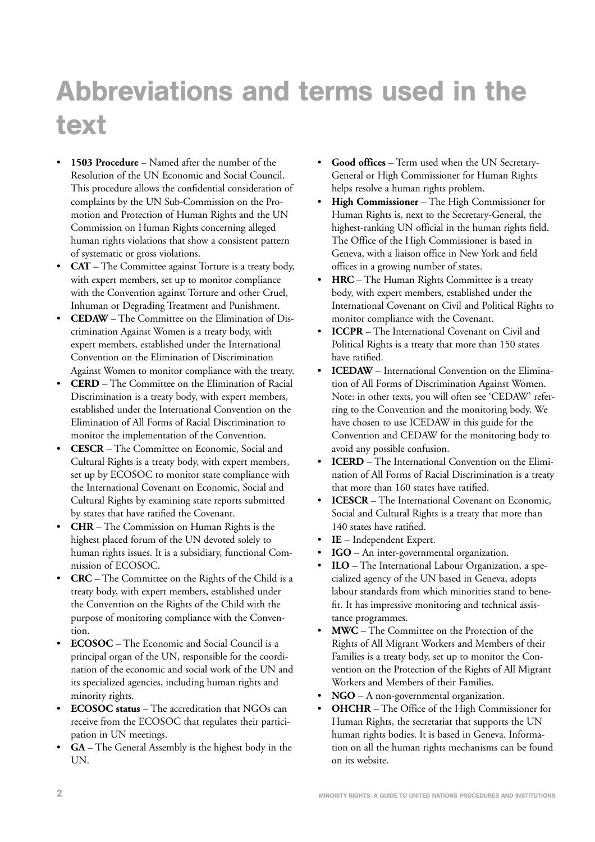# Abbreviations and terms used in the text

- **1503 Procedure** Named after the number of the Resolution of the UN Economic and Social Council. This procedure allows the confidential consideration of complaints by the UN Sub-Commission on the Promotion and Protection of Human Rights and the UN Commission on Human Rights concerning alleged human rights violations that show a consistent pattern of systematic or gross violations.
- **CAT** The Committee against Torture is a treaty body, with expert members, set up to monitor compliance with the Convention against Torture and other Cruel, Inhuman or Degrading Treatment and Punishment.
- **CEDAW** The Committee on the Elimination of Discrimination Against Women is a treaty body, with expert members, established under the International Convention on the Elimination of Discrimination Against Women to monitor compliance with the treaty.
- **CERD** The Committee on the Elimination of Racial Discrimination is a treaty body, with expert members, established under the International Convention on the Elimination of All Forms of Racial Discrimination to monitor the implementation of the Convention.
- **CESCR** The Committee on Economic, Social and Cultural Rights is a treaty body, with expert members, set up by ECOSOC to monitor state compliance with the International Covenant on Economic, Social and Cultural Rights by examining state reports submitted by states that have ratified the Covenant.
- **CHR** The Commission on Human Rights is the highest placed forum of the UN devoted solely to human rights issues. It is a subsidiary, functional Commission of ECOSOC.
- **CRC** The Committee on the Rights of the Child is a treaty body, with expert members, established under the Convention on the Rights of the Child with the purpose of monitoring compliance with the Convention.
- **ECOSOC** The Economic and Social Council is a principal organ of the UN, responsible for the coordination of the economic and social work of the UN and its specialized agencies, including human rights and minority rights.
- **ECOSOC status** The accreditation that NGOs can receive from the ECOSOC that regulates their participation in UN meetings.
- **GA** The General Assembly is the highest body in the UN.
- **Good offices** Term used when the UN Secretary-General or High Commissioner for Human Rights helps resolve a human rights problem.
- **High Commissioner** The High Commissioner for Human Rights is, next to the Secretary-General, the highest-ranking UN official in the human rights field. The Office of the High Commissioner is based in Geneva, with a liaison office in New York and field offices in a growing number of states.
- **HRC** The Human Rights Committee is a treaty body, with expert members, established under the International Covenant on Civil and Political Rights to monitor compliance with the Covenant.
- **ICCPR** The International Covenant on Civil and Political Rights is a treaty that more than 150 states have ratified.
- **ICEDAW** International Convention on the Elimination of All Forms of Discrimination Against Women. Note: in other texts, you will often see 'CEDAW' referring to the Convention and the monitoring body. We have chosen to use ICEDAW in this guide for the Convention and CEDAW for the monitoring body to avoid any possible confusion.
- **ICERD** The International Convention on the Elimination of All Forms of Racial Discrimination is a treaty that more than 160 states have ratified.
- **ICESCR** The International Covenant on Economic, Social and Cultural Rights is a treaty that more than 140 states have ratified.
- **IE** Independent Expert.
- **IGO** An inter-governmental organization.
- **ILO** The International Labour Organization, a specialized agency of the UN based in Geneva, adopts labour standards from which minorities stand to benefit. It has impressive monitoring and technical assistance programmes.
- **MWC** The Committee on the Protection of the Rights of All Migrant Workers and Members of their Families is a treaty body, set up to monitor the Convention on the Protection of the Rights of All Migrant Workers and Members of their Families.
- **NGO** A non-governmental organization.
- **OHCHR** The Office of the High Commissioner for Human Rights, the secretariat that supports the UN human rights bodies. It is based in Geneva. Information on all the human rights mechanisms can be found on its website.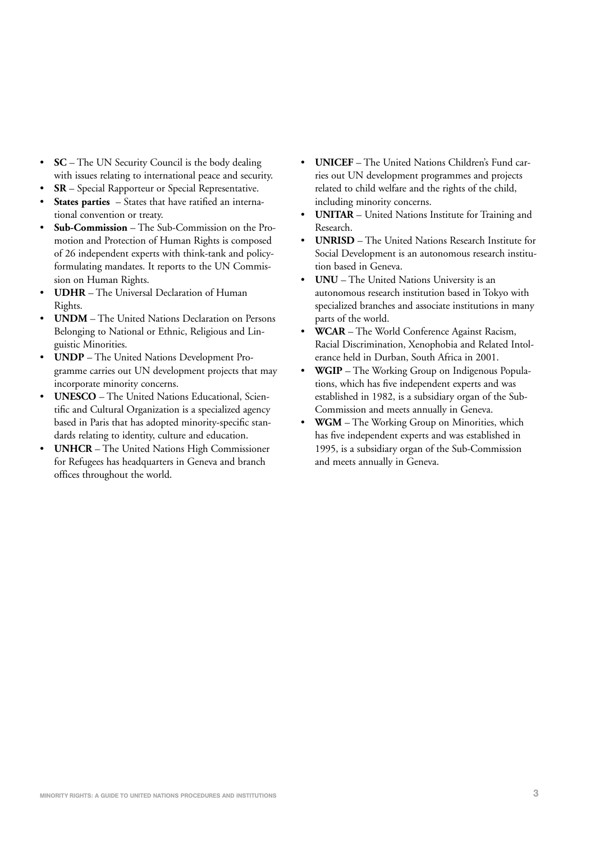- **SC** The UN Security Council is the body dealing with issues relating to international peace and security.
- **SR** Special Rapporteur or Special Representative.
- **States parties** States that have ratified an international convention or treaty.
- **Sub-Commission** The Sub-Commission on the Promotion and Protection of Human Rights is composed of 26 independent experts with think-tank and policyformulating mandates. It reports to the UN Commission on Human Rights.
- **UDHR** The Universal Declaration of Human Rights.
- **UNDM** The United Nations Declaration on Persons Belonging to National or Ethnic, Religious and Linguistic Minorities.
- **UNDP** The United Nations Development Programme carries out UN development projects that may incorporate minority concerns.
- **UNESCO** The United Nations Educational, Scientific and Cultural Organization is a specialized agency based in Paris that has adopted minority-specific standards relating to identity, culture and education.
- **UNHCR** The United Nations High Commissioner for Refugees has headquarters in Geneva and branch offices throughout the world.
- **UNICEF** The United Nations Children's Fund carries out UN development programmes and projects related to child welfare and the rights of the child, including minority concerns.
- **UNITAR** United Nations Institute for Training and Research.
- **UNRISD** The United Nations Research Institute for Social Development is an autonomous research institution based in Geneva.
- **UNU** The United Nations University is an autonomous research institution based in Tokyo with specialized branches and associate institutions in many parts of the world.
- **WCAR** The World Conference Against Racism, Racial Discrimination, Xenophobia and Related Intolerance held in Durban, South Africa in 2001.
- **WGIP** The Working Group on Indigenous Populations, which has five independent experts and was established in 1982, is a subsidiary organ of the Sub-Commission and meets annually in Geneva.
- **WGM** The Working Group on Minorities, which has five independent experts and was established in 1995, is a subsidiary organ of the Sub-Commission and meets annually in Geneva.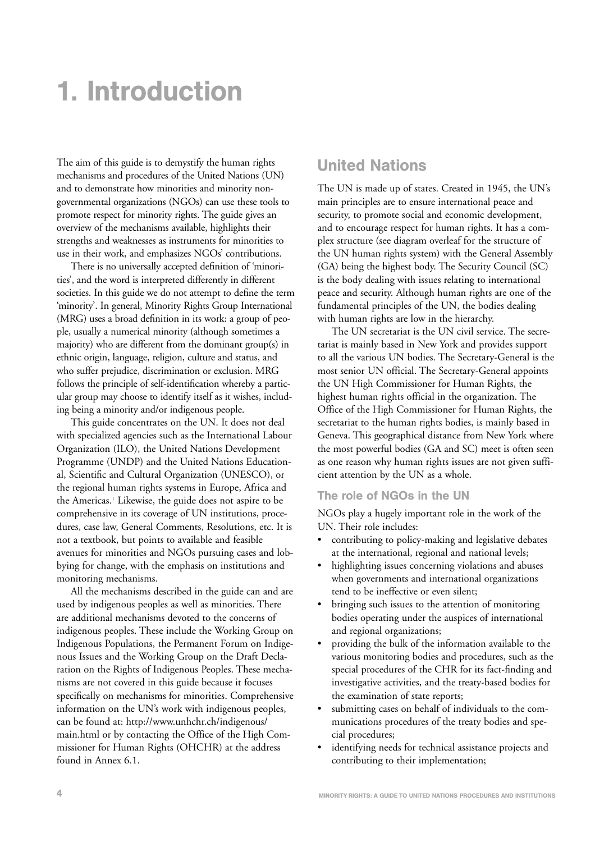# 1. Introduction

The aim of this guide is to demystify the human rights mechanisms and procedures of the United Nations (UN) and to demonstrate how minorities and minority nongovernmental organizations (NGOs) can use these tools to promote respect for minority rights. The guide gives an overview of the mechanisms available, highlights their strengths and weaknesses as instruments for minorities to use in their work, and emphasizes NGOs' contributions.

There is no universally accepted definition of 'minorities', and the word is interpreted differently in different societies. In this guide we do not attempt to define the term 'minority'. In general, Minority Rights Group International (MRG) uses a broad definition in its work: a group of people, usually a numerical minority (although sometimes a majority) who are different from the dominant group(s) in ethnic origin, language, religion, culture and status, and who suffer prejudice, discrimination or exclusion. MRG follows the principle of self-identification whereby a particular group may choose to identify itself as it wishes, including being a minority and/or indigenous people.

This guide concentrates on the UN. It does not deal with specialized agencies such as the International Labour Organization (ILO), the United Nations Development Programme (UNDP) and the United Nations Educational, Scientific and Cultural Organization (UNESCO), or the regional human rights systems in Europe, Africa and the Americas.<sup>1</sup> Likewise, the guide does not aspire to be comprehensive in its coverage of UN institutions, procedures, case law, General Comments, Resolutions, etc. It is not a textbook, but points to available and feasible avenues for minorities and NGOs pursuing cases and lobbying for change, with the emphasis on institutions and monitoring mechanisms.

All the mechanisms described in the guide can and are used by indigenous peoples as well as minorities. There are additional mechanisms devoted to the concerns of indigenous peoples. These include the Working Group on Indigenous Populations, the Permanent Forum on Indigenous Issues and the Working Group on the Draft Declaration on the Rights of Indigenous Peoples. These mechanisms are not covered in this guide because it focuses specifically on mechanisms for minorities. Comprehensive information on the UN's work with indigenous peoples, can be found at: http://www.unhchr.ch/indigenous/ main.html or by contacting the Office of the High Commissioner for Human Rights (OHCHR) at the address found in Annex 6.1.

## United Nations

The UN is made up of states. Created in 1945, the UN's main principles are to ensure international peace and security, to promote social and economic development, and to encourage respect for human rights. It has a complex structure (see diagram overleaf for the structure of the UN human rights system) with the General Assembly (GA) being the highest body. The Security Council (SC) is the body dealing with issues relating to international peace and security. Although human rights are one of the fundamental principles of the UN, the bodies dealing with human rights are low in the hierarchy.

The UN secretariat is the UN civil service. The secretariat is mainly based in New York and provides support to all the various UN bodies. The Secretary-General is the most senior UN official. The Secretary-General appoints the UN High Commissioner for Human Rights, the highest human rights official in the organization. The Office of the High Commissioner for Human Rights, the secretariat to the human rights bodies, is mainly based in Geneva. This geographical distance from New York where the most powerful bodies (GA and SC) meet is often seen as one reason why human rights issues are not given sufficient attention by the UN as a whole.

#### The role of NGOs in the UN

NGOs play a hugely important role in the work of the UN. Their role includes:

- contributing to policy-making and legislative debates at the international, regional and national levels;
- highlighting issues concerning violations and abuses when governments and international organizations tend to be ineffective or even silent;
- bringing such issues to the attention of monitoring bodies operating under the auspices of international and regional organizations;
- providing the bulk of the information available to the various monitoring bodies and procedures, such as the special procedures of the CHR for its fact-finding and investigative activities, and the treaty-based bodies for the examination of state reports;
- submitting cases on behalf of individuals to the communications procedures of the treaty bodies and special procedures;
- identifying needs for technical assistance projects and contributing to their implementation;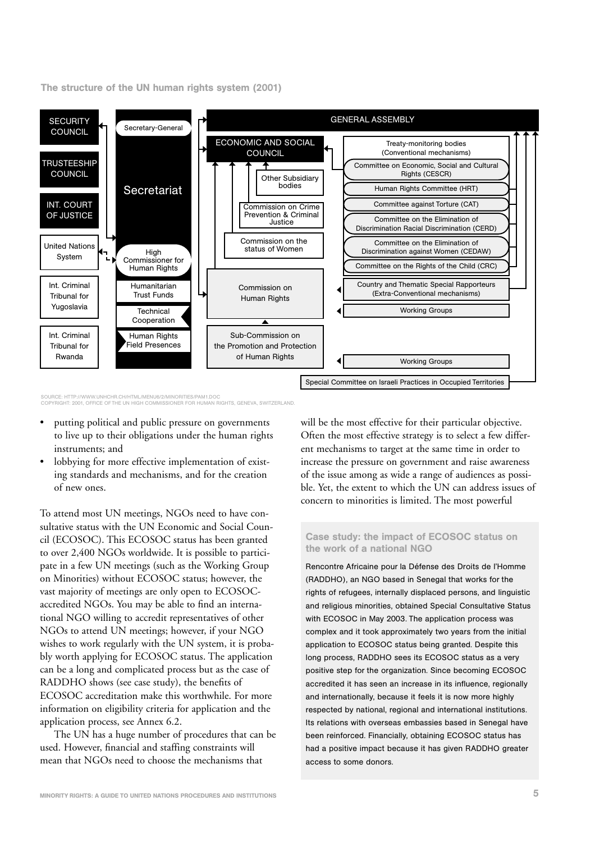



SOURCE: HTTP://WWW.UNHCHR.CH/HTML/MENU6/2/MINORITIES/PAM1.DOC COPYRIGHT: 2001, OFFICE OF THE UN HIGH COMMISSIONER FOR HUMAN RIGHTS, GENEVA, SWITZERLAND.

- putting political and public pressure on governments to live up to their obligations under the human rights instruments; and
- lobbying for more effective implementation of existing standards and mechanisms, and for the creation of new ones.

To attend most UN meetings, NGOs need to have consultative status with the UN Economic and Social Council (ECOSOC). This ECOSOC status has been granted to over 2,400 NGOs worldwide. It is possible to participate in a few UN meetings (such as the Working Group on Minorities) without ECOSOC status; however, the vast majority of meetings are only open to ECOSOCaccredited NGOs. You may be able to find an international NGO willing to accredit representatives of other NGOs to attend UN meetings; however, if your NGO wishes to work regularly with the UN system, it is probably worth applying for ECOSOC status. The application can be a long and complicated process but as the case of RADDHO shows (see case study), the benefits of ECOSOC accreditation make this worthwhile. For more information on eligibility criteria for application and the application process, see Annex 6.2.

The UN has a huge number of procedures that can be used. However, financial and staffing constraints will mean that NGOs need to choose the mechanisms that

will be the most effective for their particular objective. Often the most effective strategy is to select a few different mechanisms to target at the same time in order to increase the pressure on government and raise awareness of the issue among as wide a range of audiences as possible. Yet, the extent to which the UN can address issues of concern to minorities is limited. The most powerful

#### Case study: the impact of ECOSOC status on the work of a national NGO

Rencontre Africaine pour la Défense des Droits de l'Homme (RADDHO), an NGO based in Senegal that works for the rights of refugees, internally displaced persons, and linguistic and religious minorities, obtained Special Consultative Status with ECOSOC in May 2003. The application process was complex and it took approximately two years from the initial application to ECOSOC status being granted. Despite this long process, RADDHO sees its ECOSOC status as a very positive step for the organization. Since becoming ECOSOC accredited it has seen an increase in its influence, regionally and internationally, because it feels it is now more highly respected by national, regional and international institutions. Its relations with overseas embassies based in Senegal have been reinforced. Financially, obtaining ECOSOC status has had a positive impact because it has given RADDHO greater access to some donors.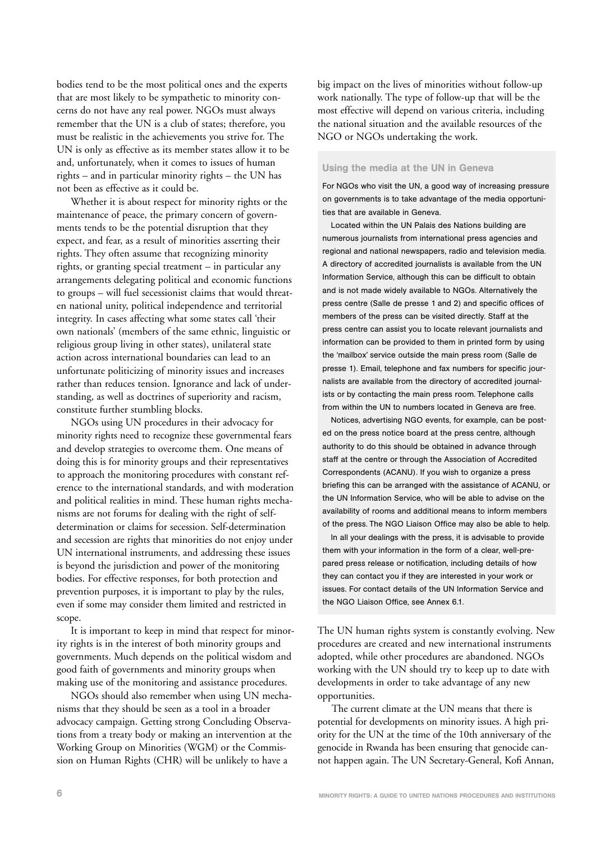bodies tend to be the most political ones and the experts that are most likely to be sympathetic to minority concerns do not have any real power. NGOs must always remember that the UN is a club of states; therefore, you must be realistic in the achievements you strive for. The UN is only as effective as its member states allow it to be and, unfortunately, when it comes to issues of human rights – and in particular minority rights – the UN has not been as effective as it could be.

Whether it is about respect for minority rights or the maintenance of peace, the primary concern of governments tends to be the potential disruption that they expect, and fear, as a result of minorities asserting their rights. They often assume that recognizing minority rights, or granting special treatment – in particular any arrangements delegating political and economic functions to groups – will fuel secessionist claims that would threaten national unity, political independence and territorial integrity. In cases affecting what some states call 'their own nationals' (members of the same ethnic, linguistic or religious group living in other states), unilateral state action across international boundaries can lead to an unfortunate politicizing of minority issues and increases rather than reduces tension. Ignorance and lack of understanding, as well as doctrines of superiority and racism, constitute further stumbling blocks.

NGOs using UN procedures in their advocacy for minority rights need to recognize these governmental fears and develop strategies to overcome them. One means of doing this is for minority groups and their representatives to approach the monitoring procedures with constant reference to the international standards, and with moderation and political realities in mind. These human rights mechanisms are not forums for dealing with the right of selfdetermination or claims for secession. Self-determination and secession are rights that minorities do not enjoy under UN international instruments, and addressing these issues is beyond the jurisdiction and power of the monitoring bodies. For effective responses, for both protection and prevention purposes, it is important to play by the rules, even if some may consider them limited and restricted in scope.

It is important to keep in mind that respect for minority rights is in the interest of both minority groups and governments. Much depends on the political wisdom and good faith of governments and minority groups when making use of the monitoring and assistance procedures.

NGOs should also remember when using UN mechanisms that they should be seen as a tool in a broader advocacy campaign. Getting strong Concluding Observations from a treaty body or making an intervention at the Working Group on Minorities (WGM) or the Commission on Human Rights (CHR) will be unlikely to have a

big impact on the lives of minorities without follow-up work nationally. The type of follow-up that will be the most effective will depend on various criteria, including the national situation and the available resources of the NGO or NGOs undertaking the work.

#### Using the media at the UN in Geneva

For NGOs who visit the UN, a good way of increasing pressure on governments is to take advantage of the media opportunities that are available in Geneva.

Located within the UN Palais des Nations building are numerous journalists from international press agencies and regional and national newspapers, radio and television media. A directory of accredited journalists is available from the UN Information Service, although this can be difficult to obtain and is not made widely available to NGOs. Alternatively the press centre (Salle de presse 1 and 2) and specific offices of members of the press can be visited directly. Staff at the press centre can assist you to locate relevant journalists and information can be provided to them in printed form by using the 'mailbox' service outside the main press room (Salle de presse 1). Email, telephone and fax numbers for specific journalists are available from the directory of accredited journalists or by contacting the main press room. Telephone calls from within the UN to numbers located in Geneva are free.

Notices, advertising NGO events, for example, can be posted on the press notice board at the press centre, although authority to do this should be obtained in advance through staff at the centre or through the Association of Accredited Correspondents (ACANU). If you wish to organize a press briefing this can be arranged with the assistance of ACANU, or the UN Information Service, who will be able to advise on the availability of rooms and additional means to inform members of the press. The NGO Liaison Office may also be able to help.

In all your dealings with the press, it is advisable to provide them with your information in the form of a clear, well-prepared press release or notification, including details of how they can contact you if they are interested in your work or issues. For contact details of the UN Information Service and the NGO Liaison Office, see Annex 6.1.

The UN human rights system is constantly evolving. New procedures are created and new international instruments adopted, while other procedures are abandoned. NGOs working with the UN should try to keep up to date with developments in order to take advantage of any new opportunities.

The current climate at the UN means that there is potential for developments on minority issues. A high priority for the UN at the time of the 10th anniversary of the genocide in Rwanda has been ensuring that genocide cannot happen again. The UN Secretary-General, Kofi Annan,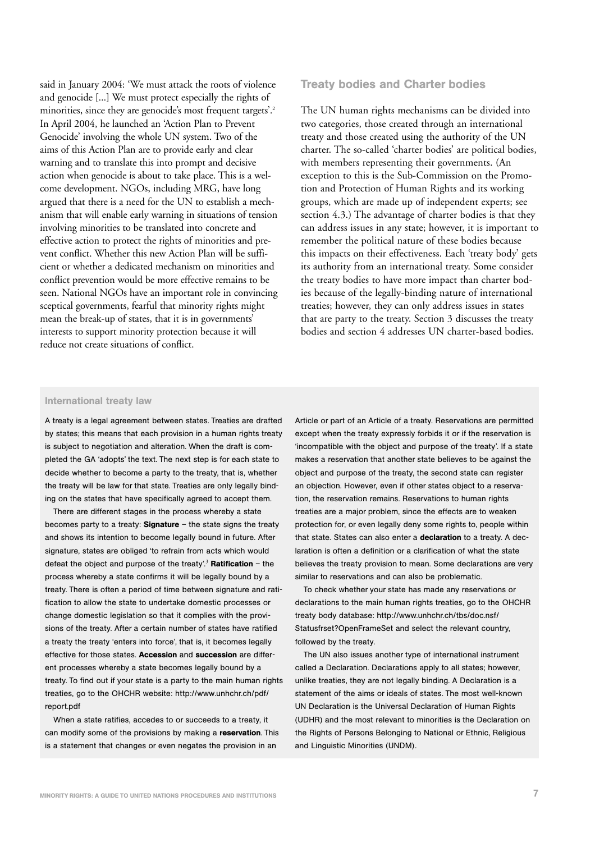said in January 2004: 'We must attack the roots of violence and genocide [...] We must protect especially the rights of minorities, since they are genocide's most frequent targets'.<sup>2</sup> In April 2004, he launched an 'Action Plan to Prevent Genocide' involving the whole UN system. Two of the aims of this Action Plan are to provide early and clear warning and to translate this into prompt and decisive action when genocide is about to take place. This is a welcome development. NGOs, including MRG, have long argued that there is a need for the UN to establish a mechanism that will enable early warning in situations of tension involving minorities to be translated into concrete and effective action to protect the rights of minorities and prevent conflict. Whether this new Action Plan will be sufficient or whether a dedicated mechanism on minorities and conflict prevention would be more effective remains to be seen. National NGOs have an important role in convincing sceptical governments, fearful that minority rights might mean the break-up of states, that it is in governments' interests to support minority protection because it will reduce not create situations of conflict.

#### Treaty bodies and Charter bodies

The UN human rights mechanisms can be divided into two categories, those created through an international treaty and those created using the authority of the UN charter. The so-called 'charter bodies' are political bodies, with members representing their governments. (An exception to this is the Sub-Commission on the Promotion and Protection of Human Rights and its working groups, which are made up of independent experts; see section 4.3.) The advantage of charter bodies is that they can address issues in any state; however, it is important to remember the political nature of these bodies because this impacts on their effectiveness. Each 'treaty body' gets its authority from an international treaty. Some consider the treaty bodies to have more impact than charter bodies because of the legally-binding nature of international treaties; however, they can only address issues in states that are party to the treaty. Section 3 discusses the treaty bodies and section 4 addresses UN charter-based bodies.

#### International treaty law

A treaty is a legal agreement between states. Treaties are drafted by states; this means that each provision in a human rights treaty is subject to negotiation and alteration. When the draft is completed the GA 'adopts' the text. The next step is for each state to decide whether to become a party to the treaty, that is, whether the treaty will be law for that state. Treaties are only legally binding on the states that have specifically agreed to accept them.

There are different stages in the process whereby a state becomes party to a treaty: Signature - the state signs the treaty and shows its intention to become legally bound in future. After signature, states are obliged 'to refrain from acts which would defeat the object and purpose of the treaty'.<sup>3</sup> Ratification - the process whereby a state confirms it will be legally bound by a treaty. There is often a period of time between signature and ratification to allow the state to undertake domestic processes or change domestic legislation so that it complies with the provisions of the treaty. After a certain number of states have ratified a treaty the treaty 'enters into force', that is, it becomes legally effective for those states. Accession and succession are different processes whereby a state becomes legally bound by a treaty. To find out if your state is a party to the main human rights treaties, go to the OHCHR website: http://www.unhchr.ch/pdf/ report.pdf

When a state ratifies, accedes to or succeeds to a treaty, it can modify some of the provisions by making a reservation. This is a statement that changes or even negates the provision in an

Article or part of an Article of a treaty. Reservations are permitted except when the treaty expressly forbids it or if the reservation is 'incompatible with the object and purpose of the treaty'. If a state makes a reservation that another state believes to be against the object and purpose of the treaty, the second state can register an objection. However, even if other states object to a reservation, the reservation remains. Reservations to human rights treaties are a major problem, since the effects are to weaken protection for, or even legally deny some rights to, people within that state. States can also enter a declaration to a treaty. A declaration is often a definition or a clarification of what the state believes the treaty provision to mean. Some declarations are very similar to reservations and can also be problematic.

To check whether your state has made any reservations or declarations to the main human rights treaties, go to the OHCHR treaty body database: http://www.unhchr.ch/tbs/doc.nsf/ Statusfrset?OpenFrameSet and select the relevant country, followed by the treaty.

The UN also issues another type of international instrument called a Declaration. Declarations apply to all states; however, unlike treaties, they are not legally binding. A Declaration is a statement of the aims or ideals of states. The most well-known UN Declaration is the Universal Declaration of Human Rights (UDHR) and the most relevant to minorities is the Declaration on the Rights of Persons Belonging to National or Ethnic, Religious and Linguistic Minorities (UNDM).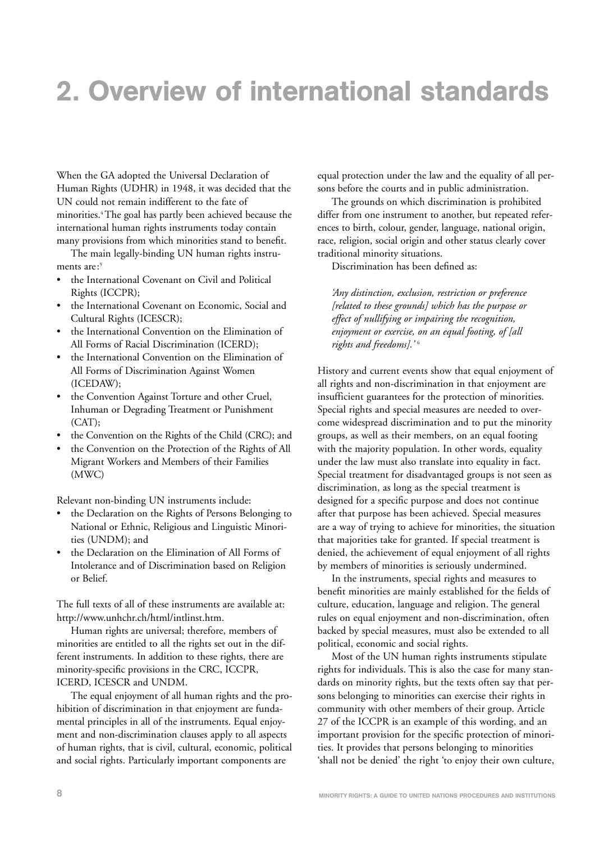# 2. Overview of international standards

When the GA adopted the Universal Declaration of Human Rights (UDHR) in 1948, it was decided that the UN could not remain indifferent to the fate of minorities.4 The goal has partly been achieved because the international human rights instruments today contain many provisions from which minorities stand to benefit.

The main legally-binding UN human rights instruments are:<sup>5</sup>

- the International Covenant on Civil and Political Rights (ICCPR);
- the International Covenant on Economic, Social and Cultural Rights (ICESCR);
- the International Convention on the Elimination of All Forms of Racial Discrimination (ICERD);
- the International Convention on the Elimination of All Forms of Discrimination Against Women (ICEDAW);
- the Convention Against Torture and other Cruel, Inhuman or Degrading Treatment or Punishment  $(CAT);$
- the Convention on the Rights of the Child (CRC); and
- the Convention on the Protection of the Rights of All Migrant Workers and Members of their Families (MWC)

Relevant non-binding UN instruments include:

- the Declaration on the Rights of Persons Belonging to National or Ethnic, Religious and Linguistic Minorities (UNDM); and
- the Declaration on the Elimination of All Forms of Intolerance and of Discrimination based on Religion or Belief.

The full texts of all of these instruments are available at: http://www.unhchr.ch/html/intlinst.htm.

Human rights are universal; therefore, members of minorities are entitled to all the rights set out in the different instruments. In addition to these rights, there are minority-specific provisions in the CRC, ICCPR, ICERD, ICESCR and UNDM.

The equal enjoyment of all human rights and the prohibition of discrimination in that enjoyment are fundamental principles in all of the instruments. Equal enjoyment and non-discrimination clauses apply to all aspects of human rights, that is civil, cultural, economic, political and social rights. Particularly important components are

equal protection under the law and the equality of all persons before the courts and in public administration.

The grounds on which discrimination is prohibited differ from one instrument to another, but repeated references to birth, colour, gender, language, national origin, race, religion, social origin and other status clearly cover traditional minority situations.

Discrimination has been defined as:

*'Any distinction, exclusion, restriction or preference [related to these grounds] which has the purpose or effect of nullifying or impairing the recognition, enjoyment or exercise, on an equal footing, of [all rights and freedoms].'* <sup>6</sup>

History and current events show that equal enjoyment of all rights and non-discrimination in that enjoyment are insufficient guarantees for the protection of minorities. Special rights and special measures are needed to overcome widespread discrimination and to put the minority groups, as well as their members, on an equal footing with the majority population. In other words, equality under the law must also translate into equality in fact. Special treatment for disadvantaged groups is not seen as discrimination, as long as the special treatment is designed for a specific purpose and does not continue after that purpose has been achieved. Special measures are a way of trying to achieve for minorities, the situation that majorities take for granted. If special treatment is denied, the achievement of equal enjoyment of all rights by members of minorities is seriously undermined.

In the instruments, special rights and measures to benefit minorities are mainly established for the fields of culture, education, language and religion. The general rules on equal enjoyment and non-discrimination, often backed by special measures, must also be extended to all political, economic and social rights.

Most of the UN human rights instruments stipulate rights for individuals. This is also the case for many standards on minority rights, but the texts often say that persons belonging to minorities can exercise their rights in community with other members of their group. Article 27 of the ICCPR is an example of this wording, and an important provision for the specific protection of minorities. It provides that persons belonging to minorities 'shall not be denied' the right 'to enjoy their own culture,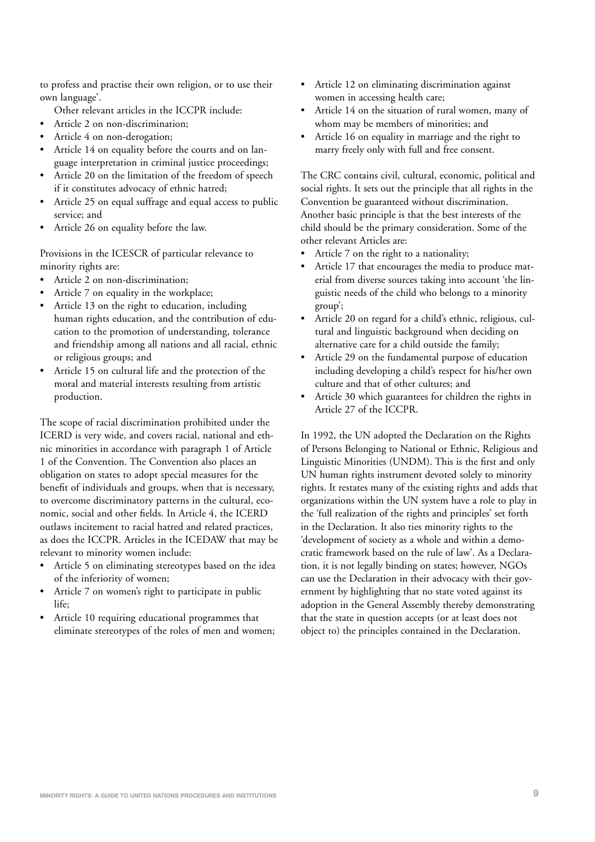to profess and practise their own religion, or to use their own language'.

- Other relevant articles in the ICCPR include:
- Article 2 on non-discrimination;
- Article 4 on non-derogation;
- Article 14 on equality before the courts and on language interpretation in criminal justice proceedings;
- Article 20 on the limitation of the freedom of speech if it constitutes advocacy of ethnic hatred;
- Article 25 on equal suffrage and equal access to public service; and
- Article 26 on equality before the law.

Provisions in the ICESCR of particular relevance to minority rights are:

- Article 2 on non-discrimination;
- Article 7 on equality in the workplace;
- Article 13 on the right to education, including human rights education, and the contribution of education to the promotion of understanding, tolerance and friendship among all nations and all racial, ethnic or religious groups; and
- Article 15 on cultural life and the protection of the moral and material interests resulting from artistic production.

The scope of racial discrimination prohibited under the ICERD is very wide, and covers racial, national and ethnic minorities in accordance with paragraph 1 of Article 1 of the Convention. The Convention also places an obligation on states to adopt special measures for the benefit of individuals and groups, when that is necessary, to overcome discriminatory patterns in the cultural, economic, social and other fields. In Article 4, the ICERD outlaws incitement to racial hatred and related practices, as does the ICCPR. Articles in the ICEDAW that may be relevant to minority women include:

- Article 5 on eliminating stereotypes based on the idea of the inferiority of women;
- Article 7 on women's right to participate in public life;
- Article 10 requiring educational programmes that eliminate stereotypes of the roles of men and women;
- Article 12 on eliminating discrimination against women in accessing health care;
- Article 14 on the situation of rural women, many of whom may be members of minorities; and
- Article 16 on equality in marriage and the right to marry freely only with full and free consent.

The CRC contains civil, cultural, economic, political and social rights. It sets out the principle that all rights in the Convention be guaranteed without discrimination. Another basic principle is that the best interests of the child should be the primary consideration. Some of the other relevant Articles are:

- Article 7 on the right to a nationality;
- Article 17 that encourages the media to produce material from diverse sources taking into account 'the linguistic needs of the child who belongs to a minority group';
- Article 20 on regard for a child's ethnic, religious, cultural and linguistic background when deciding on alternative care for a child outside the family;
- Article 29 on the fundamental purpose of education including developing a child's respect for his/her own culture and that of other cultures; and
- Article 30 which guarantees for children the rights in Article 27 of the ICCPR.

In 1992, the UN adopted the Declaration on the Rights of Persons Belonging to National or Ethnic, Religious and Linguistic Minorities (UNDM). This is the first and only UN human rights instrument devoted solely to minority rights. It restates many of the existing rights and adds that organizations within the UN system have a role to play in the 'full realization of the rights and principles' set forth in the Declaration. It also ties minority rights to the 'development of society as a whole and within a democratic framework based on the rule of law'. As a Declaration, it is not legally binding on states; however, NGOs can use the Declaration in their advocacy with their government by highlighting that no state voted against its adoption in the General Assembly thereby demonstrating that the state in question accepts (or at least does not object to) the principles contained in the Declaration.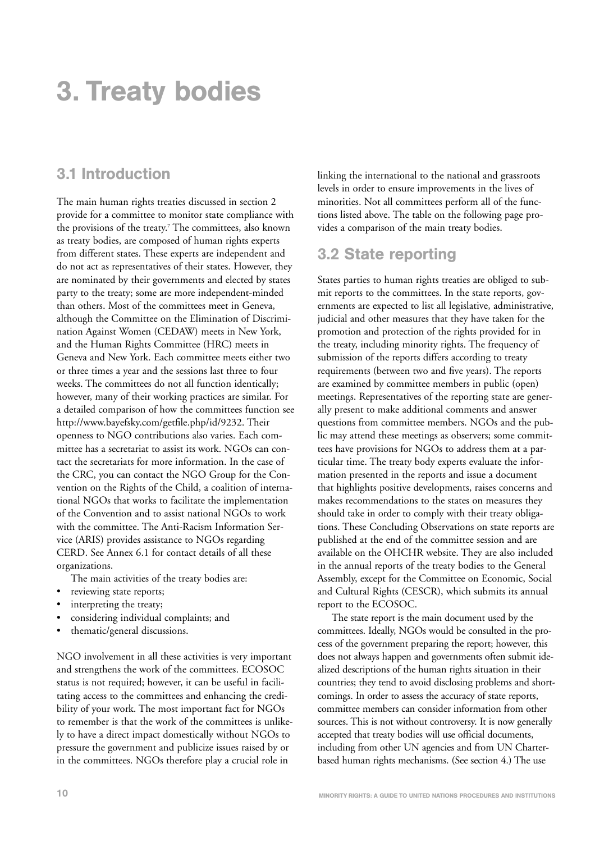# 3. Treaty bodies

## 3.1 Introduction

The main human rights treaties discussed in section 2 provide for a committee to monitor state compliance with the provisions of the treaty.7 The committees, also known as treaty bodies, are composed of human rights experts from different states. These experts are independent and do not act as representatives of their states. However, they are nominated by their governments and elected by states party to the treaty; some are more independent-minded than others. Most of the committees meet in Geneva, although the Committee on the Elimination of Discrimination Against Women (CEDAW) meets in New York, and the Human Rights Committee (HRC) meets in Geneva and New York. Each committee meets either two or three times a year and the sessions last three to four weeks. The committees do not all function identically; however, many of their working practices are similar. For a detailed comparison of how the committees function see http://www.bayefsky.com/getfile.php/id/9232. Their openness to NGO contributions also varies. Each committee has a secretariat to assist its work. NGOs can contact the secretariats for more information. In the case of the CRC, you can contact the NGO Group for the Convention on the Rights of the Child, a coalition of international NGOs that works to facilitate the implementation of the Convention and to assist national NGOs to work with the committee. The Anti-Racism Information Service (ARIS) provides assistance to NGOs regarding CERD. See Annex 6.1 for contact details of all these organizations.

- The main activities of the treaty bodies are:
- reviewing state reports;
- interpreting the treaty;
- considering individual complaints; and
- thematic/general discussions.

NGO involvement in all these activities is very important and strengthens the work of the committees. ECOSOC status is not required; however, it can be useful in facilitating access to the committees and enhancing the credibility of your work. The most important fact for NGOs to remember is that the work of the committees is unlikely to have a direct impact domestically without NGOs to pressure the government and publicize issues raised by or in the committees. NGOs therefore play a crucial role in

linking the international to the national and grassroots levels in order to ensure improvements in the lives of minorities. Not all committees perform all of the functions listed above. The table on the following page provides a comparison of the main treaty bodies.

## 3.2 State reporting

States parties to human rights treaties are obliged to submit reports to the committees. In the state reports, governments are expected to list all legislative, administrative, judicial and other measures that they have taken for the promotion and protection of the rights provided for in the treaty, including minority rights. The frequency of submission of the reports differs according to treaty requirements (between two and five years). The reports are examined by committee members in public (open) meetings. Representatives of the reporting state are generally present to make additional comments and answer questions from committee members. NGOs and the public may attend these meetings as observers; some committees have provisions for NGOs to address them at a particular time. The treaty body experts evaluate the information presented in the reports and issue a document that highlights positive developments, raises concerns and makes recommendations to the states on measures they should take in order to comply with their treaty obligations. These Concluding Observations on state reports are published at the end of the committee session and are available on the OHCHR website. They are also included in the annual reports of the treaty bodies to the General Assembly, except for the Committee on Economic, Social and Cultural Rights (CESCR), which submits its annual report to the ECOSOC.

The state report is the main document used by the committees. Ideally, NGOs would be consulted in the process of the government preparing the report; however, this does not always happen and governments often submit idealized descriptions of the human rights situation in their countries; they tend to avoid disclosing problems and shortcomings. In order to assess the accuracy of state reports, committee members can consider information from other sources. This is not without controversy. It is now generally accepted that treaty bodies will use official documents, including from other UN agencies and from UN Charterbased human rights mechanisms. (See section 4.) The use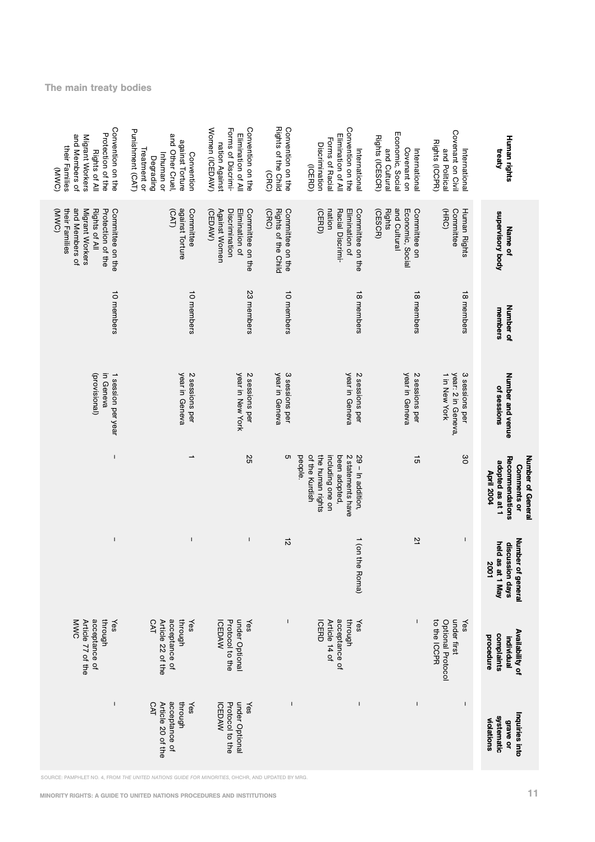| Human rights<br>treaty                                                                                                  | supervisory body<br>Name of                                                                                             | Number of<br>members | Number and venue<br>of sessions                       | Recommendations<br>Number of General<br>adopted as at 1<br><b>Comments or</b><br><b>April 2004</b>                           | Number of general<br>held as<br>discussion days<br>2001<br>at 1 May | Availability of<br>complaints<br>procedure<br>individual           | Inquiries into<br>systematic<br>violations<br>grave or      |
|-------------------------------------------------------------------------------------------------------------------------|-------------------------------------------------------------------------------------------------------------------------|----------------------|-------------------------------------------------------|------------------------------------------------------------------------------------------------------------------------------|---------------------------------------------------------------------|--------------------------------------------------------------------|-------------------------------------------------------------|
| Covenant on Civil<br>Rights (ICCPR)<br>and Political<br>International                                                   | (HRC)<br>Committee<br>Human Rights                                                                                      | 18 members           | 3 sessions per<br>1 in New York<br>year: 2 in Geneva, | 80                                                                                                                           | ı                                                                   | under first<br>to the ICCPR<br>Yes<br><b>Optional Protocol</b>     | $\mathsf{I}$                                                |
| Economic, Social<br>Rights (ICESCR)<br>Covenant on<br>and Cultural<br>International                                     | and Cultural<br>(CESCR)<br>Rights<br>Economic, Social<br>Committee on                                                   | 18 members           | year in Geneva<br>2 sessions per                      | $\vec{a}$                                                                                                                    | 21                                                                  | I                                                                  |                                                             |
| Convention on the<br>Elimination of All<br>Forms of Racial<br>Discrimination<br>International<br>(ICERD)                | (CERD)<br>nation<br>Elimination of<br>Racial Discrimi-<br>Committee on the                                              | 18 members           | year in Geneva<br>2 sessions per                      | of the Kurdish<br>people.<br>including one on<br>2 statements have<br>the human rights<br>been adopted,<br>29 - In addition, | 1 (on the<br>Roma)                                                  | acceptance of<br>through<br>Article 14 of<br>Yes<br><b>ICERD</b>   | $\overline{\phantom{a}}$                                    |
| Rights of the Child<br>Convention on the<br>(CRC)                                                                       | (CRO)<br>Rights of the Child<br>Committee on the                                                                        | 10 members           | year in Geneva<br>3 sessions per                      | cл                                                                                                                           | 5                                                                   | $\overline{\phantom{a}}$                                           | $\overline{\phantom{a}}$                                    |
| Forms of Discrimi-<br>Convention on the<br>Women (ICEDAW)<br>Elimination of All<br>nation Against                       | (CEDAW)<br>Elimination of<br>Against Women<br>Discrimination<br>Committee on the                                        | 23 members           | year in New York<br>2 sessions per                    | 25                                                                                                                           | $\mathsf I$                                                         | under Optional<br>Protocol to the<br>Yes<br><b>ICEDAW</b>          | under Optional<br>Protocol to the<br>Yes<br>ICEDAW          |
| Punishment (CAT)<br>and Other Cruel<br>against Torture<br>Treatment or<br>Convention<br>Inhuman or<br>Degrading         | against Torture<br>(CAT)<br>Committee                                                                                   | 10 members           | 2 sessions per<br>year in Geneva                      | ∸                                                                                                                            |                                                                     | acceptance of<br>through<br><b>CAT</b><br>Article 22 of the<br>Yes | acceptance of<br>CAT<br>through<br>Yes<br>Article 20 of the |
| Convention on the<br>Protection of the<br>and Members of<br>Migrant Workers<br>their Families<br>Rights of All<br>(OWN) | and Members of<br>their Families<br>Rights of All<br>Committee on the<br>(DWVC)<br>Migrant Workers<br>Protection of the | 10 members           | (provisional)<br>in Geneva<br>1 session per year      | $\mathsf{I}$                                                                                                                 | I                                                                   | <b>MWC</b><br>acceptance of<br>through<br>Yes<br>Article 77 of the | $\mathbf I$                                                 |

SOURCE: PAMPHLET NO. 4, FROM *THE UNITED NATIONS GUIDE FOR MINORITIES*, OHCHR, AND UPDATED BY MRG.

MINORITY RIGHTS: A GUIDE TO UNITED NATIONS PROCEDURES AND INSTITUTIONS 11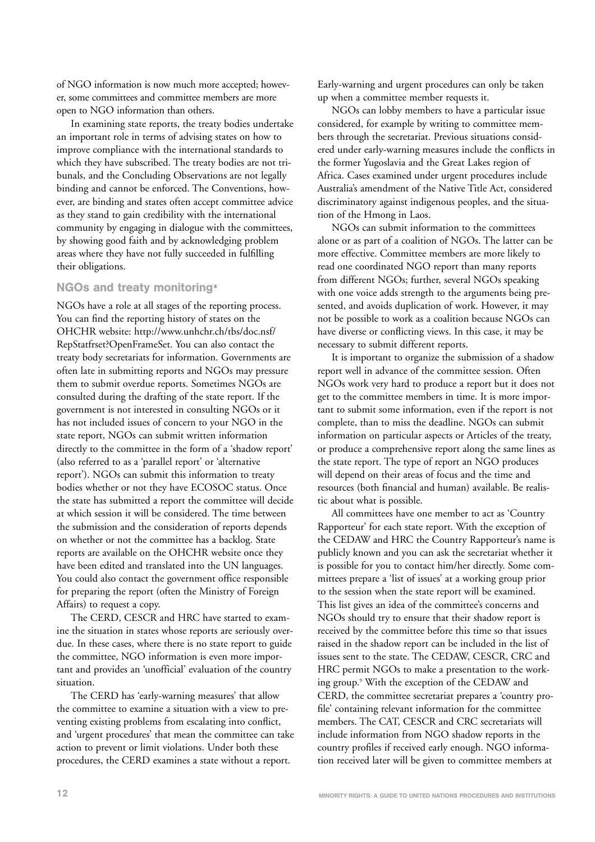of NGO information is now much more accepted; however, some committees and committee members are more open to NGO information than others.

In examining state reports, the treaty bodies undertake an important role in terms of advising states on how to improve compliance with the international standards to which they have subscribed. The treaty bodies are not tribunals, and the Concluding Observations are not legally binding and cannot be enforced. The Conventions, however, are binding and states often accept committee advice as they stand to gain credibility with the international community by engaging in dialogue with the committees, by showing good faith and by acknowledging problem areas where they have not fully succeeded in fulfilling their obligations.

#### NGOs and treaty monitoring<sup>8</sup>

NGOs have a role at all stages of the reporting process. You can find the reporting history of states on the OHCHR website: http://www.unhchr.ch/tbs/doc.nsf/ RepStatfrset?OpenFrameSet. You can also contact the treaty body secretariats for information. Governments are often late in submitting reports and NGOs may pressure them to submit overdue reports. Sometimes NGOs are consulted during the drafting of the state report. If the government is not interested in consulting NGOs or it has not included issues of concern to your NGO in the state report, NGOs can submit written information directly to the committee in the form of a 'shadow report' (also referred to as a 'parallel report' or 'alternative report'). NGOs can submit this information to treaty bodies whether or not they have ECOSOC status. Once the state has submitted a report the committee will decide at which session it will be considered. The time between the submission and the consideration of reports depends on whether or not the committee has a backlog. State reports are available on the OHCHR website once they have been edited and translated into the UN languages. You could also contact the government office responsible for preparing the report (often the Ministry of Foreign Affairs) to request a copy.

The CERD, CESCR and HRC have started to examine the situation in states whose reports are seriously overdue. In these cases, where there is no state report to guide the committee, NGO information is even more important and provides an 'unofficial' evaluation of the country situation.

The CERD has 'early-warning measures' that allow the committee to examine a situation with a view to preventing existing problems from escalating into conflict, and 'urgent procedures' that mean the committee can take action to prevent or limit violations. Under both these procedures, the CERD examines a state without a report.

Early-warning and urgent procedures can only be taken up when a committee member requests it.

NGOs can lobby members to have a particular issue considered, for example by writing to committee members through the secretariat. Previous situations considered under early-warning measures include the conflicts in the former Yugoslavia and the Great Lakes region of Africa. Cases examined under urgent procedures include Australia's amendment of the Native Title Act, considered discriminatory against indigenous peoples, and the situation of the Hmong in Laos.

NGOs can submit information to the committees alone or as part of a coalition of NGOs. The latter can be more effective. Committee members are more likely to read one coordinated NGO report than many reports from different NGOs; further, several NGOs speaking with one voice adds strength to the arguments being presented, and avoids duplication of work. However, it may not be possible to work as a coalition because NGOs can have diverse or conflicting views. In this case, it may be necessary to submit different reports.

It is important to organize the submission of a shadow report well in advance of the committee session. Often NGOs work very hard to produce a report but it does not get to the committee members in time. It is more important to submit some information, even if the report is not complete, than to miss the deadline. NGOs can submit information on particular aspects or Articles of the treaty, or produce a comprehensive report along the same lines as the state report. The type of report an NGO produces will depend on their areas of focus and the time and resources (both financial and human) available. Be realistic about what is possible.

All committees have one member to act as 'Country Rapporteur' for each state report. With the exception of the CEDAW and HRC the Country Rapporteur's name is publicly known and you can ask the secretariat whether it is possible for you to contact him/her directly. Some committees prepare a 'list of issues' at a working group prior to the session when the state report will be examined. This list gives an idea of the committee's concerns and NGOs should try to ensure that their shadow report is received by the committee before this time so that issues raised in the shadow report can be included in the list of issues sent to the state. The CEDAW, CESCR, CRC and HRC permit NGOs to make a presentation to the working group.9 With the exception of the CEDAW and CERD, the committee secretariat prepares a 'country profile' containing relevant information for the committee members. The CAT, CESCR and CRC secretariats will include information from NGO shadow reports in the country profiles if received early enough. NGO information received later will be given to committee members at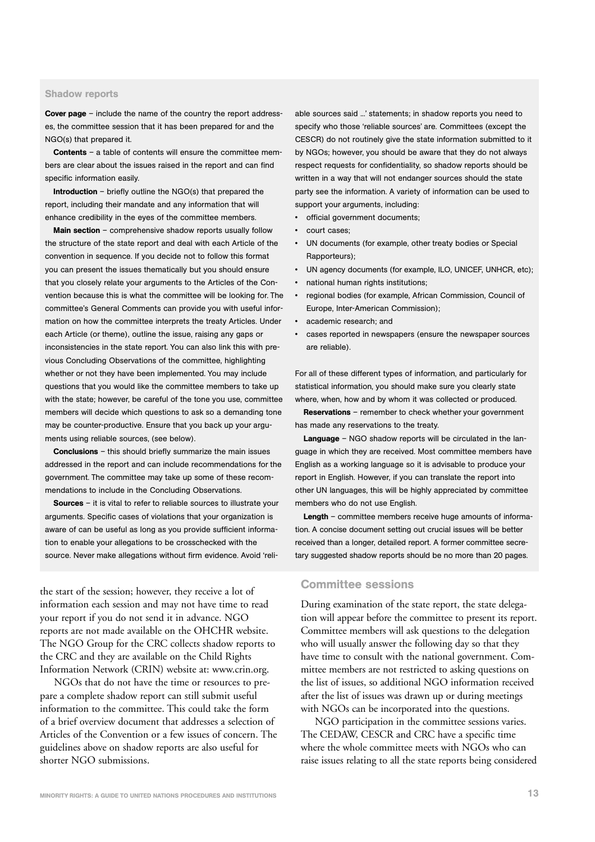#### Shadow reports

Cover page – include the name of the country the report addresses, the committee session that it has been prepared for and the NGO(s) that prepared it.

Contents – a table of contents will ensure the committee members are clear about the issues raised in the report and can find specific information easily.

Introduction – briefly outline the NGO(s) that prepared the report, including their mandate and any information that will enhance credibility in the eyes of the committee members.

Main section - comprehensive shadow reports usually follow the structure of the state report and deal with each Article of the convention in sequence. If you decide not to follow this format you can present the issues thematically but you should ensure that you closely relate your arguments to the Articles of the Convention because this is what the committee will be looking for. The committee's General Comments can provide you with useful information on how the committee interprets the treaty Articles. Under each Article (or theme), outline the issue, raising any gaps or inconsistencies in the state report. You can also link this with previous Concluding Observations of the committee, highlighting whether or not they have been implemented. You may include questions that you would like the committee members to take up with the state; however, be careful of the tone you use, committee members will decide which questions to ask so a demanding tone may be counter-productive. Ensure that you back up your arguments using reliable sources, (see below).

Conclusions – this should briefly summarize the main issues addressed in the report and can include recommendations for the government. The committee may take up some of these recommendations to include in the Concluding Observations.

Sources – it is vital to refer to reliable sources to illustrate your arguments. Specific cases of violations that your organization is aware of can be useful as long as you provide sufficient information to enable your allegations to be crosschecked with the source. Never make allegations without firm evidence. Avoid 'reli-

the start of the session; however, they receive a lot of information each session and may not have time to read your report if you do not send it in advance. NGO reports are not made available on the OHCHR website. The NGO Group for the CRC collects shadow reports to the CRC and they are available on the Child Rights Information Network (CRIN) website at: www.crin.org.

NGOs that do not have the time or resources to prepare a complete shadow report can still submit useful information to the committee. This could take the form of a brief overview document that addresses a selection of Articles of the Convention or a few issues of concern. The guidelines above on shadow reports are also useful for shorter NGO submissions.

able sources said ...' statements; in shadow reports you need to specify who those 'reliable sources' are. Committees (except the CESCR) do not routinely give the state information submitted to it by NGOs; however, you should be aware that they do not always respect requests for confidentiality, so shadow reports should be written in a way that will not endanger sources should the state party see the information. A variety of information can be used to support your arguments, including:

- official government documents;
- court cases;
- UN documents (for example, other treaty bodies or Special Rapporteurs);
- UN agency documents (for example, ILO, UNICEF, UNHCR, etc);
- national human rights institutions;
- regional bodies (for example, African Commission, Council of Europe, Inter-American Commission);
- academic research; and
- cases reported in newspapers (ensure the newspaper sources are reliable).

For all of these different types of information, and particularly for statistical information, you should make sure you clearly state where, when, how and by whom it was collected or produced.

Reservations – remember to check whether your government has made any reservations to the treaty.

Language - NGO shadow reports will be circulated in the language in which they are received. Most committee members have English as a working language so it is advisable to produce your report in English. However, if you can translate the report into other UN languages, this will be highly appreciated by committee members who do not use English.

Length – committee members receive huge amounts of information. A concise document setting out crucial issues will be better received than a longer, detailed report. A former committee secretary suggested shadow reports should be no more than 20 pages.

#### Committee sessions

During examination of the state report, the state delegation will appear before the committee to present its report. Committee members will ask questions to the delegation who will usually answer the following day so that they have time to consult with the national government. Committee members are not restricted to asking questions on the list of issues, so additional NGO information received after the list of issues was drawn up or during meetings with NGOs can be incorporated into the questions.

NGO participation in the committee sessions varies. The CEDAW, CESCR and CRC have a specific time where the whole committee meets with NGOs who can raise issues relating to all the state reports being considered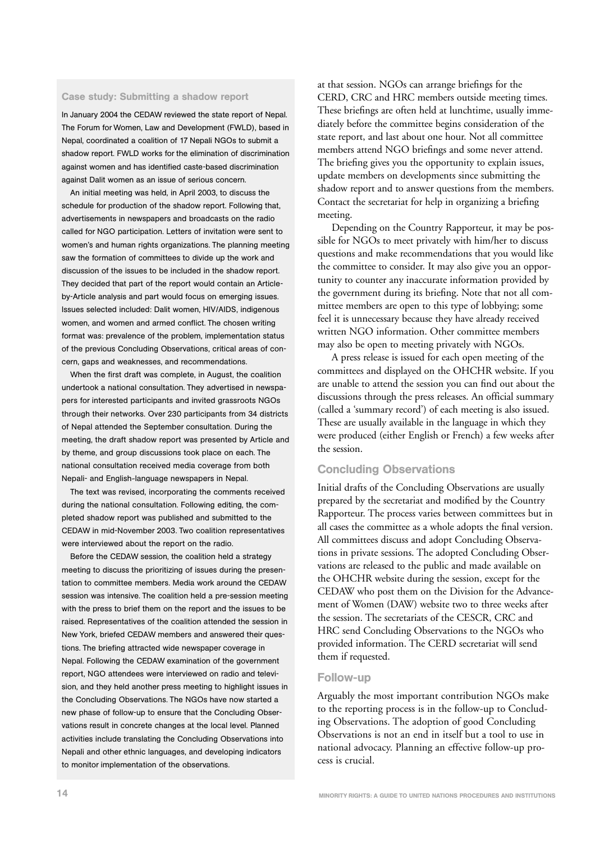#### Case study: Submitting a shadow report

In January 2004 the CEDAW reviewed the state report of Nepal. The Forum for Women, Law and Development (FWLD), based in Nepal, coordinated a coalition of 17 Nepali NGOs to submit a shadow report. FWLD works for the elimination of discrimination against women and has identified caste-based discrimination against Dalit women as an issue of serious concern.

An initial meeting was held, in April 2003, to discuss the schedule for production of the shadow report. Following that, advertisements in newspapers and broadcasts on the radio called for NGO participation. Letters of invitation were sent to women's and human rights organizations. The planning meeting saw the formation of committees to divide up the work and discussion of the issues to be included in the shadow report. They decided that part of the report would contain an Articleby-Article analysis and part would focus on emerging issues. Issues selected included: Dalit women, HIV/AIDS, indigenous women, and women and armed conflict. The chosen writing format was: prevalence of the problem, implementation status of the previous Concluding Observations, critical areas of concern, gaps and weaknesses, and recommendations.

When the first draft was complete, in August, the coalition undertook a national consultation. They advertised in newspapers for interested participants and invited grassroots NGOs through their networks. Over 230 participants from 34 districts of Nepal attended the September consultation. During the meeting, the draft shadow report was presented by Article and by theme, and group discussions took place on each. The national consultation received media coverage from both Nepali- and English-language newspapers in Nepal.

The text was revised, incorporating the comments received during the national consultation. Following editing, the completed shadow report was published and submitted to the CEDAW in mid-November 2003. Two coalition representatives were interviewed about the report on the radio.

Before the CEDAW session, the coalition held a strategy meeting to discuss the prioritizing of issues during the presentation to committee members. Media work around the CEDAW session was intensive. The coalition held a pre-session meeting with the press to brief them on the report and the issues to be raised. Representatives of the coalition attended the session in New York, briefed CEDAW members and answered their questions. The briefing attracted wide newspaper coverage in Nepal. Following the CEDAW examination of the government report, NGO attendees were interviewed on radio and television, and they held another press meeting to highlight issues in the Concluding Observations. The NGOs have now started a new phase of follow-up to ensure that the Concluding Observations result in concrete changes at the local level. Planned activities include translating the Concluding Observations into Nepali and other ethnic languages, and developing indicators to monitor implementation of the observations.

at that session. NGOs can arrange briefings for the CERD, CRC and HRC members outside meeting times. These briefings are often held at lunchtime, usually immediately before the committee begins consideration of the state report, and last about one hour. Not all committee members attend NGO briefings and some never attend. The briefing gives you the opportunity to explain issues, update members on developments since submitting the shadow report and to answer questions from the members. Contact the secretariat for help in organizing a briefing meeting.

Depending on the Country Rapporteur, it may be possible for NGOs to meet privately with him/her to discuss questions and make recommendations that you would like the committee to consider. It may also give you an opportunity to counter any inaccurate information provided by the government during its briefing. Note that not all committee members are open to this type of lobbying; some feel it is unnecessary because they have already received written NGO information. Other committee members may also be open to meeting privately with NGOs.

A press release is issued for each open meeting of the committees and displayed on the OHCHR website. If you are unable to attend the session you can find out about the discussions through the press releases. An official summary (called a 'summary record') of each meeting is also issued. These are usually available in the language in which they were produced (either English or French) a few weeks after the session.

#### Concluding Observations

Initial drafts of the Concluding Observations are usually prepared by the secretariat and modified by the Country Rapporteur. The process varies between committees but in all cases the committee as a whole adopts the final version. All committees discuss and adopt Concluding Observations in private sessions. The adopted Concluding Observations are released to the public and made available on the OHCHR website during the session, except for the CEDAW who post them on the Division for the Advancement of Women (DAW) website two to three weeks after the session. The secretariats of the CESCR, CRC and HRC send Concluding Observations to the NGOs who provided information. The CERD secretariat will send them if requested.

#### Follow-up

Arguably the most important contribution NGOs make to the reporting process is in the follow-up to Concluding Observations. The adoption of good Concluding Observations is not an end in itself but a tool to use in national advocacy. Planning an effective follow-up process is crucial.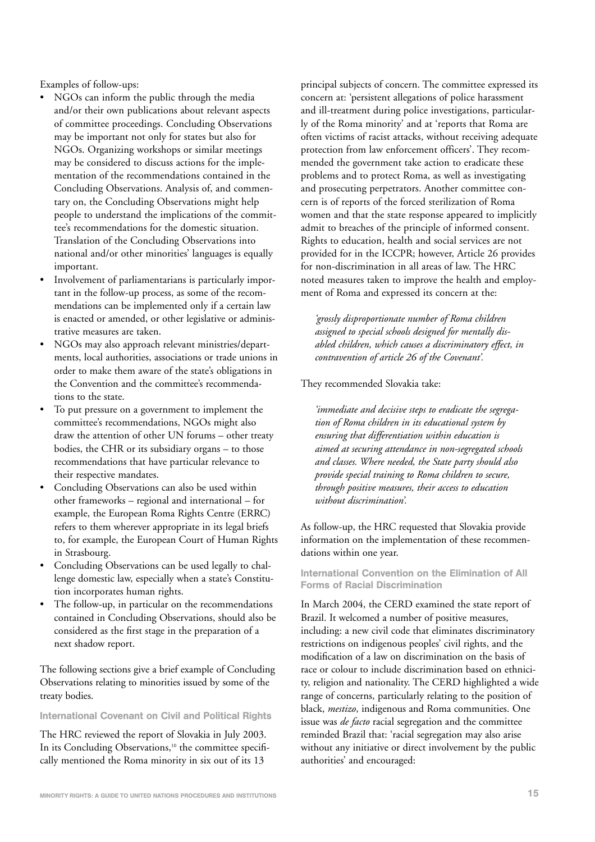Examples of follow-ups:

- NGOs can inform the public through the media and/or their own publications about relevant aspects of committee proceedings. Concluding Observations may be important not only for states but also for NGOs. Organizing workshops or similar meetings may be considered to discuss actions for the implementation of the recommendations contained in the Concluding Observations. Analysis of, and commentary on, the Concluding Observations might help people to understand the implications of the committee's recommendations for the domestic situation. Translation of the Concluding Observations into national and/or other minorities' languages is equally important.
- Involvement of parliamentarians is particularly important in the follow-up process, as some of the recommendations can be implemented only if a certain law is enacted or amended, or other legislative or administrative measures are taken.
- NGOs may also approach relevant ministries/departments, local authorities, associations or trade unions in order to make them aware of the state's obligations in the Convention and the committee's recommendations to the state.
- To put pressure on a government to implement the committee's recommendations, NGOs might also draw the attention of other UN forums – other treaty bodies, the CHR or its subsidiary organs – to those recommendations that have particular relevance to their respective mandates.
- Concluding Observations can also be used within other frameworks – regional and international – for example, the European Roma Rights Centre (ERRC) refers to them wherever appropriate in its legal briefs to, for example, the European Court of Human Rights in Strasbourg.
- Concluding Observations can be used legally to challenge domestic law, especially when a state's Constitution incorporates human rights.
- The follow-up, in particular on the recommendations contained in Concluding Observations, should also be considered as the first stage in the preparation of a next shadow report.

The following sections give a brief example of Concluding Observations relating to minorities issued by some of the treaty bodies.

International Covenant on Civil and Political Rights

The HRC reviewed the report of Slovakia in July 2003. In its Concluding Observations,<sup>10</sup> the committee specifically mentioned the Roma minority in six out of its 13

principal subjects of concern. The committee expressed its concern at: 'persistent allegations of police harassment and ill-treatment during police investigations, particularly of the Roma minority' and at 'reports that Roma are often victims of racist attacks, without receiving adequate protection from law enforcement officers'. They recommended the government take action to eradicate these problems and to protect Roma, as well as investigating and prosecuting perpetrators. Another committee concern is of reports of the forced sterilization of Roma women and that the state response appeared to implicitly admit to breaches of the principle of informed consent. Rights to education, health and social services are not provided for in the ICCPR; however, Article 26 provides for non-discrimination in all areas of law. The HRC noted measures taken to improve the health and employment of Roma and expressed its concern at the:

*'grossly disproportionate number of Roma children assigned to special schools designed for mentally disabled children, which causes a discriminatory effect, in contravention of article 26 of the Covenant'.* 

They recommended Slovakia take:

*'immediate and decisive steps to eradicate the segregation of Roma children in its educational system by ensuring that differentiation within education is aimed at securing attendance in non-segregated schools and classes. Where needed, the State party should also provide special training to Roma children to secure, through positive measures, their access to education without discrimination'.* 

As follow-up, the HRC requested that Slovakia provide information on the implementation of these recommendations within one year.

International Convention on the Elimination of All Forms of Racial Discrimination

In March 2004, the CERD examined the state report of Brazil. It welcomed a number of positive measures, including: a new civil code that eliminates discriminatory restrictions on indigenous peoples' civil rights, and the modification of a law on discrimination on the basis of race or colour to include discrimination based on ethnicity, religion and nationality. The CERD highlighted a wide range of concerns, particularly relating to the position of black, *mestizo*, indigenous and Roma communities. One issue was *de facto* racial segregation and the committee reminded Brazil that: 'racial segregation may also arise without any initiative or direct involvement by the public authorities' and encouraged: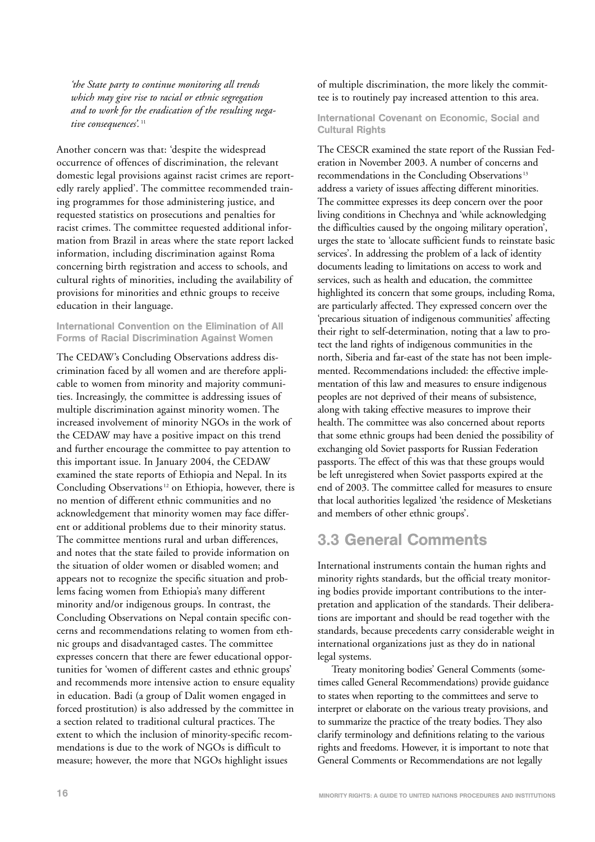*'the State party to continue monitoring all trends which may give rise to racial or ethnic segregation and to work for the eradication of the resulting negative consequences'.* <sup>11</sup>

Another concern was that: 'despite the widespread occurrence of offences of discrimination, the relevant domestic legal provisions against racist crimes are reportedly rarely applied'. The committee recommended training programmes for those administering justice, and requested statistics on prosecutions and penalties for racist crimes. The committee requested additional information from Brazil in areas where the state report lacked information, including discrimination against Roma concerning birth registration and access to schools, and cultural rights of minorities, including the availability of provisions for minorities and ethnic groups to receive education in their language.

#### International Convention on the Elimination of All Forms of Racial Discrimination Against Women

The CEDAW's Concluding Observations address discrimination faced by all women and are therefore applicable to women from minority and majority communities. Increasingly, the committee is addressing issues of multiple discrimination against minority women. The increased involvement of minority NGOs in the work of the CEDAW may have a positive impact on this trend and further encourage the committee to pay attention to this important issue. In January 2004, the CEDAW examined the state reports of Ethiopia and Nepal. In its Concluding Observations <sup>12</sup> on Ethiopia, however, there is no mention of different ethnic communities and no acknowledgement that minority women may face different or additional problems due to their minority status. The committee mentions rural and urban differences, and notes that the state failed to provide information on the situation of older women or disabled women; and appears not to recognize the specific situation and problems facing women from Ethiopia's many different minority and/or indigenous groups. In contrast, the Concluding Observations on Nepal contain specific concerns and recommendations relating to women from ethnic groups and disadvantaged castes. The committee expresses concern that there are fewer educational opportunities for 'women of different castes and ethnic groups' and recommends more intensive action to ensure equality in education. Badi (a group of Dalit women engaged in forced prostitution) is also addressed by the committee in a section related to traditional cultural practices. The extent to which the inclusion of minority-specific recommendations is due to the work of NGOs is difficult to measure; however, the more that NGOs highlight issues

#### of multiple discrimination, the more likely the committee is to routinely pay increased attention to this area.

#### International Covenant on Economic, Social and Cultural Rights

The CESCR examined the state report of the Russian Federation in November 2003. A number of concerns and recommendations in the Concluding Observations <sup>13</sup> address a variety of issues affecting different minorities. The committee expresses its deep concern over the poor living conditions in Chechnya and 'while acknowledging the difficulties caused by the ongoing military operation', urges the state to 'allocate sufficient funds to reinstate basic services'. In addressing the problem of a lack of identity documents leading to limitations on access to work and services, such as health and education, the committee highlighted its concern that some groups, including Roma, are particularly affected. They expressed concern over the 'precarious situation of indigenous communities' affecting their right to self-determination, noting that a law to protect the land rights of indigenous communities in the north, Siberia and far-east of the state has not been implemented. Recommendations included: the effective implementation of this law and measures to ensure indigenous peoples are not deprived of their means of subsistence, along with taking effective measures to improve their health. The committee was also concerned about reports that some ethnic groups had been denied the possibility of exchanging old Soviet passports for Russian Federation passports. The effect of this was that these groups would be left unregistered when Soviet passports expired at the end of 2003. The committee called for measures to ensure that local authorities legalized 'the residence of Mesketians and members of other ethnic groups'.

## 3.3 General Comments

International instruments contain the human rights and minority rights standards, but the official treaty monitoring bodies provide important contributions to the interpretation and application of the standards. Their deliberations are important and should be read together with the standards, because precedents carry considerable weight in international organizations just as they do in national legal systems.

Treaty monitoring bodies' General Comments (sometimes called General Recommendations) provide guidance to states when reporting to the committees and serve to interpret or elaborate on the various treaty provisions, and to summarize the practice of the treaty bodies. They also clarify terminology and definitions relating to the various rights and freedoms. However, it is important to note that General Comments or Recommendations are not legally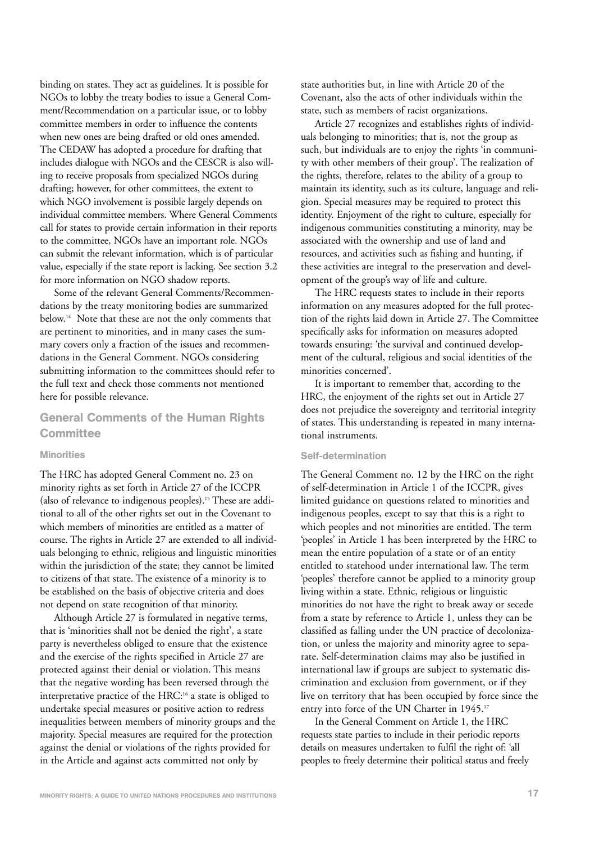binding on states. They act as guidelines. It is possible for NGOs to lobby the treaty bodies to issue a General Comment/Recommendation on a particular issue, or to lobby committee members in order to influence the contents when new ones are being drafted or old ones amended. The CEDAW has adopted a procedure for drafting that includes dialogue with NGOs and the CESCR is also willing to receive proposals from specialized NGOs during drafting; however, for other committees, the extent to which NGO involvement is possible largely depends on individual committee members. Where General Comments call for states to provide certain information in their reports to the committee, NGOs have an important role. NGOs can submit the relevant information, which is of particular value, especially if the state report is lacking. See section 3.2 for more information on NGO shadow reports.

Some of the relevant General Comments/Recommendations by the treaty monitoring bodies are summarized below.14 Note that these are not the only comments that are pertinent to minorities, and in many cases the summary covers only a fraction of the issues and recommendations in the General Comment. NGOs considering submitting information to the committees should refer to the full text and check those comments not mentioned here for possible relevance.

#### General Comments of the Human Rights **Committee**

#### **Minorities**

The HRC has adopted General Comment no. 23 on minority rights as set forth in Article 27 of the ICCPR (also of relevance to indigenous peoples).15 These are additional to all of the other rights set out in the Covenant to which members of minorities are entitled as a matter of course. The rights in Article 27 are extended to all individuals belonging to ethnic, religious and linguistic minorities within the jurisdiction of the state; they cannot be limited to citizens of that state. The existence of a minority is to be established on the basis of objective criteria and does not depend on state recognition of that minority.

Although Article 27 is formulated in negative terms, that is 'minorities shall not be denied the right', a state party is nevertheless obliged to ensure that the existence and the exercise of the rights specified in Article 27 are protected against their denial or violation. This means that the negative wording has been reversed through the interpretative practice of the HRC:<sup>16</sup> a state is obliged to undertake special measures or positive action to redress inequalities between members of minority groups and the majority. Special measures are required for the protection against the denial or violations of the rights provided for in the Article and against acts committed not only by

state authorities but, in line with Article 20 of the Covenant, also the acts of other individuals within the state, such as members of racist organizations.

Article 27 recognizes and establishes rights of individuals belonging to minorities; that is, not the group as such, but individuals are to enjoy the rights 'in community with other members of their group'. The realization of the rights, therefore, relates to the ability of a group to maintain its identity, such as its culture, language and religion. Special measures may be required to protect this identity. Enjoyment of the right to culture, especially for indigenous communities constituting a minority, may be associated with the ownership and use of land and resources, and activities such as fishing and hunting, if these activities are integral to the preservation and development of the group's way of life and culture.

The HRC requests states to include in their reports information on any measures adopted for the full protection of the rights laid down in Article 27. The Committee specifically asks for information on measures adopted towards ensuring: 'the survival and continued development of the cultural, religious and social identities of the minorities concerned'.

It is important to remember that, according to the HRC, the enjoyment of the rights set out in Article 27 does not prejudice the sovereignty and territorial integrity of states. This understanding is repeated in many international instruments.

#### Self-determination

The General Comment no. 12 by the HRC on the right of self-determination in Article 1 of the ICCPR, gives limited guidance on questions related to minorities and indigenous peoples, except to say that this is a right to which peoples and not minorities are entitled. The term 'peoples' in Article 1 has been interpreted by the HRC to mean the entire population of a state or of an entity entitled to statehood under international law. The term 'peoples' therefore cannot be applied to a minority group living within a state. Ethnic, religious or linguistic minorities do not have the right to break away or secede from a state by reference to Article 1, unless they can be classified as falling under the UN practice of decolonization, or unless the majority and minority agree to separate. Self-determination claims may also be justified in international law if groups are subject to systematic discrimination and exclusion from government, or if they live on territory that has been occupied by force since the entry into force of the UN Charter in 1945.<sup>17</sup>

In the General Comment on Article 1, the HRC requests state parties to include in their periodic reports details on measures undertaken to fulfil the right of: 'all peoples to freely determine their political status and freely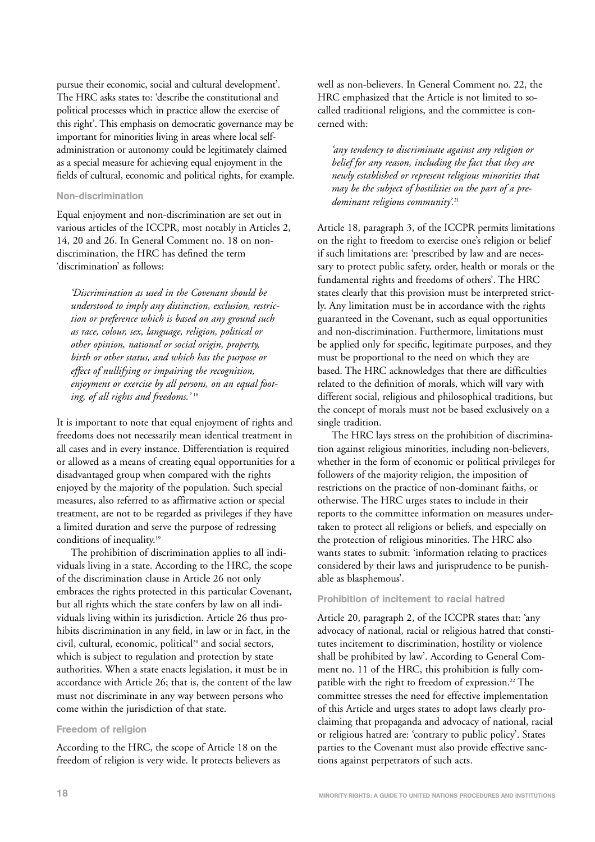pursue their economic, social and cultural development'. The HRC asks states to: 'describe the constitutional and political processes which in practice allow the exercise of this right'. This emphasis on democratic governance may be important for minorities living in areas where local selfadministration or autonomy could be legitimately claimed as a special measure for achieving equal enjoyment in the fields of cultural, economic and political rights, for example.

#### Non-discrimination

Equal enjoyment and non-discrimination are set out in various articles of the ICCPR, most notably in Articles 2, 14, 20 and 26. In General Comment no. 18 on nondiscrimination, the HRC has defined the term 'discrimination' as follows:

*'Discrimination as used in the Covenant should be understood to imply any distinction, exclusion, restriction or preference which is based on any ground such as race, colour, sex, language, religion, political or other opinion, national or social origin, property, birth or other status, and which has the purpose or effect of nullifying or impairing the recognition, enjoyment or exercise by all persons, on an equal footing, of all rights and freedoms.'* <sup>18</sup>

It is important to note that equal enjoyment of rights and freedoms does not necessarily mean identical treatment in all cases and in every instance. Differentiation is required or allowed as a means of creating equal opportunities for a disadvantaged group when compared with the rights enjoyed by the majority of the population. Such special measures, also referred to as affirmative action or special treatment, are not to be regarded as privileges if they have a limited duration and serve the purpose of redressing conditions of inequality.<sup>19</sup>

The prohibition of discrimination applies to all individuals living in a state. According to the HRC, the scope of the discrimination clause in Article 26 not only embraces the rights protected in this particular Covenant, but all rights which the state confers by law on all individuals living within its jurisdiction. Article 26 thus prohibits discrimination in any field, in law or in fact, in the civil, cultural, economic, political<sup>20</sup> and social sectors, which is subject to regulation and protection by state authorities. When a state enacts legislation, it must be in accordance with Article 26; that is, the content of the law must not discriminate in any way between persons who come within the jurisdiction of that state.

#### Freedom of religion

According to the HRC, the scope of Article 18 on the freedom of religion is very wide. It protects believers as well as non-believers. In General Comment no. 22, the HRC emphasized that the Article is not limited to socalled traditional religions, and the committee is concerned with:

*'any tendency to discriminate against any religion or belief for any reason, including the fact that they are newly established or represent religious minorities that may be the subject of hostilities on the part of a predominant religious community'.*<sup>21</sup>

Article 18, paragraph 3, of the ICCPR permits limitations on the right to freedom to exercise one's religion or belief if such limitations are: 'prescribed by law and are necessary to protect public safety, order, health or morals or the fundamental rights and freedoms of others'. The HRC states clearly that this provision must be interpreted strictly. Any limitation must be in accordance with the rights guaranteed in the Covenant, such as equal opportunities and non-discrimination. Furthermore, limitations must be applied only for specific, legitimate purposes, and they must be proportional to the need on which they are based. The HRC acknowledges that there are difficulties related to the definition of morals, which will vary with different social, religious and philosophical traditions, but the concept of morals must not be based exclusively on a single tradition.

The HRC lays stress on the prohibition of discrimination against religious minorities, including non-believers, whether in the form of economic or political privileges for followers of the majority religion, the imposition of restrictions on the practice of non-dominant faiths, or otherwise. The HRC urges states to include in their reports to the committee information on measures undertaken to protect all religions or beliefs, and especially on the protection of religious minorities. The HRC also wants states to submit: 'information relating to practices considered by their laws and jurisprudence to be punishable as blasphemous'.

#### Prohibition of incitement to racial hatred

Article 20, paragraph 2, of the ICCPR states that: 'any advocacy of national, racial or religious hatred that constitutes incitement to discrimination, hostility or violence shall be prohibited by law'. According to General Comment no. 11 of the HRC, this prohibition is fully compatible with the right to freedom of expression.<sup>22</sup> The committee stresses the need for effective implementation of this Article and urges states to adopt laws clearly proclaiming that propaganda and advocacy of national, racial or religious hatred are: 'contrary to public policy'. States parties to the Covenant must also provide effective sanctions against perpetrators of such acts.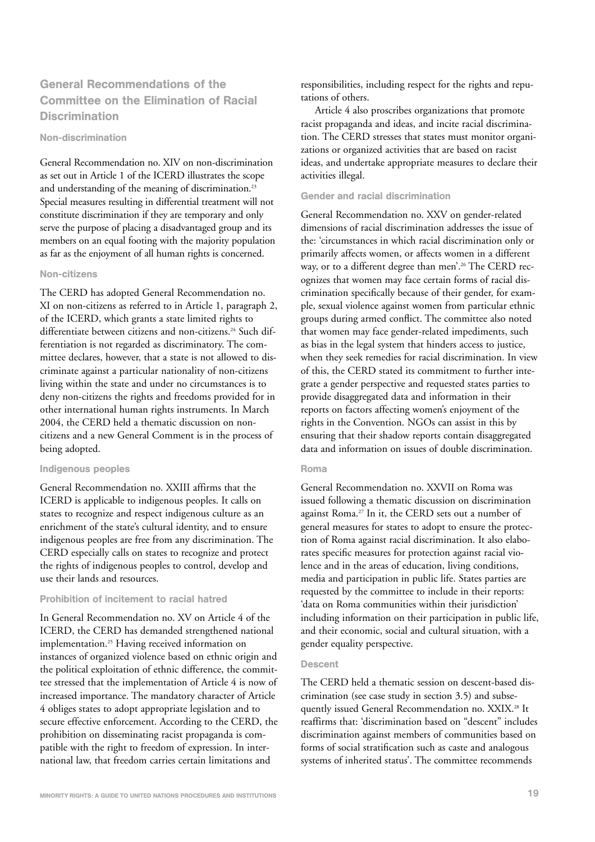## General Recommendations of the Committee on the Elimination of Racial **Discrimination**

#### Non-discrimination

General Recommendation no. XIV on non-discrimination as set out in Article 1 of the ICERD illustrates the scope and understanding of the meaning of discrimination.<sup>23</sup> Special measures resulting in differential treatment will not constitute discrimination if they are temporary and only serve the purpose of placing a disadvantaged group and its members on an equal footing with the majority population as far as the enjoyment of all human rights is concerned.

#### Non-citizens

The CERD has adopted General Recommendation no. XI on non-citizens as referred to in Article 1, paragraph 2, of the ICERD, which grants a state limited rights to differentiate between citizens and non-citizens.<sup>24</sup> Such differentiation is not regarded as discriminatory. The committee declares, however, that a state is not allowed to discriminate against a particular nationality of non-citizens living within the state and under no circumstances is to deny non-citizens the rights and freedoms provided for in other international human rights instruments. In March 2004, the CERD held a thematic discussion on noncitizens and a new General Comment is in the process of being adopted.

#### Indigenous peoples

General Recommendation no. XXIII affirms that the ICERD is applicable to indigenous peoples. It calls on states to recognize and respect indigenous culture as an enrichment of the state's cultural identity, and to ensure indigenous peoples are free from any discrimination. The CERD especially calls on states to recognize and protect the rights of indigenous peoples to control, develop and use their lands and resources.

#### Prohibition of incitement to racial hatred

In General Recommendation no. XV on Article 4 of the ICERD, the CERD has demanded strengthened national implementation.25 Having received information on instances of organized violence based on ethnic origin and the political exploitation of ethnic difference, the committee stressed that the implementation of Article 4 is now of increased importance. The mandatory character of Article 4 obliges states to adopt appropriate legislation and to secure effective enforcement. According to the CERD, the prohibition on disseminating racist propaganda is compatible with the right to freedom of expression. In international law, that freedom carries certain limitations and

responsibilities, including respect for the rights and reputations of others.

Article 4 also proscribes organizations that promote racist propaganda and ideas, and incite racial discrimination. The CERD stresses that states must monitor organizations or organized activities that are based on racist ideas, and undertake appropriate measures to declare their activities illegal.

#### Gender and racial discrimination

General Recommendation no. XXV on gender-related dimensions of racial discrimination addresses the issue of the: 'circumstances in which racial discrimination only or primarily affects women, or affects women in a different way, or to a different degree than men'.<sup>26</sup> The CERD recognizes that women may face certain forms of racial discrimination specifically because of their gender, for example, sexual violence against women from particular ethnic groups during armed conflict. The committee also noted that women may face gender-related impediments, such as bias in the legal system that hinders access to justice, when they seek remedies for racial discrimination. In view of this, the CERD stated its commitment to further integrate a gender perspective and requested states parties to provide disaggregated data and information in their reports on factors affecting women's enjoyment of the rights in the Convention. NGOs can assist in this by ensuring that their shadow reports contain disaggregated data and information on issues of double discrimination.

#### Roma

General Recommendation no. XXVII on Roma was issued following a thematic discussion on discrimination against Roma.<sup>27</sup> In it, the CERD sets out a number of general measures for states to adopt to ensure the protection of Roma against racial discrimination. It also elaborates specific measures for protection against racial violence and in the areas of education, living conditions, media and participation in public life. States parties are requested by the committee to include in their reports: 'data on Roma communities within their jurisdiction' including information on their participation in public life, and their economic, social and cultural situation, with a gender equality perspective.

#### **Descent**

The CERD held a thematic session on descent-based discrimination (see case study in section 3.5) and subsequently issued General Recommendation no. XXIX.<sup>28</sup> It reaffirms that: 'discrimination based on "descent" includes discrimination against members of communities based on forms of social stratification such as caste and analogous systems of inherited status'. The committee recommends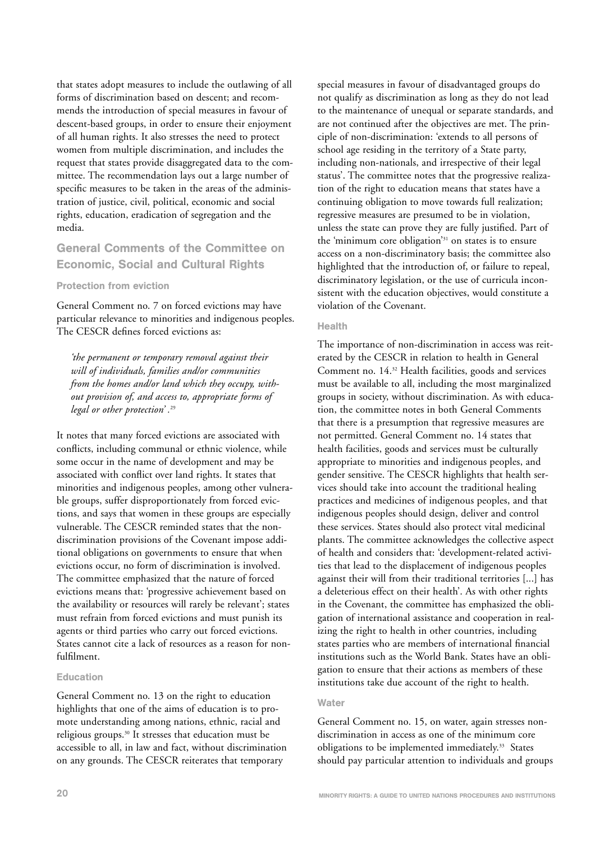that states adopt measures to include the outlawing of all forms of discrimination based on descent; and recommends the introduction of special measures in favour of descent-based groups, in order to ensure their enjoyment of all human rights. It also stresses the need to protect women from multiple discrimination, and includes the request that states provide disaggregated data to the committee. The recommendation lays out a large number of specific measures to be taken in the areas of the administration of justice, civil, political, economic and social rights, education, eradication of segregation and the media.

### General Comments of the Committee on Economic, Social and Cultural Rights

#### Protection from eviction

General Comment no. 7 on forced evictions may have particular relevance to minorities and indigenous peoples. The CESCR defines forced evictions as:

*'the permanent or temporary removal against their will of individuals, families and/or communities from the homes and/or land which they occupy, without provision of, and access to, appropriate forms of legal or other protection' .*<sup>29</sup>

It notes that many forced evictions are associated with conflicts, including communal or ethnic violence, while some occur in the name of development and may be associated with conflict over land rights. It states that minorities and indigenous peoples, among other vulnerable groups, suffer disproportionately from forced evictions, and says that women in these groups are especially vulnerable. The CESCR reminded states that the nondiscrimination provisions of the Covenant impose additional obligations on governments to ensure that when evictions occur, no form of discrimination is involved. The committee emphasized that the nature of forced evictions means that: 'progressive achievement based on the availability or resources will rarely be relevant'; states must refrain from forced evictions and must punish its agents or third parties who carry out forced evictions. States cannot cite a lack of resources as a reason for nonfulfilment.

#### Education

General Comment no. 13 on the right to education highlights that one of the aims of education is to promote understanding among nations, ethnic, racial and religious groups.30 It stresses that education must be accessible to all, in law and fact, without discrimination on any grounds. The CESCR reiterates that temporary

special measures in favour of disadvantaged groups do not qualify as discrimination as long as they do not lead to the maintenance of unequal or separate standards, and are not continued after the objectives are met. The principle of non-discrimination: 'extends to all persons of school age residing in the territory of a State party, including non-nationals, and irrespective of their legal status'. The committee notes that the progressive realization of the right to education means that states have a continuing obligation to move towards full realization; regressive measures are presumed to be in violation, unless the state can prove they are fully justified. Part of the 'minimum core obligation'31 on states is to ensure access on a non-discriminatory basis; the committee also highlighted that the introduction of, or failure to repeal, discriminatory legislation, or the use of curricula inconsistent with the education objectives, would constitute a violation of the Covenant.

#### Health

The importance of non-discrimination in access was reiterated by the CESCR in relation to health in General Comment no. 14.32 Health facilities, goods and services must be available to all, including the most marginalized groups in society, without discrimination. As with education, the committee notes in both General Comments that there is a presumption that regressive measures are not permitted. General Comment no. 14 states that health facilities, goods and services must be culturally appropriate to minorities and indigenous peoples, and gender sensitive. The CESCR highlights that health services should take into account the traditional healing practices and medicines of indigenous peoples, and that indigenous peoples should design, deliver and control these services. States should also protect vital medicinal plants. The committee acknowledges the collective aspect of health and considers that: 'development-related activities that lead to the displacement of indigenous peoples against their will from their traditional territories [...] has a deleterious effect on their health'. As with other rights in the Covenant, the committee has emphasized the obligation of international assistance and cooperation in realizing the right to health in other countries, including states parties who are members of international financial institutions such as the World Bank. States have an obligation to ensure that their actions as members of these institutions take due account of the right to health.

#### **Water**

General Comment no. 15, on water, again stresses nondiscrimination in access as one of the minimum core obligations to be implemented immediately.<sup>33</sup> States should pay particular attention to individuals and groups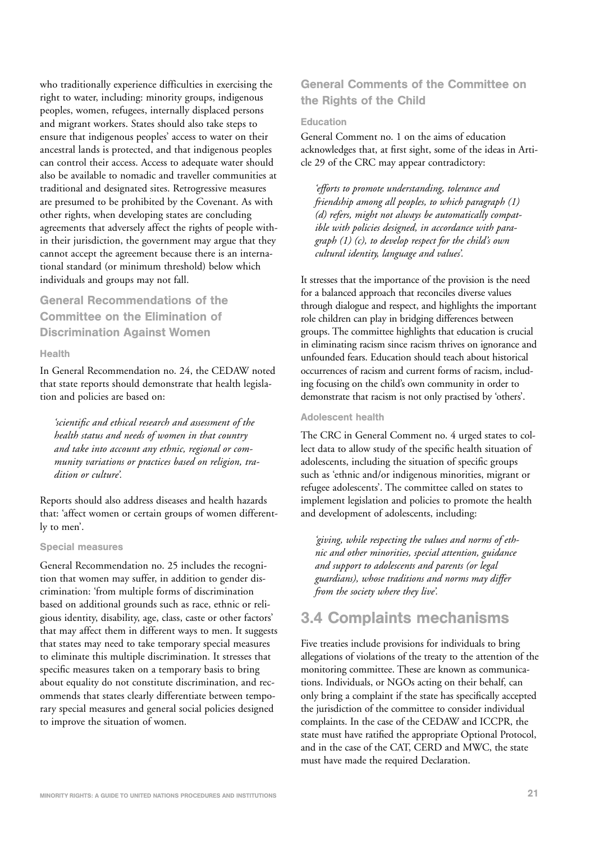who traditionally experience difficulties in exercising the right to water, including: minority groups, indigenous peoples, women, refugees, internally displaced persons and migrant workers. States should also take steps to ensure that indigenous peoples' access to water on their ancestral lands is protected, and that indigenous peoples can control their access. Access to adequate water should also be available to nomadic and traveller communities at traditional and designated sites. Retrogressive measures are presumed to be prohibited by the Covenant. As with other rights, when developing states are concluding agreements that adversely affect the rights of people within their jurisdiction, the government may argue that they cannot accept the agreement because there is an international standard (or minimum threshold) below which individuals and groups may not fall.

## General Recommendations of the Committee on the Elimination of Discrimination Against Women

#### Health

In General Recommendation no. 24, the CEDAW noted that state reports should demonstrate that health legislation and policies are based on:

*'scientific and ethical research and assessment of the health status and needs of women in that country and take into account any ethnic, regional or community variations or practices based on religion, tradition or culture'.*

Reports should also address diseases and health hazards that: 'affect women or certain groups of women differently to men'.

#### Special measures

General Recommendation no. 25 includes the recognition that women may suffer, in addition to gender discrimination: 'from multiple forms of discrimination based on additional grounds such as race, ethnic or religious identity, disability, age, class, caste or other factors' that may affect them in different ways to men. It suggests that states may need to take temporary special measures to eliminate this multiple discrimination. It stresses that specific measures taken on a temporary basis to bring about equality do not constitute discrimination, and recommends that states clearly differentiate between temporary special measures and general social policies designed to improve the situation of women.

#### General Comments of the Committee on the Rights of the Child

#### Education

General Comment no. 1 on the aims of education acknowledges that, at first sight, some of the ideas in Article 29 of the CRC may appear contradictory:

*'efforts to promote understanding, tolerance and friendship among all peoples, to which paragraph (1) (d) refers, might not always be automatically compatible with policies designed, in accordance with paragraph (1) (c), to develop respect for the child's own cultural identity, language and values'.* 

It stresses that the importance of the provision is the need for a balanced approach that reconciles diverse values through dialogue and respect, and highlights the important role children can play in bridging differences between groups. The committee highlights that education is crucial in eliminating racism since racism thrives on ignorance and unfounded fears. Education should teach about historical occurrences of racism and current forms of racism, including focusing on the child's own community in order to demonstrate that racism is not only practised by 'others'.

#### Adolescent health

The CRC in General Comment no. 4 urged states to collect data to allow study of the specific health situation of adolescents, including the situation of specific groups such as 'ethnic and/or indigenous minorities, migrant or refugee adolescents'. The committee called on states to implement legislation and policies to promote the health and development of adolescents, including:

*'giving, while respecting the values and norms of ethnic and other minorities, special attention, guidance and support to adolescents and parents (or legal guardians), whose traditions and norms may differ from the society where they live'.*

## 3.4 Complaints mechanisms

Five treaties include provisions for individuals to bring allegations of violations of the treaty to the attention of the monitoring committee. These are known as communications. Individuals, or NGOs acting on their behalf, can only bring a complaint if the state has specifically accepted the jurisdiction of the committee to consider individual complaints. In the case of the CEDAW and ICCPR, the state must have ratified the appropriate Optional Protocol, and in the case of the CAT, CERD and MWC, the state must have made the required Declaration.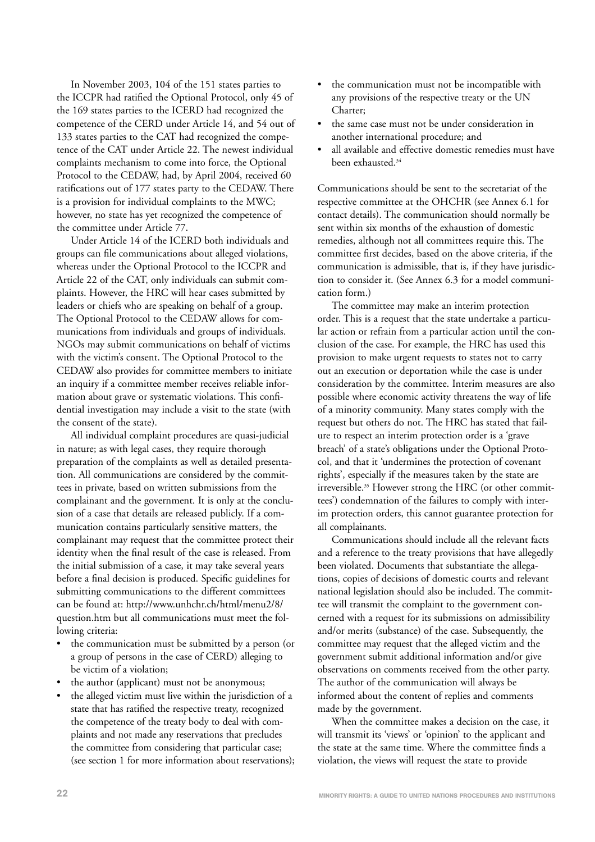In November 2003, 104 of the 151 states parties to the ICCPR had ratified the Optional Protocol, only 45 of the 169 states parties to the ICERD had recognized the competence of the CERD under Article 14, and 54 out of 133 states parties to the CAT had recognized the competence of the CAT under Article 22. The newest individual complaints mechanism to come into force, the Optional Protocol to the CEDAW, had, by April 2004, received 60 ratifications out of 177 states party to the CEDAW. There is a provision for individual complaints to the MWC; however, no state has yet recognized the competence of the committee under Article 77.

Under Article 14 of the ICERD both individuals and groups can file communications about alleged violations, whereas under the Optional Protocol to the ICCPR and Article 22 of the CAT, only individuals can submit complaints. However, the HRC will hear cases submitted by leaders or chiefs who are speaking on behalf of a group. The Optional Protocol to the CEDAW allows for communications from individuals and groups of individuals. NGOs may submit communications on behalf of victims with the victim's consent. The Optional Protocol to the CEDAW also provides for committee members to initiate an inquiry if a committee member receives reliable information about grave or systematic violations. This confidential investigation may include a visit to the state (with the consent of the state).

All individual complaint procedures are quasi-judicial in nature; as with legal cases, they require thorough preparation of the complaints as well as detailed presentation. All communications are considered by the committees in private, based on written submissions from the complainant and the government. It is only at the conclusion of a case that details are released publicly. If a communication contains particularly sensitive matters, the complainant may request that the committee protect their identity when the final result of the case is released. From the initial submission of a case, it may take several years before a final decision is produced. Specific guidelines for submitting communications to the different committees can be found at: http://www.unhchr.ch/html/menu2/8/ question.htm but all communications must meet the following criteria:

- the communication must be submitted by a person (or a group of persons in the case of CERD) alleging to be victim of a violation;
- the author (applicant) must not be anonymous;
- the alleged victim must live within the jurisdiction of a state that has ratified the respective treaty, recognized the competence of the treaty body to deal with complaints and not made any reservations that precludes the committee from considering that particular case; (see section 1 for more information about reservations);
- the communication must not be incompatible with any provisions of the respective treaty or the UN Charter;
- the same case must not be under consideration in another international procedure; and
- all available and effective domestic remedies must have been exhausted.34

Communications should be sent to the secretariat of the respective committee at the OHCHR (see Annex 6.1 for contact details). The communication should normally be sent within six months of the exhaustion of domestic remedies, although not all committees require this. The committee first decides, based on the above criteria, if the communication is admissible, that is, if they have jurisdiction to consider it. (See Annex 6.3 for a model communication form.)

The committee may make an interim protection order. This is a request that the state undertake a particular action or refrain from a particular action until the conclusion of the case. For example, the HRC has used this provision to make urgent requests to states not to carry out an execution or deportation while the case is under consideration by the committee. Interim measures are also possible where economic activity threatens the way of life of a minority community. Many states comply with the request but others do not. The HRC has stated that failure to respect an interim protection order is a 'grave breach' of a state's obligations under the Optional Protocol, and that it 'undermines the protection of covenant rights', especially if the measures taken by the state are irreversible.35 However strong the HRC (or other committees') condemnation of the failures to comply with interim protection orders, this cannot guarantee protection for all complainants.

Communications should include all the relevant facts and a reference to the treaty provisions that have allegedly been violated. Documents that substantiate the allegations, copies of decisions of domestic courts and relevant national legislation should also be included. The committee will transmit the complaint to the government concerned with a request for its submissions on admissibility and/or merits (substance) of the case. Subsequently, the committee may request that the alleged victim and the government submit additional information and/or give observations on comments received from the other party. The author of the communication will always be informed about the content of replies and comments made by the government.

When the committee makes a decision on the case, it will transmit its 'views' or 'opinion' to the applicant and the state at the same time. Where the committee finds a violation, the views will request the state to provide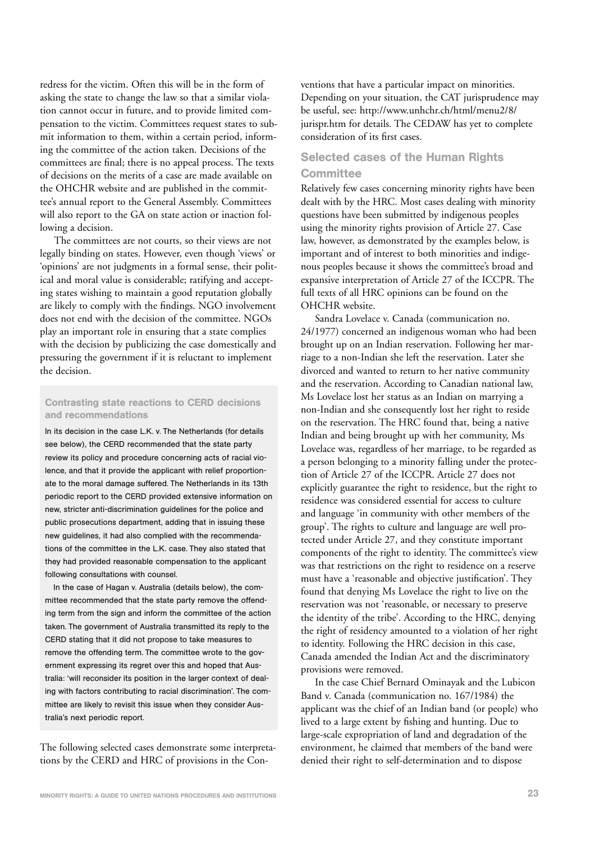redress for the victim. Often this will be in the form of asking the state to change the law so that a similar violation cannot occur in future, and to provide limited compensation to the victim. Committees request states to submit information to them, within a certain period, informing the committee of the action taken. Decisions of the committees are final; there is no appeal process. The texts of decisions on the merits of a case are made available on the OHCHR website and are published in the committee's annual report to the General Assembly. Committees will also report to the GA on state action or inaction following a decision.

The committees are not courts, so their views are not legally binding on states. However, even though 'views' or 'opinions' are not judgments in a formal sense, their political and moral value is considerable; ratifying and accepting states wishing to maintain a good reputation globally are likely to comply with the findings. NGO involvement does not end with the decision of the committee. NGOs play an important role in ensuring that a state complies with the decision by publicizing the case domestically and pressuring the government if it is reluctant to implement the decision.

#### Contrasting state reactions to CERD decisions and recommendations

In its decision in the case L.K. v. The Netherlands (for details see below), the CERD recommended that the state party review its policy and procedure concerning acts of racial violence, and that it provide the applicant with relief proportionate to the moral damage suffered. The Netherlands in its 13th periodic report to the CERD provided extensive information on new, stricter anti-discrimination guidelines for the police and public prosecutions department, adding that in issuing these new guidelines, it had also complied with the recommendations of the committee in the L.K. case. They also stated that they had provided reasonable compensation to the applicant following consultations with counsel.

In the case of Hagan v. Australia (details below), the committee recommended that the state party remove the offending term from the sign and inform the committee of the action taken. The government of Australia transmitted its reply to the CERD stating that it did not propose to take measures to remove the offending term. The committee wrote to the government expressing its regret over this and hoped that Australia: 'will reconsider its position in the larger context of dealing with factors contributing to racial discrimination'. The committee are likely to revisit this issue when they consider Australia's next periodic report.

The following selected cases demonstrate some interpretations by the CERD and HRC of provisions in the Conventions that have a particular impact on minorities. Depending on your situation, the CAT jurisprudence may be useful, see: http://www.unhchr.ch/html/menu2/8/ jurispr.htm for details. The CEDAW has yet to complete consideration of its first cases.

#### Selected cases of the Human Rights **Committee**

Relatively few cases concerning minority rights have been dealt with by the HRC. Most cases dealing with minority questions have been submitted by indigenous peoples using the minority rights provision of Article 27. Case law, however, as demonstrated by the examples below, is important and of interest to both minorities and indigenous peoples because it shows the committee's broad and expansive interpretation of Article 27 of the ICCPR. The full texts of all HRC opinions can be found on the OHCHR website.

Sandra Lovelace v. Canada (communication no. 24/1977) concerned an indigenous woman who had been brought up on an Indian reservation. Following her marriage to a non-Indian she left the reservation. Later she divorced and wanted to return to her native community and the reservation. According to Canadian national law, Ms Lovelace lost her status as an Indian on marrying a non-Indian and she consequently lost her right to reside on the reservation. The HRC found that, being a native Indian and being brought up with her community, Ms Lovelace was, regardless of her marriage, to be regarded as a person belonging to a minority falling under the protection of Article 27 of the ICCPR. Article 27 does not explicitly guarantee the right to residence, but the right to residence was considered essential for access to culture and language 'in community with other members of the group'. The rights to culture and language are well protected under Article 27, and they constitute important components of the right to identity. The committee's view was that restrictions on the right to residence on a reserve must have a 'reasonable and objective justification'. They found that denying Ms Lovelace the right to live on the reservation was not 'reasonable, or necessary to preserve the identity of the tribe'. According to the HRC, denying the right of residency amounted to a violation of her right to identity. Following the HRC decision in this case, Canada amended the Indian Act and the discriminatory provisions were removed.

In the case Chief Bernard Ominayak and the Lubicon Band v. Canada (communication no. 167/1984) the applicant was the chief of an Indian band (or people) who lived to a large extent by fishing and hunting. Due to large-scale expropriation of land and degradation of the environment, he claimed that members of the band were denied their right to self-determination and to dispose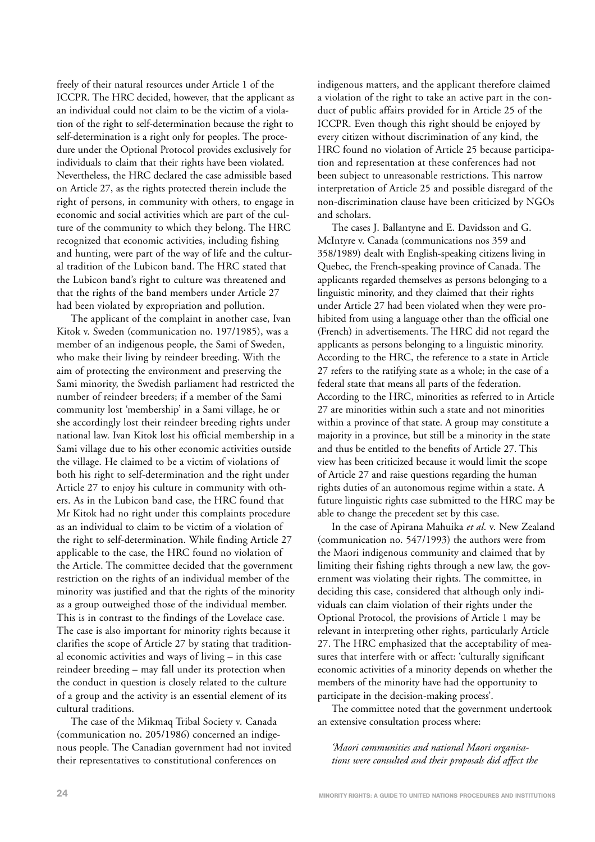freely of their natural resources under Article 1 of the ICCPR. The HRC decided, however, that the applicant as an individual could not claim to be the victim of a violation of the right to self-determination because the right to self-determination is a right only for peoples. The procedure under the Optional Protocol provides exclusively for individuals to claim that their rights have been violated. Nevertheless, the HRC declared the case admissible based on Article 27, as the rights protected therein include the right of persons, in community with others, to engage in economic and social activities which are part of the culture of the community to which they belong. The HRC recognized that economic activities, including fishing and hunting, were part of the way of life and the cultural tradition of the Lubicon band. The HRC stated that the Lubicon band's right to culture was threatened and that the rights of the band members under Article 27 had been violated by expropriation and pollution.

The applicant of the complaint in another case, Ivan Kitok v. Sweden (communication no. 197/1985), was a member of an indigenous people, the Sami of Sweden, who make their living by reindeer breeding. With the aim of protecting the environment and preserving the Sami minority, the Swedish parliament had restricted the number of reindeer breeders; if a member of the Sami community lost 'membership' in a Sami village, he or she accordingly lost their reindeer breeding rights under national law. Ivan Kitok lost his official membership in a Sami village due to his other economic activities outside the village. He claimed to be a victim of violations of both his right to self-determination and the right under Article 27 to enjoy his culture in community with others. As in the Lubicon band case, the HRC found that Mr Kitok had no right under this complaints procedure as an individual to claim to be victim of a violation of the right to self-determination. While finding Article 27 applicable to the case, the HRC found no violation of the Article. The committee decided that the government restriction on the rights of an individual member of the minority was justified and that the rights of the minority as a group outweighed those of the individual member. This is in contrast to the findings of the Lovelace case. The case is also important for minority rights because it clarifies the scope of Article 27 by stating that traditional economic activities and ways of living – in this case reindeer breeding – may fall under its protection when the conduct in question is closely related to the culture of a group and the activity is an essential element of its cultural traditions.

The case of the Mikmaq Tribal Society v. Canada (communication no. 205/1986) concerned an indigenous people. The Canadian government had not invited their representatives to constitutional conferences on

indigenous matters, and the applicant therefore claimed a violation of the right to take an active part in the conduct of public affairs provided for in Article 25 of the ICCPR. Even though this right should be enjoyed by every citizen without discrimination of any kind, the HRC found no violation of Article 25 because participation and representation at these conferences had not been subject to unreasonable restrictions. This narrow interpretation of Article 25 and possible disregard of the non-discrimination clause have been criticized by NGOs and scholars.

The cases J. Ballantyne and E. Davidsson and G. McIntyre v. Canada (communications nos 359 and 358/1989) dealt with English-speaking citizens living in Quebec, the French-speaking province of Canada. The applicants regarded themselves as persons belonging to a linguistic minority, and they claimed that their rights under Article 27 had been violated when they were prohibited from using a language other than the official one (French) in advertisements. The HRC did not regard the applicants as persons belonging to a linguistic minority. According to the HRC, the reference to a state in Article 27 refers to the ratifying state as a whole; in the case of a federal state that means all parts of the federation. According to the HRC, minorities as referred to in Article 27 are minorities within such a state and not minorities within a province of that state. A group may constitute a majority in a province, but still be a minority in the state and thus be entitled to the benefits of Article 27. This view has been criticized because it would limit the scope of Article 27 and raise questions regarding the human rights duties of an autonomous regime within a state. A future linguistic rights case submitted to the HRC may be able to change the precedent set by this case.

In the case of Apirana Mahuika *et al*. v. New Zealand (communication no. 547/1993) the authors were from the Maori indigenous community and claimed that by limiting their fishing rights through a new law, the government was violating their rights. The committee, in deciding this case, considered that although only individuals can claim violation of their rights under the Optional Protocol, the provisions of Article 1 may be relevant in interpreting other rights, particularly Article 27. The HRC emphasized that the acceptability of measures that interfere with or affect: 'culturally significant economic activities of a minority depends on whether the members of the minority have had the opportunity to participate in the decision-making process'.

The committee noted that the government undertook an extensive consultation process where:

*'Maori communities and national Maori organisations were consulted and their proposals did affect the*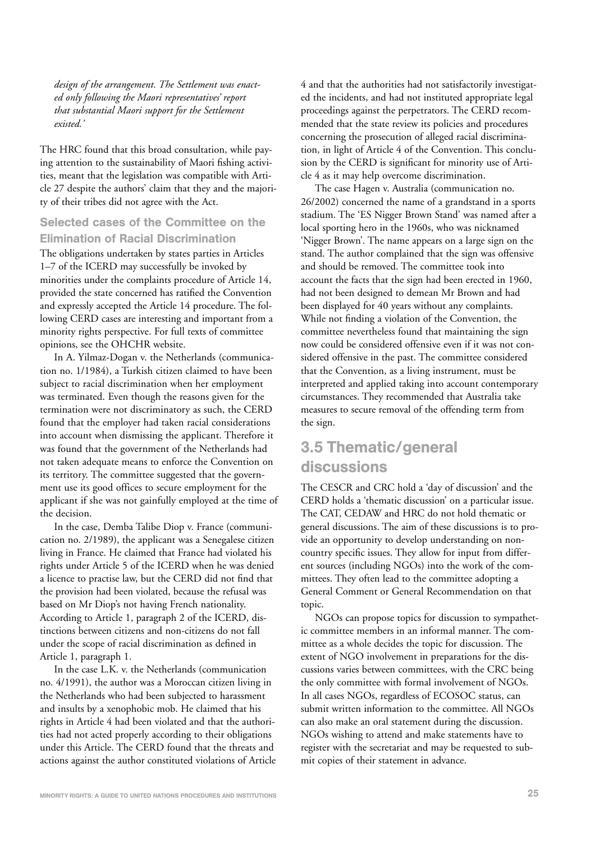*design of the arrangement. The Settlement was enacted only following the Maori representatives' report that substantial Maori support for the Settlement existed.'*

The HRC found that this broad consultation, while paying attention to the sustainability of Maori fishing activities, meant that the legislation was compatible with Article 27 despite the authors' claim that they and the majority of their tribes did not agree with the Act.

#### Selected cases of the Committee on the Elimination of Racial Discrimination

The obligations undertaken by states parties in Articles 1–7 of the ICERD may successfully be invoked by minorities under the complaints procedure of Article 14, provided the state concerned has ratified the Convention and expressly accepted the Article 14 procedure. The following CERD cases are interesting and important from a minority rights perspective. For full texts of committee opinions, see the OHCHR website.

In A. Yilmaz-Dogan v. the Netherlands (communication no. 1/1984), a Turkish citizen claimed to have been subject to racial discrimination when her employment was terminated. Even though the reasons given for the termination were not discriminatory as such, the CERD found that the employer had taken racial considerations into account when dismissing the applicant. Therefore it was found that the government of the Netherlands had not taken adequate means to enforce the Convention on its territory. The committee suggested that the government use its good offices to secure employment for the applicant if she was not gainfully employed at the time of the decision.

In the case, Demba Talibe Diop v. France (communication no. 2/1989), the applicant was a Senegalese citizen living in France. He claimed that France had violated his rights under Article 5 of the ICERD when he was denied a licence to practise law, but the CERD did not find that the provision had been violated, because the refusal was based on Mr Diop's not having French nationality. According to Article 1, paragraph 2 of the ICERD, distinctions between citizens and non-citizens do not fall under the scope of racial discrimination as defined in Article 1, paragraph 1.

In the case L.K. v. the Netherlands (communication no. 4/1991), the author was a Moroccan citizen living in the Netherlands who had been subjected to harassment and insults by a xenophobic mob. He claimed that his rights in Article 4 had been violated and that the authorities had not acted properly according to their obligations under this Article. The CERD found that the threats and actions against the author constituted violations of Article

4 and that the authorities had not satisfactorily investigated the incidents, and had not instituted appropriate legal proceedings against the perpetrators. The CERD recommended that the state review its policies and procedures concerning the prosecution of alleged racial discrimination, in light of Article 4 of the Convention. This conclusion by the CERD is significant for minority use of Article 4 as it may help overcome discrimination.

The case Hagen v. Australia (communication no. 26/2002) concerned the name of a grandstand in a sports stadium. The 'ES Nigger Brown Stand' was named after a local sporting hero in the 1960s, who was nicknamed 'Nigger Brown'. The name appears on a large sign on the stand. The author complained that the sign was offensive and should be removed. The committee took into account the facts that the sign had been erected in 1960, had not been designed to demean Mr Brown and had been displayed for 40 years without any complaints. While not finding a violation of the Convention, the committee nevertheless found that maintaining the sign now could be considered offensive even if it was not considered offensive in the past. The committee considered that the Convention, as a living instrument, must be interpreted and applied taking into account contemporary circumstances. They recommended that Australia take measures to secure removal of the offending term from the sign.

# 3.5 Thematic/general discussions

The CESCR and CRC hold a 'day of discussion' and the CERD holds a 'thematic discussion' on a particular issue. The CAT, CEDAW and HRC do not hold thematic or general discussions. The aim of these discussions is to provide an opportunity to develop understanding on noncountry specific issues. They allow for input from different sources (including NGOs) into the work of the committees. They often lead to the committee adopting a General Comment or General Recommendation on that topic.

NGOs can propose topics for discussion to sympathetic committee members in an informal manner. The committee as a whole decides the topic for discussion. The extent of NGO involvement in preparations for the discussions varies between committees, with the CRC being the only committee with formal involvement of NGOs. In all cases NGOs, regardless of ECOSOC status, can submit written information to the committee. All NGOs can also make an oral statement during the discussion. NGOs wishing to attend and make statements have to register with the secretariat and may be requested to submit copies of their statement in advance.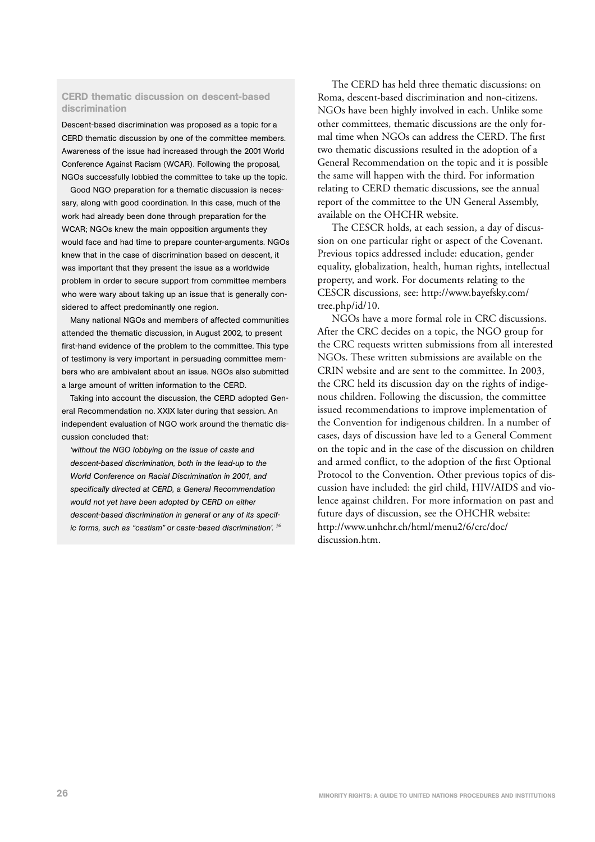#### CERD thematic discussion on descent-based discrimination

Descent-based discrimination was proposed as a topic for a CERD thematic discussion by one of the committee members. Awareness of the issue had increased through the 2001 World Conference Against Racism (WCAR). Following the proposal, NGOs successfully lobbied the committee to take up the topic.

Good NGO preparation for a thematic discussion is necessary, along with good coordination. In this case, much of the work had already been done through preparation for the WCAR; NGOs knew the main opposition arguments they would face and had time to prepare counter-arguments. NGOs knew that in the case of discrimination based on descent, it was important that they present the issue as a worldwide problem in order to secure support from committee members who were wary about taking up an issue that is generally considered to affect predominantly one region.

Many national NGOs and members of affected communities attended the thematic discussion, in August 2002, to present first-hand evidence of the problem to the committee. This type of testimony is very important in persuading committee members who are ambivalent about an issue. NGOs also submitted a large amount of written information to the CERD.

Taking into account the discussion, the CERD adopted General Recommendation no. XXIX later during that session. An independent evaluation of NGO work around the thematic discussion concluded that:

*'without the NGO lobbying on the issue of caste and descent-based discrimination, both in the lead-up to the World Conference on Racial Discrimination in 2001, and specifically directed at CERD, a General Recommendation would not yet have been adopted by CERD on either descent-based discrimination in general or any of its specific forms, such as "castism" or caste-based discrimination'.* <sup>36</sup>

The CERD has held three thematic discussions: on Roma, descent-based discrimination and non-citizens. NGOs have been highly involved in each. Unlike some other committees, thematic discussions are the only formal time when NGOs can address the CERD. The first two thematic discussions resulted in the adoption of a General Recommendation on the topic and it is possible the same will happen with the third. For information relating to CERD thematic discussions, see the annual report of the committee to the UN General Assembly, available on the OHCHR website.

The CESCR holds, at each session, a day of discussion on one particular right or aspect of the Covenant. Previous topics addressed include: education, gender equality, globalization, health, human rights, intellectual property, and work. For documents relating to the CESCR discussions, see: http://www.bayefsky.com/ tree.php/id/10.

NGOs have a more formal role in CRC discussions. After the CRC decides on a topic, the NGO group for the CRC requests written submissions from all interested NGOs. These written submissions are available on the CRIN website and are sent to the committee. In 2003, the CRC held its discussion day on the rights of indigenous children. Following the discussion, the committee issued recommendations to improve implementation of the Convention for indigenous children. In a number of cases, days of discussion have led to a General Comment on the topic and in the case of the discussion on children and armed conflict, to the adoption of the first Optional Protocol to the Convention. Other previous topics of discussion have included: the girl child, HIV/AIDS and violence against children. For more information on past and future days of discussion, see the OHCHR website: http://www.unhchr.ch/html/menu2/6/crc/doc/ discussion.htm.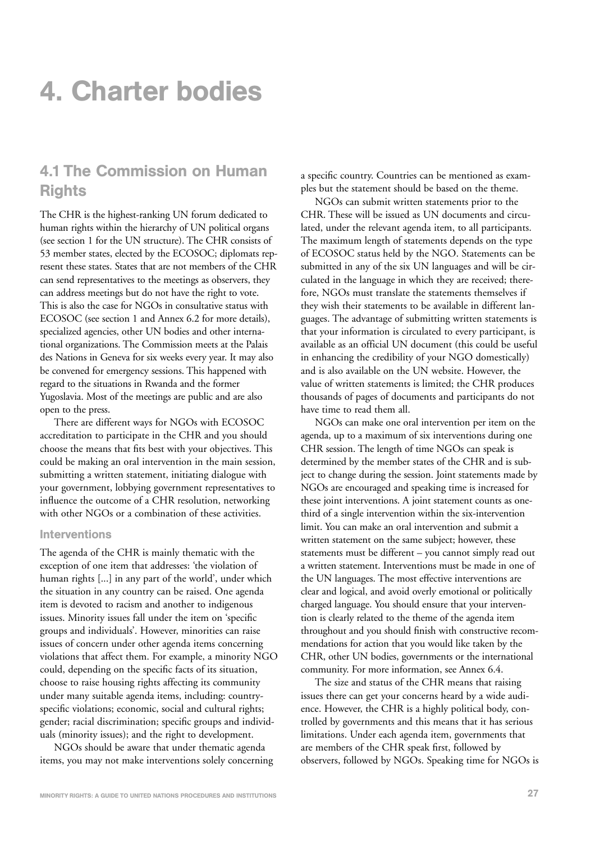# 4. Charter bodies

# 4.1 The Commission on Human **Rights**

The CHR is the highest-ranking UN forum dedicated to human rights within the hierarchy of UN political organs (see section 1 for the UN structure). The CHR consists of 53 member states, elected by the ECOSOC; diplomats represent these states. States that are not members of the CHR can send representatives to the meetings as observers, they can address meetings but do not have the right to vote. This is also the case for NGOs in consultative status with ECOSOC (see section 1 and Annex 6.2 for more details), specialized agencies, other UN bodies and other international organizations. The Commission meets at the Palais des Nations in Geneva for six weeks every year. It may also be convened for emergency sessions. This happened with regard to the situations in Rwanda and the former Yugoslavia. Most of the meetings are public and are also open to the press.

There are different ways for NGOs with ECOSOC accreditation to participate in the CHR and you should choose the means that fits best with your objectives. This could be making an oral intervention in the main session, submitting a written statement, initiating dialogue with your government, lobbying government representatives to influence the outcome of a CHR resolution, networking with other NGOs or a combination of these activities.

#### Interventions

The agenda of the CHR is mainly thematic with the exception of one item that addresses: 'the violation of human rights [...] in any part of the world', under which the situation in any country can be raised. One agenda item is devoted to racism and another to indigenous issues. Minority issues fall under the item on 'specific groups and individuals'. However, minorities can raise issues of concern under other agenda items concerning violations that affect them. For example, a minority NGO could, depending on the specific facts of its situation, choose to raise housing rights affecting its community under many suitable agenda items, including: countryspecific violations; economic, social and cultural rights; gender; racial discrimination; specific groups and individuals (minority issues); and the right to development.

NGOs should be aware that under thematic agenda items, you may not make interventions solely concerning a specific country. Countries can be mentioned as examples but the statement should be based on the theme.

NGOs can submit written statements prior to the CHR. These will be issued as UN documents and circulated, under the relevant agenda item, to all participants. The maximum length of statements depends on the type of ECOSOC status held by the NGO. Statements can be submitted in any of the six UN languages and will be circulated in the language in which they are received; therefore, NGOs must translate the statements themselves if they wish their statements to be available in different languages. The advantage of submitting written statements is that your information is circulated to every participant, is available as an official UN document (this could be useful in enhancing the credibility of your NGO domestically) and is also available on the UN website. However, the value of written statements is limited; the CHR produces thousands of pages of documents and participants do not have time to read them all.

NGOs can make one oral intervention per item on the agenda, up to a maximum of six interventions during one CHR session. The length of time NGOs can speak is determined by the member states of the CHR and is subject to change during the session. Joint statements made by NGOs are encouraged and speaking time is increased for these joint interventions. A joint statement counts as onethird of a single intervention within the six-intervention limit. You can make an oral intervention and submit a written statement on the same subject; however, these statements must be different – you cannot simply read out a written statement. Interventions must be made in one of the UN languages. The most effective interventions are clear and logical, and avoid overly emotional or politically charged language. You should ensure that your intervention is clearly related to the theme of the agenda item throughout and you should finish with constructive recommendations for action that you would like taken by the CHR, other UN bodies, governments or the international community. For more information, see Annex 6.4.

The size and status of the CHR means that raising issues there can get your concerns heard by a wide audience. However, the CHR is a highly political body, controlled by governments and this means that it has serious limitations. Under each agenda item, governments that are members of the CHR speak first, followed by observers, followed by NGOs. Speaking time for NGOs is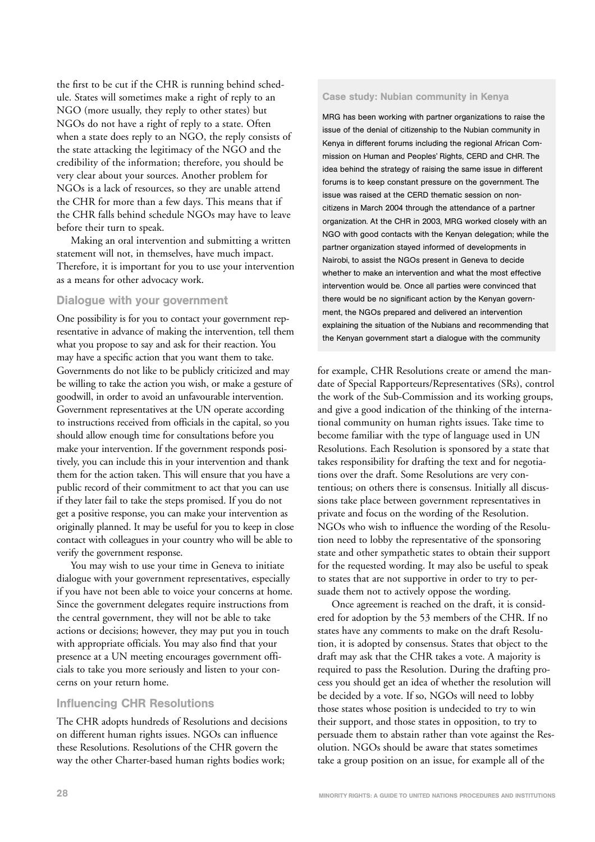the first to be cut if the CHR is running behind schedule. States will sometimes make a right of reply to an NGO (more usually, they reply to other states) but NGOs do not have a right of reply to a state. Often when a state does reply to an NGO, the reply consists of the state attacking the legitimacy of the NGO and the credibility of the information; therefore, you should be very clear about your sources. Another problem for NGOs is a lack of resources, so they are unable attend the CHR for more than a few days. This means that if the CHR falls behind schedule NGOs may have to leave before their turn to speak.

Making an oral intervention and submitting a written statement will not, in themselves, have much impact. Therefore, it is important for you to use your intervention as a means for other advocacy work.

#### Dialogue with your government

One possibility is for you to contact your government representative in advance of making the intervention, tell them what you propose to say and ask for their reaction. You may have a specific action that you want them to take. Governments do not like to be publicly criticized and may be willing to take the action you wish, or make a gesture of goodwill, in order to avoid an unfavourable intervention. Government representatives at the UN operate according to instructions received from officials in the capital, so you should allow enough time for consultations before you make your intervention. If the government responds positively, you can include this in your intervention and thank them for the action taken. This will ensure that you have a public record of their commitment to act that you can use if they later fail to take the steps promised. If you do not get a positive response, you can make your intervention as originally planned. It may be useful for you to keep in close contact with colleagues in your country who will be able to verify the government response.

You may wish to use your time in Geneva to initiate dialogue with your government representatives, especially if you have not been able to voice your concerns at home. Since the government delegates require instructions from the central government, they will not be able to take actions or decisions; however, they may put you in touch with appropriate officials. You may also find that your presence at a UN meeting encourages government officials to take you more seriously and listen to your concerns on your return home.

#### Influencing CHR Resolutions

The CHR adopts hundreds of Resolutions and decisions on different human rights issues. NGOs can influence these Resolutions. Resolutions of the CHR govern the way the other Charter-based human rights bodies work;

#### Case study: Nubian community in Kenya

MRG has been working with partner organizations to raise the issue of the denial of citizenship to the Nubian community in Kenya in different forums including the regional African Commission on Human and Peoples' Rights, CERD and CHR. The idea behind the strategy of raising the same issue in different forums is to keep constant pressure on the government. The issue was raised at the CERD thematic session on noncitizens in March 2004 through the attendance of a partner organization. At the CHR in 2003, MRG worked closely with an NGO with good contacts with the Kenyan delegation; while the partner organization stayed informed of developments in Nairobi, to assist the NGOs present in Geneva to decide whether to make an intervention and what the most effective intervention would be. Once all parties were convinced that there would be no significant action by the Kenyan government, the NGOs prepared and delivered an intervention explaining the situation of the Nubians and recommending that the Kenyan government start a dialogue with the community

for example, CHR Resolutions create or amend the mandate of Special Rapporteurs/Representatives (SRs), control the work of the Sub-Commission and its working groups, and give a good indication of the thinking of the international community on human rights issues. Take time to become familiar with the type of language used in UN Resolutions. Each Resolution is sponsored by a state that takes responsibility for drafting the text and for negotiations over the draft. Some Resolutions are very contentious; on others there is consensus. Initially all discussions take place between government representatives in private and focus on the wording of the Resolution. NGOs who wish to influence the wording of the Resolution need to lobby the representative of the sponsoring state and other sympathetic states to obtain their support for the requested wording. It may also be useful to speak to states that are not supportive in order to try to persuade them not to actively oppose the wording.

Once agreement is reached on the draft, it is considered for adoption by the 53 members of the CHR. If no states have any comments to make on the draft Resolution, it is adopted by consensus. States that object to the draft may ask that the CHR takes a vote. A majority is required to pass the Resolution. During the drafting process you should get an idea of whether the resolution will be decided by a vote. If so, NGOs will need to lobby those states whose position is undecided to try to win their support, and those states in opposition, to try to persuade them to abstain rather than vote against the Resolution. NGOs should be aware that states sometimes take a group position on an issue, for example all of the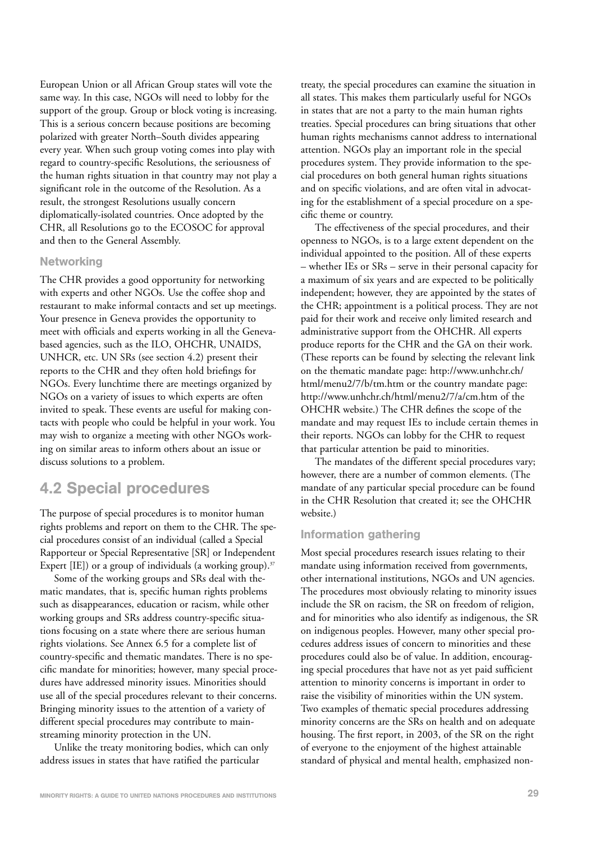European Union or all African Group states will vote the same way. In this case, NGOs will need to lobby for the support of the group. Group or block voting is increasing. This is a serious concern because positions are becoming polarized with greater North–South divides appearing every year. When such group voting comes into play with regard to country-specific Resolutions, the seriousness of the human rights situation in that country may not play a significant role in the outcome of the Resolution. As a result, the strongest Resolutions usually concern diplomatically-isolated countries. Once adopted by the CHR, all Resolutions go to the ECOSOC for approval and then to the General Assembly.

#### **Networking**

The CHR provides a good opportunity for networking with experts and other NGOs. Use the coffee shop and restaurant to make informal contacts and set up meetings. Your presence in Geneva provides the opportunity to meet with officials and experts working in all the Genevabased agencies, such as the ILO, OHCHR, UNAIDS, UNHCR, etc. UN SRs (see section 4.2) present their reports to the CHR and they often hold briefings for NGOs. Every lunchtime there are meetings organized by NGOs on a variety of issues to which experts are often invited to speak. These events are useful for making contacts with people who could be helpful in your work. You may wish to organize a meeting with other NGOs working on similar areas to inform others about an issue or discuss solutions to a problem.

## 4.2 Special procedures

The purpose of special procedures is to monitor human rights problems and report on them to the CHR. The special procedures consist of an individual (called a Special Rapporteur or Special Representative [SR] or Independent Expert [IE]) or a group of individuals (a working group). $37$ 

Some of the working groups and SRs deal with thematic mandates, that is, specific human rights problems such as disappearances, education or racism, while other working groups and SRs address country-specific situations focusing on a state where there are serious human rights violations. See Annex 6.5 for a complete list of country-specific and thematic mandates. There is no specific mandate for minorities; however, many special procedures have addressed minority issues. Minorities should use all of the special procedures relevant to their concerns. Bringing minority issues to the attention of a variety of different special procedures may contribute to mainstreaming minority protection in the UN.

Unlike the treaty monitoring bodies, which can only address issues in states that have ratified the particular

treaty, the special procedures can examine the situation in all states. This makes them particularly useful for NGOs in states that are not a party to the main human rights treaties. Special procedures can bring situations that other human rights mechanisms cannot address to international attention. NGOs play an important role in the special procedures system. They provide information to the special procedures on both general human rights situations and on specific violations, and are often vital in advocating for the establishment of a special procedure on a specific theme or country.

The effectiveness of the special procedures, and their openness to NGOs, is to a large extent dependent on the individual appointed to the position. All of these experts – whether IEs or SRs – serve in their personal capacity for a maximum of six years and are expected to be politically independent; however, they are appointed by the states of the CHR; appointment is a political process. They are not paid for their work and receive only limited research and administrative support from the OHCHR. All experts produce reports for the CHR and the GA on their work. (These reports can be found by selecting the relevant link on the thematic mandate page: http://www.unhchr.ch/ html/menu2/7/b/tm.htm or the country mandate page: http://www.unhchr.ch/html/menu2/7/a/cm.htm of the OHCHR website.) The CHR defines the scope of the mandate and may request IEs to include certain themes in their reports. NGOs can lobby for the CHR to request that particular attention be paid to minorities.

The mandates of the different special procedures vary; however, there are a number of common elements. (The mandate of any particular special procedure can be found in the CHR Resolution that created it; see the OHCHR website.)

#### Information gathering

Most special procedures research issues relating to their mandate using information received from governments, other international institutions, NGOs and UN agencies. The procedures most obviously relating to minority issues include the SR on racism, the SR on freedom of religion, and for minorities who also identify as indigenous, the SR on indigenous peoples. However, many other special procedures address issues of concern to minorities and these procedures could also be of value. In addition, encouraging special procedures that have not as yet paid sufficient attention to minority concerns is important in order to raise the visibility of minorities within the UN system. Two examples of thematic special procedures addressing minority concerns are the SRs on health and on adequate housing. The first report, in 2003, of the SR on the right of everyone to the enjoyment of the highest attainable standard of physical and mental health, emphasized non-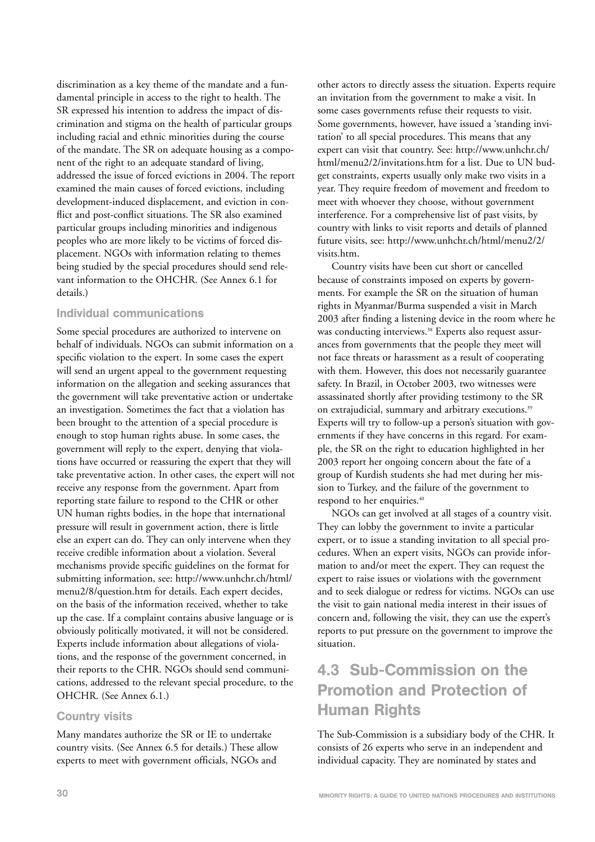discrimination as a key theme of the mandate and a fundamental principle in access to the right to health. The SR expressed his intention to address the impact of discrimination and stigma on the health of particular groups including racial and ethnic minorities during the course of the mandate. The SR on adequate housing as a component of the right to an adequate standard of living, addressed the issue of forced evictions in 2004. The report examined the main causes of forced evictions, including development-induced displacement, and eviction in conflict and post-conflict situations. The SR also examined particular groups including minorities and indigenous peoples who are more likely to be victims of forced displacement. NGOs with information relating to themes being studied by the special procedures should send relevant information to the OHCHR. (See Annex 6.1 for details.)

#### Individual communications

Some special procedures are authorized to intervene on behalf of individuals. NGOs can submit information on a specific violation to the expert. In some cases the expert will send an urgent appeal to the government requesting information on the allegation and seeking assurances that the government will take preventative action or undertake an investigation. Sometimes the fact that a violation has been brought to the attention of a special procedure is enough to stop human rights abuse. In some cases, the government will reply to the expert, denying that violations have occurred or reassuring the expert that they will take preventative action. In other cases, the expert will not receive any response from the government. Apart from reporting state failure to respond to the CHR or other UN human rights bodies, in the hope that international pressure will result in government action, there is little else an expert can do. They can only intervene when they receive credible information about a violation. Several mechanisms provide specific guidelines on the format for submitting information, see: http://www.unhchr.ch/html/ menu2/8/question.htm for details. Each expert decides, on the basis of the information received, whether to take up the case. If a complaint contains abusive language or is obviously politically motivated, it will not be considered. Experts include information about allegations of violations, and the response of the government concerned, in their reports to the CHR. NGOs should send communications, addressed to the relevant special procedure, to the OHCHR. (See Annex 6.1.)

#### Country visits

Many mandates authorize the SR or IE to undertake country visits. (See Annex 6.5 for details.) These allow experts to meet with government officials, NGOs and

other actors to directly assess the situation. Experts require an invitation from the government to make a visit. In some cases governments refuse their requests to visit. Some governments, however, have issued a 'standing invitation' to all special procedures. This means that any expert can visit that country. See: http://www.unhchr.ch/ html/menu2/2/invitations.htm for a list. Due to UN budget constraints, experts usually only make two visits in a year. They require freedom of movement and freedom to meet with whoever they choose, without government interference. For a comprehensive list of past visits, by country with links to visit reports and details of planned future visits, see: http://www.unhchr.ch/html/menu2/2/ visits.htm.

Country visits have been cut short or cancelled because of constraints imposed on experts by governments. For example the SR on the situation of human rights in Myanmar/Burma suspended a visit in March 2003 after finding a listening device in the room where he was conducting interviews.<sup>38</sup> Experts also request assurances from governments that the people they meet will not face threats or harassment as a result of cooperating with them. However, this does not necessarily guarantee safety. In Brazil, in October 2003, two witnesses were assassinated shortly after providing testimony to the SR on extrajudicial, summary and arbitrary executions.<sup>39</sup> Experts will try to follow-up a person's situation with governments if they have concerns in this regard. For example, the SR on the right to education highlighted in her 2003 report her ongoing concern about the fate of a group of Kurdish students she had met during her mission to Turkey, and the failure of the government to respond to her enquiries.<sup>40</sup>

NGOs can get involved at all stages of a country visit. They can lobby the government to invite a particular expert, or to issue a standing invitation to all special procedures. When an expert visits, NGOs can provide information to and/or meet the expert. They can request the expert to raise issues or violations with the government and to seek dialogue or redress for victims. NGOs can use the visit to gain national media interest in their issues of concern and, following the visit, they can use the expert's reports to put pressure on the government to improve the situation.

# 4.3 Sub-Commission on the Promotion and Protection of Human Rights

The Sub-Commission is a subsidiary body of the CHR. It consists of 26 experts who serve in an independent and individual capacity. They are nominated by states and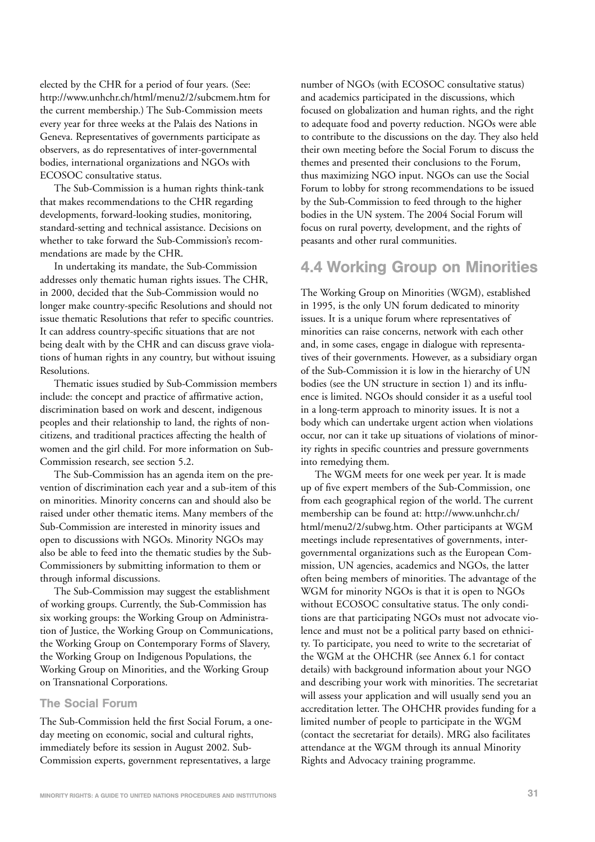elected by the CHR for a period of four years. (See: http://www.unhchr.ch/html/menu2/2/subcmem.htm for the current membership.) The Sub-Commission meets every year for three weeks at the Palais des Nations in Geneva. Representatives of governments participate as observers, as do representatives of inter-governmental bodies, international organizations and NGOs with ECOSOC consultative status.

The Sub-Commission is a human rights think-tank that makes recommendations to the CHR regarding developments, forward-looking studies, monitoring, standard-setting and technical assistance. Decisions on whether to take forward the Sub-Commission's recommendations are made by the CHR.

In undertaking its mandate, the Sub-Commission addresses only thematic human rights issues. The CHR, in 2000, decided that the Sub-Commission would no longer make country-specific Resolutions and should not issue thematic Resolutions that refer to specific countries. It can address country-specific situations that are not being dealt with by the CHR and can discuss grave violations of human rights in any country, but without issuing Resolutions.

Thematic issues studied by Sub-Commission members include: the concept and practice of affirmative action, discrimination based on work and descent, indigenous peoples and their relationship to land, the rights of noncitizens, and traditional practices affecting the health of women and the girl child. For more information on Sub-Commission research, see section 5.2.

The Sub-Commission has an agenda item on the prevention of discrimination each year and a sub-item of this on minorities. Minority concerns can and should also be raised under other thematic items. Many members of the Sub-Commission are interested in minority issues and open to discussions with NGOs. Minority NGOs may also be able to feed into the thematic studies by the Sub-Commissioners by submitting information to them or through informal discussions.

The Sub-Commission may suggest the establishment of working groups. Currently, the Sub-Commission has six working groups: the Working Group on Administration of Justice, the Working Group on Communications, the Working Group on Contemporary Forms of Slavery, the Working Group on Indigenous Populations, the Working Group on Minorities, and the Working Group on Transnational Corporations.

#### The Social Forum

The Sub-Commission held the first Social Forum, a oneday meeting on economic, social and cultural rights, immediately before its session in August 2002. Sub-Commission experts, government representatives, a large

number of NGOs (with ECOSOC consultative status) and academics participated in the discussions, which focused on globalization and human rights, and the right to adequate food and poverty reduction. NGOs were able to contribute to the discussions on the day. They also held their own meeting before the Social Forum to discuss the themes and presented their conclusions to the Forum, thus maximizing NGO input. NGOs can use the Social Forum to lobby for strong recommendations to be issued by the Sub-Commission to feed through to the higher bodies in the UN system. The 2004 Social Forum will focus on rural poverty, development, and the rights of peasants and other rural communities.

## 4.4 Working Group on Minorities

The Working Group on Minorities (WGM), established in 1995, is the only UN forum dedicated to minority issues. It is a unique forum where representatives of minorities can raise concerns, network with each other and, in some cases, engage in dialogue with representatives of their governments. However, as a subsidiary organ of the Sub-Commission it is low in the hierarchy of UN bodies (see the UN structure in section 1) and its influence is limited. NGOs should consider it as a useful tool in a long-term approach to minority issues. It is not a body which can undertake urgent action when violations occur, nor can it take up situations of violations of minority rights in specific countries and pressure governments into remedying them.

The WGM meets for one week per year. It is made up of five expert members of the Sub-Commission, one from each geographical region of the world. The current membership can be found at: http://www.unhchr.ch/ html/menu2/2/subwg.htm. Other participants at WGM meetings include representatives of governments, intergovernmental organizations such as the European Commission, UN agencies, academics and NGOs, the latter often being members of minorities. The advantage of the WGM for minority NGOs is that it is open to NGOs without ECOSOC consultative status. The only conditions are that participating NGOs must not advocate violence and must not be a political party based on ethnicity. To participate, you need to write to the secretariat of the WGM at the OHCHR (see Annex 6.1 for contact details) with background information about your NGO and describing your work with minorities. The secretariat will assess your application and will usually send you an accreditation letter. The OHCHR provides funding for a limited number of people to participate in the WGM (contact the secretariat for details). MRG also facilitates attendance at the WGM through its annual Minority Rights and Advocacy training programme.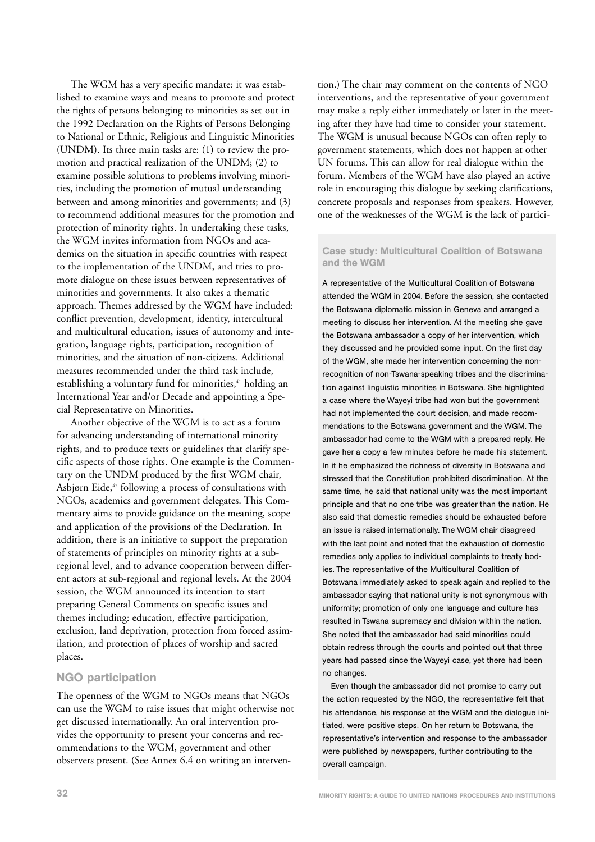The WGM has a very specific mandate: it was established to examine ways and means to promote and protect the rights of persons belonging to minorities as set out in the 1992 Declaration on the Rights of Persons Belonging to National or Ethnic, Religious and Linguistic Minorities (UNDM). Its three main tasks are: (1) to review the promotion and practical realization of the UNDM; (2) to examine possible solutions to problems involving minorities, including the promotion of mutual understanding between and among minorities and governments; and (3) to recommend additional measures for the promotion and protection of minority rights. In undertaking these tasks, the WGM invites information from NGOs and academics on the situation in specific countries with respect to the implementation of the UNDM, and tries to promote dialogue on these issues between representatives of minorities and governments. It also takes a thematic approach. Themes addressed by the WGM have included: conflict prevention, development, identity, intercultural and multicultural education, issues of autonomy and integration, language rights, participation, recognition of minorities, and the situation of non-citizens. Additional measures recommended under the third task include, establishing a voluntary fund for minorities,<sup>41</sup> holding an International Year and/or Decade and appointing a Special Representative on Minorities.

Another objective of the WGM is to act as a forum for advancing understanding of international minority rights, and to produce texts or guidelines that clarify specific aspects of those rights. One example is the Commentary on the UNDM produced by the first WGM chair, Asbjørn Eide,<sup>42</sup> following a process of consultations with NGOs, academics and government delegates. This Commentary aims to provide guidance on the meaning, scope and application of the provisions of the Declaration. In addition, there is an initiative to support the preparation of statements of principles on minority rights at a subregional level, and to advance cooperation between different actors at sub-regional and regional levels. At the 2004 session, the WGM announced its intention to start preparing General Comments on specific issues and themes including: education, effective participation, exclusion, land deprivation, protection from forced assimilation, and protection of places of worship and sacred places.

#### NGO participation

The openness of the WGM to NGOs means that NGOs can use the WGM to raise issues that might otherwise not get discussed internationally. An oral intervention provides the opportunity to present your concerns and recommendations to the WGM, government and other observers present. (See Annex 6.4 on writing an intervention.) The chair may comment on the contents of NGO interventions, and the representative of your government may make a reply either immediately or later in the meeting after they have had time to consider your statement. The WGM is unusual because NGOs can often reply to government statements, which does not happen at other UN forums. This can allow for real dialogue within the forum. Members of the WGM have also played an active role in encouraging this dialogue by seeking clarifications, concrete proposals and responses from speakers. However, one of the weaknesses of the WGM is the lack of partici-

#### Case study: Multicultural Coalition of Botswana and the WGM

A representative of the Multicultural Coalition of Botswana attended the WGM in 2004. Before the session, she contacted the Botswana diplomatic mission in Geneva and arranged a meeting to discuss her intervention. At the meeting she gave the Botswana ambassador a copy of her intervention, which they discussed and he provided some input. On the first day of the WGM, she made her intervention concerning the nonrecognition of non-Tswana-speaking tribes and the discrimination against linguistic minorities in Botswana. She highlighted a case where the Wayeyi tribe had won but the government had not implemented the court decision, and made recommendations to the Botswana government and the WGM. The ambassador had come to the WGM with a prepared reply. He gave her a copy a few minutes before he made his statement. In it he emphasized the richness of diversity in Botswana and stressed that the Constitution prohibited discrimination. At the same time, he said that national unity was the most important principle and that no one tribe was greater than the nation. He also said that domestic remedies should be exhausted before an issue is raised internationally. The WGM chair disagreed with the last point and noted that the exhaustion of domestic remedies only applies to individual complaints to treaty bodies. The representative of the Multicultural Coalition of Botswana immediately asked to speak again and replied to the ambassador saying that national unity is not synonymous with uniformity; promotion of only one language and culture has resulted in Tswana supremacy and division within the nation. She noted that the ambassador had said minorities could obtain redress through the courts and pointed out that three years had passed since the Wayeyi case, yet there had been no changes.

Even though the ambassador did not promise to carry out the action requested by the NGO, the representative felt that his attendance, his response at the WGM and the dialogue initiated, were positive steps. On her return to Botswana, the representative's intervention and response to the ambassador were published by newspapers, further contributing to the overall campaign.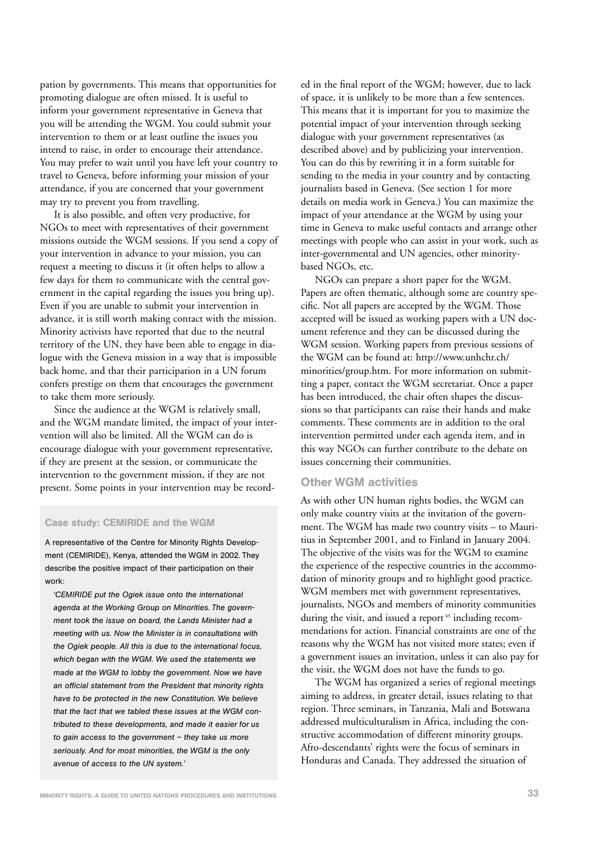pation by governments. This means that opportunities for promoting dialogue are often missed. It is useful to inform your government representative in Geneva that you will be attending the WGM. You could submit your intervention to them or at least outline the issues you intend to raise, in order to encourage their attendance. You may prefer to wait until you have left your country to travel to Geneva, before informing your mission of your attendance, if you are concerned that your government may try to prevent you from travelling.

It is also possible, and often very productive, for NGOs to meet with representatives of their government missions outside the WGM sessions. If you send a copy of your intervention in advance to your mission, you can request a meeting to discuss it (it often helps to allow a few days for them to communicate with the central government in the capital regarding the issues you bring up). Even if you are unable to submit your intervention in advance, it is still worth making contact with the mission. Minority activists have reported that due to the neutral territory of the UN, they have been able to engage in dialogue with the Geneva mission in a way that is impossible back home, and that their participation in a UN forum confers prestige on them that encourages the government to take them more seriously.

Since the audience at the WGM is relatively small, and the WGM mandate limited, the impact of your intervention will also be limited. All the WGM can do is encourage dialogue with your government representative, if they are present at the session, or communicate the intervention to the government mission, if they are not present. Some points in your intervention may be record-

#### Case study: CEMIRIDE and the WGM

A representative of the Centre for Minority Rights Development (CEMIRIDE), Kenya, attended the WGM in 2002. They describe the positive impact of their participation on their work:

*'CEMIRIDE put the Ogiek issue onto the international agenda at the Working Group on Minorities. The government took the issue on board, the Lands Minister had a meeting with us. Now the Minister is in consultations with the Ogiek people. All this is due to the international focus, which began with the WGM. We used the statements we made at the WGM to lobby the government. Now we have an official statement from the President that minority rights have to be protected in the new Constitution. We believe that the fact that we tabled these issues at the WGM contributed to these developments, and made it easier for us to gain access to the government – they take us more seriously. And for most minorities, the WGM is the only avenue of access to the UN system.'*

ed in the final report of the WGM; however, due to lack of space, it is unlikely to be more than a few sentences. This means that it is important for you to maximize the potential impact of your intervention through seeking dialogue with your government representatives (as described above) and by publicizing your intervention. You can do this by rewriting it in a form suitable for sending to the media in your country and by contacting journalists based in Geneva. (See section 1 for more details on media work in Geneva.) You can maximize the impact of your attendance at the WGM by using your time in Geneva to make useful contacts and arrange other meetings with people who can assist in your work, such as inter-governmental and UN agencies, other minoritybased NGOs, etc.

NGOs can prepare a short paper for the WGM. Papers are often thematic, although some are country specific. Not all papers are accepted by the WGM. Those accepted will be issued as working papers with a UN document reference and they can be discussed during the WGM session. Working papers from previous sessions of the WGM can be found at: http://www.unhchr.ch/ minorities/group.htm. For more information on submitting a paper, contact the WGM secretariat. Once a paper has been introduced, the chair often shapes the discussions so that participants can raise their hands and make comments. These comments are in addition to the oral intervention permitted under each agenda item, and in this way NGOs can further contribute to the debate on issues concerning their communities.

#### Other WGM activities

As with other UN human rights bodies, the WGM can only make country visits at the invitation of the government. The WGM has made two country visits – to Mauritius in September 2001, and to Finland in January 2004. The objective of the visits was for the WGM to examine the experience of the respective countries in the accommodation of minority groups and to highlight good practice. WGM members met with government representatives, journalists, NGOs and members of minority communities during the visit, and issued a report<sup>43</sup> including recommendations for action. Financial constraints are one of the reasons why the WGM has not visited more states; even if a government issues an invitation, unless it can also pay for the visit, the WGM does not have the funds to go.

The WGM has organized a series of regional meetings aiming to address, in greater detail, issues relating to that region. Three seminars, in Tanzania, Mali and Botswana addressed multiculturalism in Africa, including the constructive accommodation of different minority groups. Afro-descendants' rights were the focus of seminars in Honduras and Canada. They addressed the situation of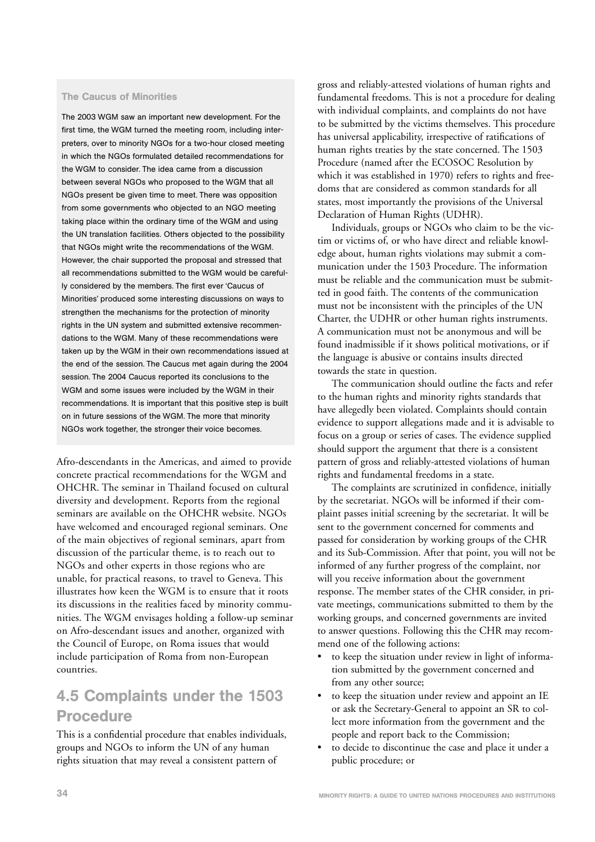#### The Caucus of Minorities

The 2003 WGM saw an important new development. For the first time, the WGM turned the meeting room, including interpreters, over to minority NGOs for a two-hour closed meeting in which the NGOs formulated detailed recommendations for the WGM to consider. The idea came from a discussion between several NGOs who proposed to the WGM that all NGOs present be given time to meet. There was opposition from some governments who objected to an NGO meeting taking place within the ordinary time of the WGM and using the UN translation facilities. Others objected to the possibility that NGOs might write the recommendations of the WGM. However, the chair supported the proposal and stressed that all recommendations submitted to the WGM would be carefully considered by the members. The first ever 'Caucus of Minorities' produced some interesting discussions on ways to strengthen the mechanisms for the protection of minority rights in the UN system and submitted extensive recommendations to the WGM. Many of these recommendations were taken up by the WGM in their own recommendations issued at the end of the session. The Caucus met again during the 2004 session. The 2004 Caucus reported its conclusions to the WGM and some issues were included by the WGM in their recommendations. It is important that this positive step is built on in future sessions of the WGM. The more that minority NGOs work together, the stronger their voice becomes.

Afro-descendants in the Americas, and aimed to provide concrete practical recommendations for the WGM and OHCHR. The seminar in Thailand focused on cultural diversity and development. Reports from the regional seminars are available on the OHCHR website. NGOs have welcomed and encouraged regional seminars. One of the main objectives of regional seminars, apart from discussion of the particular theme, is to reach out to NGOs and other experts in those regions who are unable, for practical reasons, to travel to Geneva. This illustrates how keen the WGM is to ensure that it roots its discussions in the realities faced by minority communities. The WGM envisages holding a follow-up seminar on Afro-descendant issues and another, organized with the Council of Europe, on Roma issues that would include participation of Roma from non-European countries.

# 4.5 Complaints under the 1503 Procedure

This is a confidential procedure that enables individuals, groups and NGOs to inform the UN of any human rights situation that may reveal a consistent pattern of

gross and reliably-attested violations of human rights and fundamental freedoms. This is not a procedure for dealing with individual complaints, and complaints do not have to be submitted by the victims themselves. This procedure has universal applicability, irrespective of ratifications of human rights treaties by the state concerned. The 1503 Procedure (named after the ECOSOC Resolution by which it was established in 1970) refers to rights and freedoms that are considered as common standards for all states, most importantly the provisions of the Universal Declaration of Human Rights (UDHR).

Individuals, groups or NGOs who claim to be the victim or victims of, or who have direct and reliable knowledge about, human rights violations may submit a communication under the 1503 Procedure. The information must be reliable and the communication must be submitted in good faith. The contents of the communication must not be inconsistent with the principles of the UN Charter, the UDHR or other human rights instruments. A communication must not be anonymous and will be found inadmissible if it shows political motivations, or if the language is abusive or contains insults directed towards the state in question.

The communication should outline the facts and refer to the human rights and minority rights standards that have allegedly been violated. Complaints should contain evidence to support allegations made and it is advisable to focus on a group or series of cases. The evidence supplied should support the argument that there is a consistent pattern of gross and reliably-attested violations of human rights and fundamental freedoms in a state.

The complaints are scrutinized in confidence, initially by the secretariat. NGOs will be informed if their complaint passes initial screening by the secretariat. It will be sent to the government concerned for comments and passed for consideration by working groups of the CHR and its Sub-Commission. After that point, you will not be informed of any further progress of the complaint, nor will you receive information about the government response. The member states of the CHR consider, in private meetings, communications submitted to them by the working groups, and concerned governments are invited to answer questions. Following this the CHR may recommend one of the following actions:

- to keep the situation under review in light of information submitted by the government concerned and from any other source;
- to keep the situation under review and appoint an IE or ask the Secretary-General to appoint an SR to collect more information from the government and the people and report back to the Commission;
- to decide to discontinue the case and place it under a public procedure; or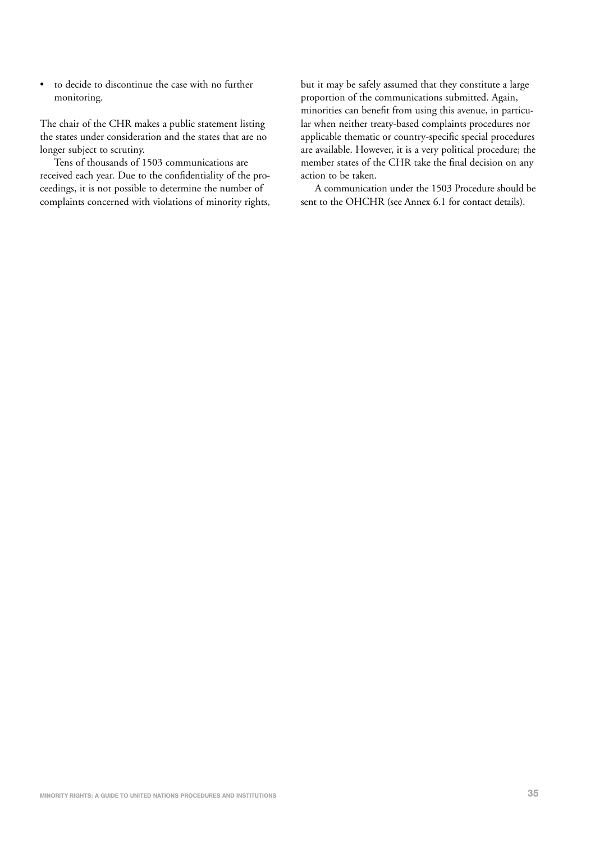• to decide to discontinue the case with no further monitoring.

The chair of the CHR makes a public statement listing the states under consideration and the states that are no longer subject to scrutiny.

Tens of thousands of 1503 communications are received each year. Due to the confidentiality of the proceedings, it is not possible to determine the number of complaints concerned with violations of minority rights,

but it may be safely assumed that they constitute a large proportion of the communications submitted. Again, minorities can benefit from using this avenue, in particular when neither treaty-based complaints procedures nor applicable thematic or country-specific special procedures are available. However, it is a very political procedure; the member states of the CHR take the final decision on any action to be taken.

A communication under the 1503 Procedure should be sent to the OHCHR (see Annex 6.1 for contact details).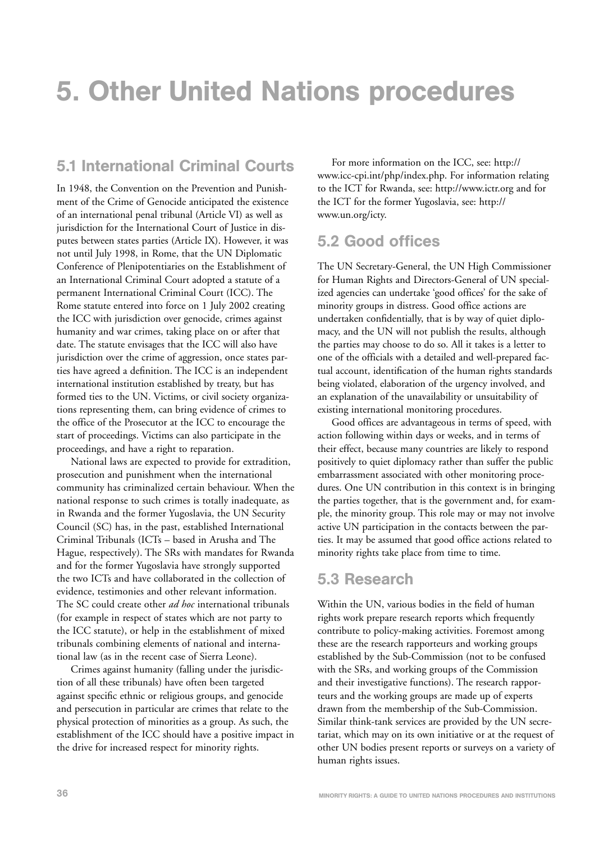# 5. Other United Nations procedures

# 5.1 International Criminal Courts

In 1948, the Convention on the Prevention and Punishment of the Crime of Genocide anticipated the existence of an international penal tribunal (Article VI) as well as jurisdiction for the International Court of Justice in disputes between states parties (Article IX). However, it was not until July 1998, in Rome, that the UN Diplomatic Conference of Plenipotentiaries on the Establishment of an International Criminal Court adopted a statute of a permanent International Criminal Court (ICC). The Rome statute entered into force on 1 July 2002 creating the ICC with jurisdiction over genocide, crimes against humanity and war crimes, taking place on or after that date. The statute envisages that the ICC will also have jurisdiction over the crime of aggression, once states parties have agreed a definition. The ICC is an independent international institution established by treaty, but has formed ties to the UN. Victims, or civil society organizations representing them, can bring evidence of crimes to the office of the Prosecutor at the ICC to encourage the start of proceedings. Victims can also participate in the proceedings, and have a right to reparation.

National laws are expected to provide for extradition, prosecution and punishment when the international community has criminalized certain behaviour. When the national response to such crimes is totally inadequate, as in Rwanda and the former Yugoslavia, the UN Security Council (SC) has, in the past, established International Criminal Tribunals (ICTs – based in Arusha and The Hague, respectively). The SRs with mandates for Rwanda and for the former Yugoslavia have strongly supported the two ICTs and have collaborated in the collection of evidence, testimonies and other relevant information. The SC could create other *ad hoc* international tribunals (for example in respect of states which are not party to the ICC statute), or help in the establishment of mixed tribunals combining elements of national and international law (as in the recent case of Sierra Leone).

Crimes against humanity (falling under the jurisdiction of all these tribunals) have often been targeted against specific ethnic or religious groups, and genocide and persecution in particular are crimes that relate to the physical protection of minorities as a group. As such, the establishment of the ICC should have a positive impact in the drive for increased respect for minority rights.

For more information on the ICC, see: http:// www.icc-cpi.int/php/index.php. For information relating to the ICT for Rwanda, see: http://www.ictr.org and for the ICT for the former Yugoslavia, see: http:// www.un.org/icty.

# 5.2 Good offices

The UN Secretary-General, the UN High Commissioner for Human Rights and Directors-General of UN specialized agencies can undertake 'good offices' for the sake of minority groups in distress. Good office actions are undertaken confidentially, that is by way of quiet diplomacy, and the UN will not publish the results, although the parties may choose to do so. All it takes is a letter to one of the officials with a detailed and well-prepared factual account, identification of the human rights standards being violated, elaboration of the urgency involved, and an explanation of the unavailability or unsuitability of existing international monitoring procedures.

Good offices are advantageous in terms of speed, with action following within days or weeks, and in terms of their effect, because many countries are likely to respond positively to quiet diplomacy rather than suffer the public embarrassment associated with other monitoring procedures. One UN contribution in this context is in bringing the parties together, that is the government and, for example, the minority group. This role may or may not involve active UN participation in the contacts between the parties. It may be assumed that good office actions related to minority rights take place from time to time.

## 5.3 Research

Within the UN, various bodies in the field of human rights work prepare research reports which frequently contribute to policy-making activities. Foremost among these are the research rapporteurs and working groups established by the Sub-Commission (not to be confused with the SRs, and working groups of the Commission and their investigative functions). The research rapporteurs and the working groups are made up of experts drawn from the membership of the Sub-Commission. Similar think-tank services are provided by the UN secretariat, which may on its own initiative or at the request of other UN bodies present reports or surveys on a variety of human rights issues.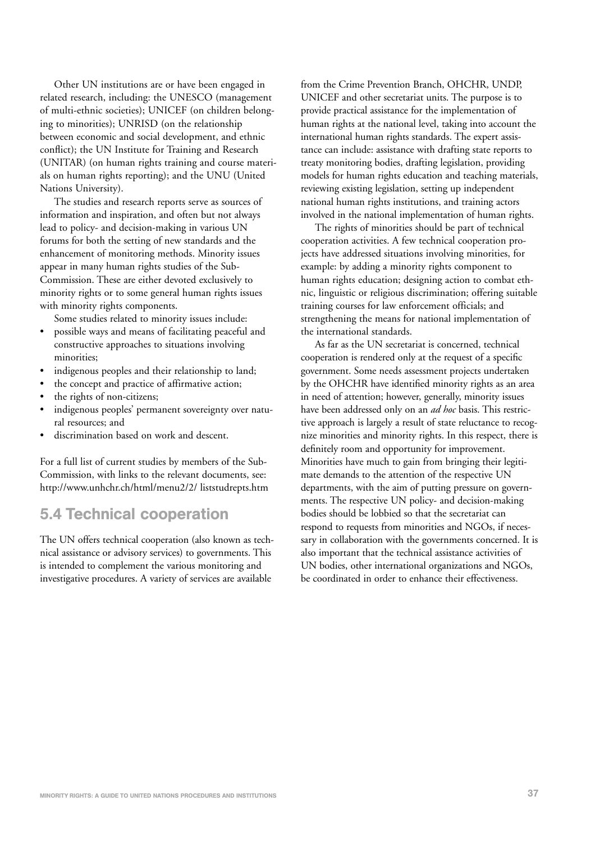Other UN institutions are or have been engaged in related research, including: the UNESCO (management of multi-ethnic societies); UNICEF (on children belonging to minorities); UNRISD (on the relationship between economic and social development, and ethnic conflict); the UN Institute for Training and Research (UNITAR) (on human rights training and course materials on human rights reporting); and the UNU (United Nations University).

The studies and research reports serve as sources of information and inspiration, and often but not always lead to policy- and decision-making in various UN forums for both the setting of new standards and the enhancement of monitoring methods. Minority issues appear in many human rights studies of the Sub-Commission. These are either devoted exclusively to minority rights or to some general human rights issues with minority rights components.

Some studies related to minority issues include:

- possible ways and means of facilitating peaceful and constructive approaches to situations involving minorities:
- indigenous peoples and their relationship to land;
- the concept and practice of affirmative action;
- the rights of non-citizens;
- indigenous peoples' permanent sovereignty over natural resources; and
- discrimination based on work and descent.

For a full list of current studies by members of the Sub-Commission, with links to the relevant documents, see: http://www.unhchr.ch/html/menu2/2/ liststudrepts.htm

## 5.4 Technical cooperation

The UN offers technical cooperation (also known as technical assistance or advisory services) to governments. This is intended to complement the various monitoring and investigative procedures. A variety of services are available

from the Crime Prevention Branch, OHCHR, UNDP, UNICEF and other secretariat units. The purpose is to provide practical assistance for the implementation of human rights at the national level, taking into account the international human rights standards. The expert assistance can include: assistance with drafting state reports to treaty monitoring bodies, drafting legislation, providing models for human rights education and teaching materials, reviewing existing legislation, setting up independent national human rights institutions, and training actors involved in the national implementation of human rights.

The rights of minorities should be part of technical cooperation activities. A few technical cooperation projects have addressed situations involving minorities, for example: by adding a minority rights component to human rights education; designing action to combat ethnic, linguistic or religious discrimination; offering suitable training courses for law enforcement officials; and strengthening the means for national implementation of the international standards.

As far as the UN secretariat is concerned, technical cooperation is rendered only at the request of a specific government. Some needs assessment projects undertaken by the OHCHR have identified minority rights as an area in need of attention; however, generally, minority issues have been addressed only on an *ad hoc* basis. This restrictive approach is largely a result of state reluctance to recognize minorities and minority rights. In this respect, there is definitely room and opportunity for improvement. Minorities have much to gain from bringing their legitimate demands to the attention of the respective UN departments, with the aim of putting pressure on governments. The respective UN policy- and decision-making bodies should be lobbied so that the secretariat can respond to requests from minorities and NGOs, if necessary in collaboration with the governments concerned. It is also important that the technical assistance activities of UN bodies, other international organizations and NGOs, be coordinated in order to enhance their effectiveness.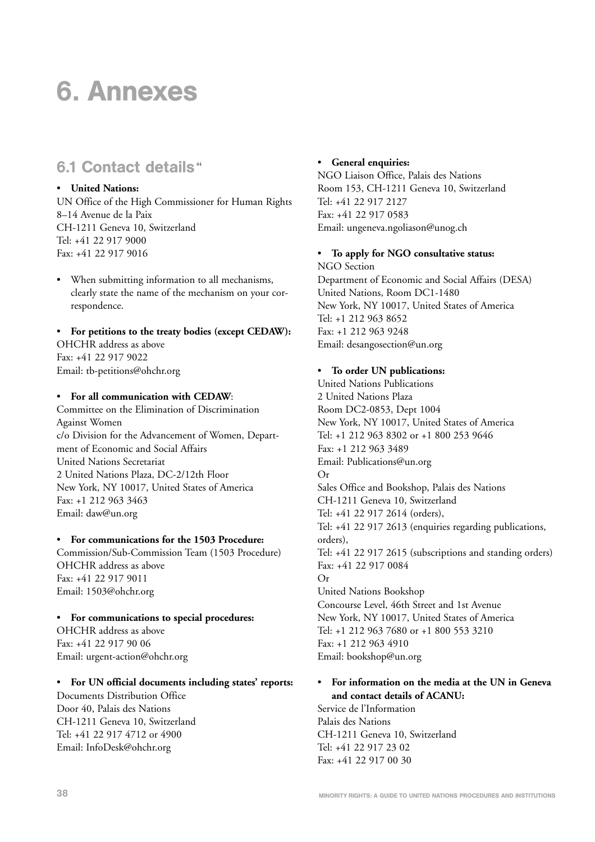# 6. Annexes

# 6.1 Contact details<sup>44</sup>

#### • **United Nations:**

UN Office of the High Commissioner for Human Rights 8–14 Avenue de la Paix CH-1211 Geneva 10, Switzerland Tel: +41 22 917 9000 Fax: +41 22 917 9016

When submitting information to all mechanisms, clearly state the name of the mechanism on your correspondence.

• **For petitions to the treaty bodies (except CEDAW):** OHCHR address as above Fax: +41 22 917 9022 Email: tb-petitions@ohchr.org

#### • **For all communication with CEDAW**:

Committee on the Elimination of Discrimination Against Women c/o Division for the Advancement of Women, Department of Economic and Social Affairs United Nations Secretariat 2 United Nations Plaza, DC-2/12th Floor New York, NY 10017, United States of America Fax: +1 212 963 3463 Email: daw@un.org

#### • **For communications for the 1503 Procedure:**

Commission/Sub-Commission Team (1503 Procedure) OHCHR address as above Fax: +41 22 917 9011 Email: 1503@ohchr.org

#### • **For communications to special procedures:**

OHCHR address as above Fax: +41 22 917 90 06 Email: urgent-action@ohchr.org

#### • **For UN official documents including states' reports:**

Documents Distribution Office Door 40, Palais des Nations CH-1211 Geneva 10, Switzerland Tel: +41 22 917 4712 or 4900 Email: InfoDesk@ohchr.org

#### • **General enquiries:**

NGO Liaison Office, Palais des Nations Room 153, CH-1211 Geneva 10, Switzerland Tel: +41 22 917 2127 Fax: +41 22 917 0583 Email: ungeneva.ngoliason@unog.ch

#### • **To apply for NGO consultative status:**

NGO Section Department of Economic and Social Affairs (DESA) United Nations, Room DC1-1480 New York, NY 10017, United States of America Tel: +1 212 963 8652 Fax: +1 212 963 9248 Email: desangosection@un.org

#### • **To order UN publications:**

United Nations Publications 2 United Nations Plaza Room DC2-0853, Dept 1004 New York, NY 10017, United States of America Tel: +1 212 963 8302 or +1 800 253 9646 Fax: +1 212 963 3489 Email: Publications@un.org Or Sales Office and Bookshop, Palais des Nations CH-1211 Geneva 10, Switzerland Tel: +41 22 917 2614 (orders), Tel: +41 22 917 2613 (enquiries regarding publications, orders), Tel: +41 22 917 2615 (subscriptions and standing orders) Fax: +41 22 917 0084 Or United Nations Bookshop Concourse Level, 46th Street and 1st Avenue New York, NY 10017, United States of America Tel: +1 212 963 7680 or +1 800 553 3210 Fax: +1 212 963 4910 Email: bookshop@un.org

#### • **For information on the media at the UN in Geneva and contact details of ACANU:**

Service de l'Information Palais des Nations CH-1211 Geneva 10, Switzerland Tel: +41 22 917 23 02 Fax: +41 22 917 00 30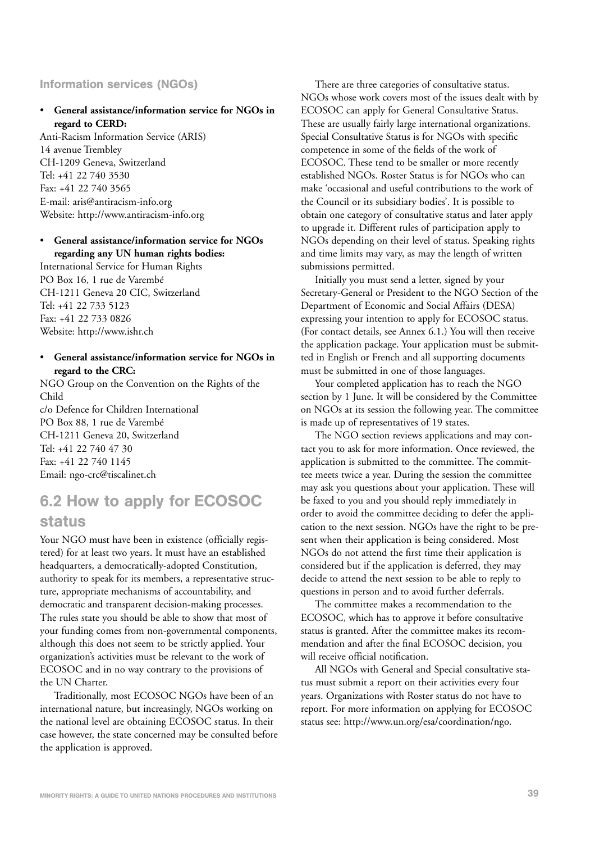#### Information services (NGOs)

• **General assistance/information service for NGOs in regard to CERD:**

Anti-Racism Information Service (ARIS) 14 avenue Trembley CH-1209 Geneva, Switzerland Tel: +41 22 740 3530 Fax: +41 22 740 3565 E-mail: aris@antiracism-info.org Website: http://www.antiracism-info.org

#### • **General assistance/information service for NGOs regarding any UN human rights bodies:**

International Service for Human Rights PO Box 16, 1 rue de Varembé CH-1211 Geneva 20 CIC, Switzerland Tel: +41 22 733 5123 Fax: +41 22 733 0826 Website: http://www.ishr.ch

#### • **General assistance/information service for NGOs in regard to the CRC:**

NGO Group on the Convention on the Rights of the Child

c/o Defence for Children International PO Box 88, 1 rue de Varembé CH-1211 Geneva 20, Switzerland Tel: +41 22 740 47 30 Fax: +41 22 740 1145 Email: ngo-crc@tiscalinet.ch

## 6.2 How to apply for ECOSOC status

Your NGO must have been in existence (officially registered) for at least two years. It must have an established headquarters, a democratically-adopted Constitution, authority to speak for its members, a representative structure, appropriate mechanisms of accountability, and democratic and transparent decision-making processes. The rules state you should be able to show that most of your funding comes from non-governmental components, although this does not seem to be strictly applied. Your organization's activities must be relevant to the work of ECOSOC and in no way contrary to the provisions of the UN Charter.

Traditionally, most ECOSOC NGOs have been of an international nature, but increasingly, NGOs working on the national level are obtaining ECOSOC status. In their case however, the state concerned may be consulted before the application is approved.

There are three categories of consultative status. NGOs whose work covers most of the issues dealt with by ECOSOC can apply for General Consultative Status. These are usually fairly large international organizations. Special Consultative Status is for NGOs with specific competence in some of the fields of the work of ECOSOC. These tend to be smaller or more recently established NGOs. Roster Status is for NGOs who can make 'occasional and useful contributions to the work of the Council or its subsidiary bodies'. It is possible to obtain one category of consultative status and later apply to upgrade it. Different rules of participation apply to NGOs depending on their level of status. Speaking rights and time limits may vary, as may the length of written submissions permitted.

Initially you must send a letter, signed by your Secretary-General or President to the NGO Section of the Department of Economic and Social Affairs (DESA) expressing your intention to apply for ECOSOC status. (For contact details, see Annex 6.1.) You will then receive the application package. Your application must be submitted in English or French and all supporting documents must be submitted in one of those languages.

Your completed application has to reach the NGO section by 1 June. It will be considered by the Committee on NGOs at its session the following year. The committee is made up of representatives of 19 states.

The NGO section reviews applications and may contact you to ask for more information. Once reviewed, the application is submitted to the committee. The committee meets twice a year. During the session the committee may ask you questions about your application. These will be faxed to you and you should reply immediately in order to avoid the committee deciding to defer the application to the next session. NGOs have the right to be present when their application is being considered. Most NGOs do not attend the first time their application is considered but if the application is deferred, they may decide to attend the next session to be able to reply to questions in person and to avoid further deferrals.

The committee makes a recommendation to the ECOSOC, which has to approve it before consultative status is granted. After the committee makes its recommendation and after the final ECOSOC decision, you will receive official notification.

All NGOs with General and Special consultative status must submit a report on their activities every four years. Organizations with Roster status do not have to report. For more information on applying for ECOSOC status see: http://www.un.org/esa/coordination/ngo.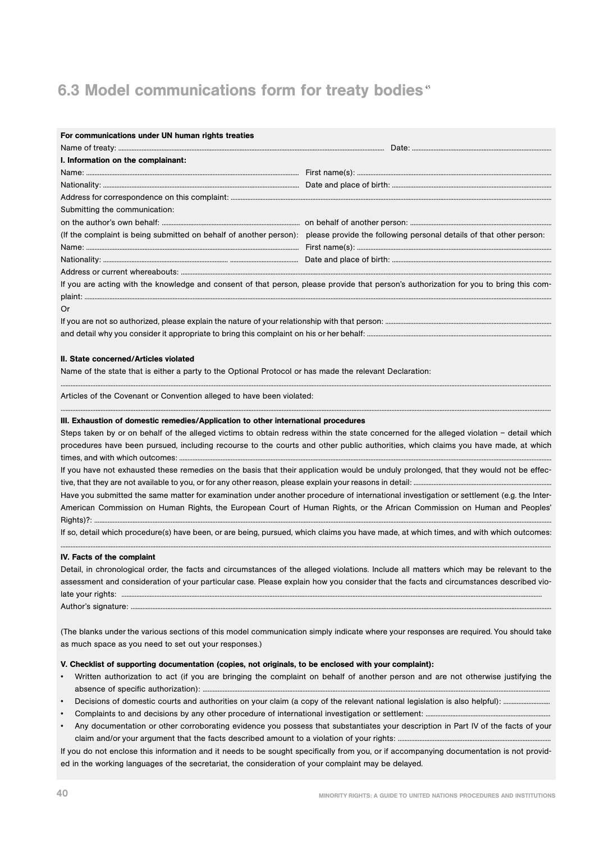# 6.3 Model communications form for treaty bodies<sup>4</sup>

| For communications under UN human rights treaties |                                                                                                                                        |
|---------------------------------------------------|----------------------------------------------------------------------------------------------------------------------------------------|
|                                                   |                                                                                                                                        |
| I. Information on the complainant:                |                                                                                                                                        |
|                                                   |                                                                                                                                        |
|                                                   |                                                                                                                                        |
|                                                   |                                                                                                                                        |
| Submitting the communication:                     |                                                                                                                                        |
|                                                   |                                                                                                                                        |
|                                                   | (If the complaint is being submitted on behalf of another person): please provide the following personal details of that other person: |
|                                                   |                                                                                                                                        |
|                                                   |                                                                                                                                        |
|                                                   |                                                                                                                                        |
|                                                   | If you are acting with the knowledge and consent of that person, please provide that person's authorization for you to bring this com- |
|                                                   |                                                                                                                                        |
| Or                                                |                                                                                                                                        |
|                                                   |                                                                                                                                        |
|                                                   |                                                                                                                                        |

#### II. State concerned/Articles violated

Name of the state that is either a party to the Optional Protocol or has made the relevant Declaration:

Articles of the Covenant or Convention alleged to have been violated:

#### III. Exhaustion of domestic remedies/Application to other international procedures

Steps taken by or on behalf of the alleged victims to obtain redress within the state concerned for the alleged violation – detail which procedures have been pursued, including recourse to the courts and other public authorities, which claims you have made, at which times, and with which outcomes: ..

.......................................................................................................................................................................................................................................................................................................

.......................................................................................................................................................................................................................................................................................................

If you have not exhausted these remedies on the basis that their application would be unduly prolonged, that they would not be effective, that they are not available to you, or for any other reason, please explain your reasons in detail: ...

Have you submitted the same matter for examination under another procedure of international investigation or settlement (e.g. the Inter-American Commission on Human Rights, the European Court of Human Rights, or the African Commission on Human and Peoples' Rights)?: ...................................................................................................................................................................................................................................................................................

If so, detail which procedure(s) have been, or are being, pursued, which claims you have made, at which times, and with which outcomes: .......................................................................................................................................................................................................................................................................................................

#### IV. Facts of the complaint

Detail, in chronological order, the facts and circumstances of the alleged violations. Include all matters which may be relevant to the assessment and consideration of your particular case. Please explain how you consider that the facts and circumstances described violate your rights:

Author's signature: .......

(The blanks under the various sections of this model communication simply indicate where your responses are required. You should take as much space as you need to set out your responses.)

#### V. Checklist of supporting documentation (copies, not originals, to be enclosed with your complaint):

- Written authorization to act (if you are bringing the complaint on behalf of another person and are not otherwise justifying the absence of specific authorization): .
- Decisions of domestic courts and authorities on your claim (a copy of the relevant national legislation is also helpful): .......
- Complaints to and decisions by any other procedure of international investigation or settlement: .......
- Any documentation or other corroborating evidence you possess that substantiates your description in Part IV of the facts of your claim and/or your argument that the facts described amount to a violation of your rights: .............

If you do not enclose this information and it needs to be sought specifically from you, or if accompanying documentation is not provided in the working languages of the secretariat, the consideration of your complaint may be delayed.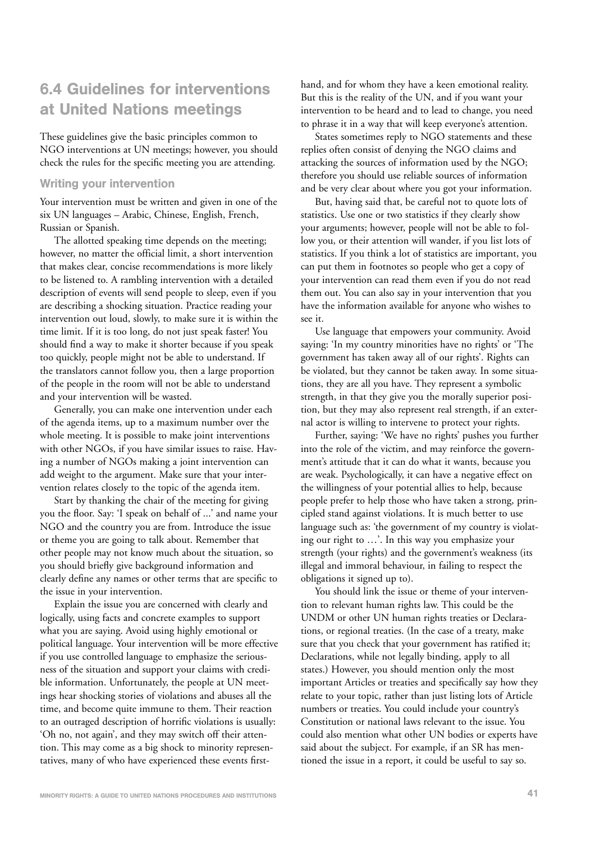# 6.4 Guidelines for interventions at United Nations meetings

These guidelines give the basic principles common to NGO interventions at UN meetings; however, you should check the rules for the specific meeting you are attending.

#### Writing your intervention

Your intervention must be written and given in one of the six UN languages – Arabic, Chinese, English, French, Russian or Spanish.

The allotted speaking time depends on the meeting; however, no matter the official limit, a short intervention that makes clear, concise recommendations is more likely to be listened to. A rambling intervention with a detailed description of events will send people to sleep, even if you are describing a shocking situation. Practice reading your intervention out loud, slowly, to make sure it is within the time limit. If it is too long, do not just speak faster! You should find a way to make it shorter because if you speak too quickly, people might not be able to understand. If the translators cannot follow you, then a large proportion of the people in the room will not be able to understand and your intervention will be wasted.

Generally, you can make one intervention under each of the agenda items, up to a maximum number over the whole meeting. It is possible to make joint interventions with other NGOs, if you have similar issues to raise. Having a number of NGOs making a joint intervention can add weight to the argument. Make sure that your intervention relates closely to the topic of the agenda item.

Start by thanking the chair of the meeting for giving you the floor. Say: 'I speak on behalf of ...' and name your NGO and the country you are from. Introduce the issue or theme you are going to talk about. Remember that other people may not know much about the situation, so you should briefly give background information and clearly define any names or other terms that are specific to the issue in your intervention.

Explain the issue you are concerned with clearly and logically, using facts and concrete examples to support what you are saying. Avoid using highly emotional or political language. Your intervention will be more effective if you use controlled language to emphasize the seriousness of the situation and support your claims with credible information. Unfortunately, the people at UN meetings hear shocking stories of violations and abuses all the time, and become quite immune to them. Their reaction to an outraged description of horrific violations is usually: 'Oh no, not again', and they may switch off their attention. This may come as a big shock to minority representatives, many of who have experienced these events firsthand, and for whom they have a keen emotional reality. But this is the reality of the UN, and if you want your intervention to be heard and to lead to change, you need to phrase it in a way that will keep everyone's attention.

States sometimes reply to NGO statements and these replies often consist of denying the NGO claims and attacking the sources of information used by the NGO; therefore you should use reliable sources of information and be very clear about where you got your information.

But, having said that, be careful not to quote lots of statistics. Use one or two statistics if they clearly show your arguments; however, people will not be able to follow you, or their attention will wander, if you list lots of statistics. If you think a lot of statistics are important, you can put them in footnotes so people who get a copy of your intervention can read them even if you do not read them out. You can also say in your intervention that you have the information available for anyone who wishes to see it.

Use language that empowers your community. Avoid saying: 'In my country minorities have no rights' or 'The government has taken away all of our rights'. Rights can be violated, but they cannot be taken away. In some situations, they are all you have. They represent a symbolic strength, in that they give you the morally superior position, but they may also represent real strength, if an external actor is willing to intervene to protect your rights.

Further, saying: 'We have no rights' pushes you further into the role of the victim, and may reinforce the government's attitude that it can do what it wants, because you are weak. Psychologically, it can have a negative effect on the willingness of your potential allies to help, because people prefer to help those who have taken a strong, principled stand against violations. It is much better to use language such as: 'the government of my country is violating our right to …'. In this way you emphasize your strength (your rights) and the government's weakness (its illegal and immoral behaviour, in failing to respect the obligations it signed up to).

You should link the issue or theme of your intervention to relevant human rights law. This could be the UNDM or other UN human rights treaties or Declarations, or regional treaties. (In the case of a treaty, make sure that you check that your government has ratified it; Declarations, while not legally binding, apply to all states.) However, you should mention only the most important Articles or treaties and specifically say how they relate to your topic, rather than just listing lots of Article numbers or treaties. You could include your country's Constitution or national laws relevant to the issue. You could also mention what other UN bodies or experts have said about the subject. For example, if an SR has mentioned the issue in a report, it could be useful to say so.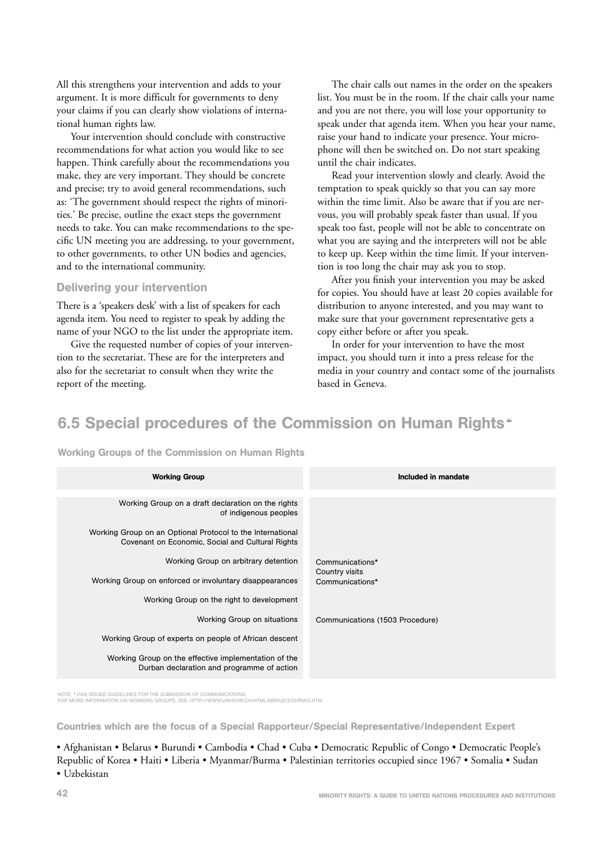All this strengthens your intervention and adds to your argument. It is more difficult for governments to deny your claims if you can clearly show violations of international human rights law.

Your intervention should conclude with constructive recommendations for what action you would like to see happen. Think carefully about the recommendations you make, they are very important. They should be concrete and precise; try to avoid general recommendations, such as: 'The government should respect the rights of minorities.' Be precise, outline the exact steps the government needs to take. You can make recommendations to the specific UN meeting you are addressing, to your government, to other governments, to other UN bodies and agencies, and to the international community.

#### Delivering your intervention

There is a 'speakers desk' with a list of speakers for each agenda item. You need to register to speak by adding the name of your NGO to the list under the appropriate item.

Give the requested number of copies of your intervention to the secretariat. These are for the interpreters and also for the secretariat to consult when they write the report of the meeting.

The chair calls out names in the order on the speakers list. You must be in the room. If the chair calls your name and you are not there, you will lose your opportunity to speak under that agenda item. When you hear your name, raise your hand to indicate your presence. Your microphone will then be switched on. Do not start speaking until the chair indicates.

Read your intervention slowly and clearly. Avoid the temptation to speak quickly so that you can say more within the time limit. Also be aware that if you are nervous, you will probably speak faster than usual. If you speak too fast, people will not be able to concentrate on what you are saying and the interpreters will not be able to keep up. Keep within the time limit. If your intervention is too long the chair may ask you to stop.

After you finish your intervention you may be asked for copies. You should have at least 20 copies available for distribution to anyone interested, and you may want to make sure that your government representative gets a copy either before or after you speak.

In order for your intervention to have the most impact, you should turn it into a press release for the media in your country and contact some of the journalists based in Geneva.

## 6.5 Special procedures of the Commission on Human Rights<sup>\*</sup>

Working Groups of the Commission on Human Rights

| <b>Working Group</b>                                                                                           | Included in mandate                                  |  |
|----------------------------------------------------------------------------------------------------------------|------------------------------------------------------|--|
| Working Group on a draft declaration on the rights<br>of indigenous peoples                                    |                                                      |  |
| Working Group on an Optional Protocol to the International<br>Covenant on Economic, Social and Cultural Rights |                                                      |  |
| Working Group on arbitrary detention                                                                           | Communications*<br>Country visits<br>Communications* |  |
| Working Group on enforced or involuntary disappearances                                                        |                                                      |  |
| Working Group on the right to development                                                                      |                                                      |  |
| Working Group on situations                                                                                    | Communications (1503 Procedure)                      |  |
| Working Group of experts on people of African descent                                                          |                                                      |  |
| Working Group on the effective implementation of the<br>Durban declaration and programme of action             |                                                      |  |

NOTE: \* HAS ISSUED GUIDELINES FOR THE SUBMISSION OF COMMUNICATIONS.<br>FOR MORE INFORMATION ON WORKING GROUPS, SEE: HTTP://WWW.UNHCHR.CH/HTML/MENU2/2/CHRWG.HTM

Countries which are the focus of a Special Rapporteur/Special Representative/Independent Expert

• Afghanistan • Belarus • Burundi • Cambodia • Chad • Cuba • Democratic Republic of Congo • Democratic People's Republic of Korea • Haiti • Liberia • Myanmar/Burma • Palestinian territories occupied since 1967 • Somalia • Sudan • Uzbekistan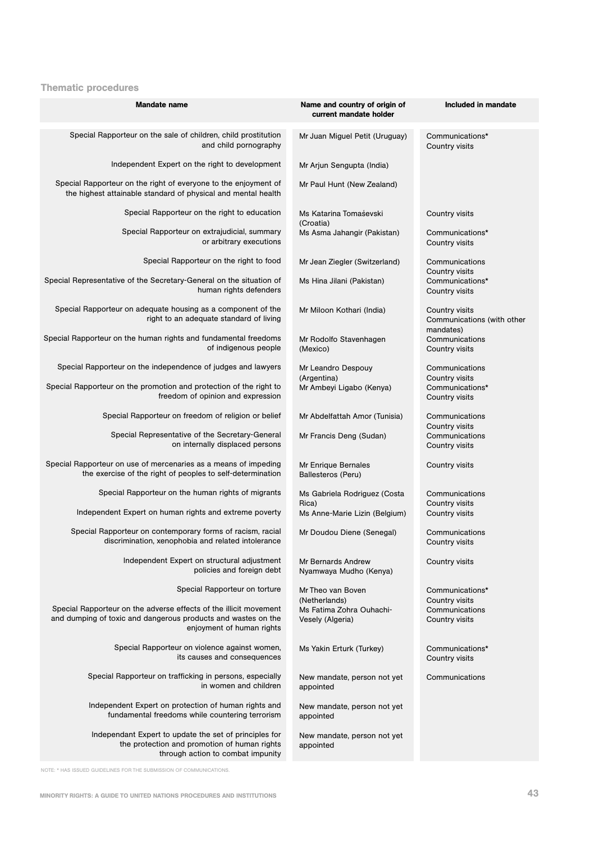#### Thematic procedures

| <b>Mandate name</b>                                                                                                                                             | Name and country of origin of<br>current mandate holder | Included in mandate                                       |
|-----------------------------------------------------------------------------------------------------------------------------------------------------------------|---------------------------------------------------------|-----------------------------------------------------------|
| Special Rapporteur on the sale of children, child prostitution<br>and child pornography                                                                         | Mr Juan Miguel Petit (Uruguay)                          | Communications*<br>Country visits                         |
| Independent Expert on the right to development                                                                                                                  | Mr Arjun Sengupta (India)                               |                                                           |
| Special Rapporteur on the right of everyone to the enjoyment of<br>the highest attainable standard of physical and mental health                                | Mr Paul Hunt (New Zealand)                              |                                                           |
| Special Rapporteur on the right to education                                                                                                                    | Ms Katarina Tomaševski<br>(Croatia)                     | Country visits                                            |
| Special Rapporteur on extrajudicial, summary<br>or arbitrary executions                                                                                         | Ms Asma Jahangir (Pakistan)                             | Communications*<br>Country visits                         |
| Special Rapporteur on the right to food                                                                                                                         | Mr Jean Ziegler (Switzerland)                           | Communications<br>Country visits                          |
| Special Representative of the Secretary-General on the situation of<br>human rights defenders                                                                   | Ms Hina Jilani (Pakistan)                               | Communications*<br>Country visits                         |
| Special Rapporteur on adequate housing as a component of the<br>right to an adequate standard of living                                                         | Mr Miloon Kothari (India)                               | Country visits<br>Communications (with other<br>mandates) |
| Special Rapporteur on the human rights and fundamental freedoms<br>of indigenous people                                                                         | Mr Rodolfo Stavenhagen<br>(Mexico)                      | Communications<br>Country visits                          |
| Special Rapporteur on the independence of judges and lawyers                                                                                                    | Mr Leandro Despouy<br>(Argentina)                       | Communications<br>Country visits                          |
| Special Rapporteur on the promotion and protection of the right to<br>freedom of opinion and expression                                                         | Mr Ambeyi Ligabo (Kenya)                                | Communications*<br>Country visits                         |
| Special Rapporteur on freedom of religion or belief                                                                                                             | Mr Abdelfattah Amor (Tunisia)                           | Communications<br>Country visits                          |
| Special Representative of the Secretary-General<br>on internally displaced persons                                                                              | Mr Francis Deng (Sudan)                                 | Communications<br>Country visits                          |
| Special Rapporteur on use of mercenaries as a means of impeding<br>the exercise of the right of peoples to self-determination                                   | Mr Enrique Bernales<br>Ballesteros (Peru)               | Country visits                                            |
| Special Rapporteur on the human rights of migrants                                                                                                              | Ms Gabriela Rodriguez (Costa<br>Rica)                   | Communications<br>Country visits                          |
| Independent Expert on human rights and extreme poverty                                                                                                          | Ms Anne-Marie Lizin (Belgium)                           | Country visits                                            |
| Special Rapporteur on contemporary forms of racism, racial<br>discrimination, xenophobia and related intolerance                                                | Mr Doudou Diene (Senegal)                               | Communications<br>Country visits                          |
| Independent Expert on structural adjustment<br>policies and foreign debt                                                                                        | Mr Bernards Andrew<br>Nyamwaya Mudho (Kenya)            | Country visits                                            |
| Special Rapporteur on torture                                                                                                                                   | Mr Theo van Boven<br>(Netherlands)                      | Communications*<br>Country visits                         |
| Special Rapporteur on the adverse effects of the illicit movement<br>and dumping of toxic and dangerous products and wastes on the<br>enjoyment of human rights | Ms Fatima Zohra Ouhachi-<br>Vesely (Algeria)            | Communications<br>Country visits                          |
| Special Rapporteur on violence against women,<br>its causes and consequences                                                                                    | Ms Yakin Erturk (Turkey)                                | Communications*<br>Country visits                         |
| Special Rapporteur on trafficking in persons, especially<br>in women and children                                                                               | New mandate, person not yet<br>appointed                | Communications                                            |
| Independent Expert on protection of human rights and<br>fundamental freedoms while countering terrorism                                                         | New mandate, person not yet<br>appointed                |                                                           |
| Independant Expert to update the set of principles for<br>the protection and promotion of human rights<br>through action to combat impunity                     | New mandate, person not yet<br>appointed                |                                                           |
|                                                                                                                                                                 |                                                         |                                                           |

NOTE: \* HAS ISSUED GUIDELINES FOR THE SUBMISSION OF COMMUNICATIONS.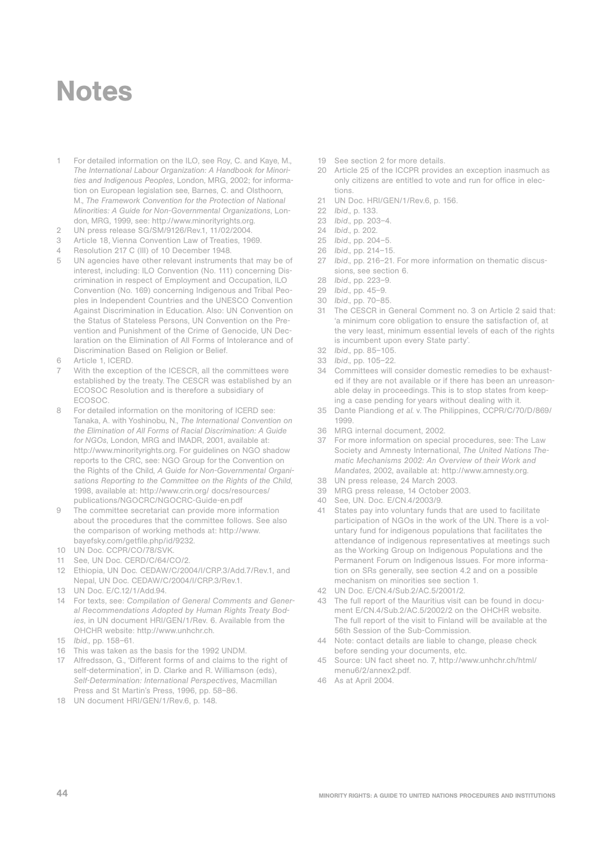# **Notes**

- 1 For detailed information on the ILO, see Roy, C. and Kaye, M., *The International Labour Organization: A Handbook for Minorities and Indigenous Peoples*, London, MRG, 2002; for information on European legislation see, Barnes, C. and Olsthoorn, M., *The Framework Convention for the Protection of National Minorities: A Guide for Non-Governmental Organizations*, London, MRG, 1999, see: http://www.minorityrights.org.
- 2 UN press release SG/SM/9126/Rev.1, 11/02/2004.
- 3 Article 18, Vienna Convention Law of Treaties, 1969.
- 4 Resolution 217 C (III) of 10 December 1948.
- 5 UN agencies have other relevant instruments that may be of interest, including: ILO Convention (No. 111) concerning Discrimination in respect of Employment and Occupation, ILO Convention (No. 169) concerning Indigenous and Tribal Peoples in Independent Countries and the UNESCO Convention Against Discrimination in Education. Also: UN Convention on the Status of Stateless Persons, UN Convention on the Prevention and Punishment of the Crime of Genocide, UN Declaration on the Elimination of All Forms of Intolerance and of Discrimination Based on Religion or Belief.
- 6 Article 1, ICERD.
- With the exception of the ICESCR, all the committees were established by the treaty. The CESCR was established by an ECOSOC Resolution and is therefore a subsidiary of ECOSOC.
- 8 For detailed information on the monitoring of ICERD see: Tanaka, A. with Yoshinobu, N., *The International Convention on the Elimination of All Forms of Racial Discrimination: A Guide for NGOs*, London, MRG and IMADR, 2001, available at: http://www.minorityrights.org. For guidelines on NGO shadow reports to the CRC, see: NGO Group for the Convention on the Rights of the Child, *A Guide for Non-Governmental Organisations Reporting to the Committee on the Rights of the Child*, 1998, available at: http://www.crin.org/ docs/resources/ publications/NGOCRC/NGOCRC-Guide-en.pdf
- 9 The committee secretariat can provide more information about the procedures that the committee follows. See also the comparison of working methods at: http://www. bayefsky.com/getfile.php/id/9232.
- 10 UN Doc. CCPR/CO/78/SVK.<br>11 See UN Doc. CEPD/C/64/C
- See, UN Doc. CERD/C/64/CO/2.
- 12 Ethiopia, UN Doc. CEDAW/C/2004/I/CRP.3/Add.7/Rev.1, and Nepal, UN Doc. CEDAW/C/2004/I/CRP.3/Rev.1.
- 13 UN Doc. E/C.12/1/Add.94.
- 14 For texts, see: *Compilation of General Comments and General Recommendations Adopted by Human Rights Treaty Bodies*, in UN document HRI/GEN/1/Rev. 6. Available from the OHCHR website: http://www.unhchr.ch.
- 15 *Ibid*., pp. 158–61.
- 16 This was taken as the basis for the 1992 UNDM.
- 17 Alfredsson, G., 'Different forms of and claims to the right of self-determination', in D. Clarke and R. Williamson (eds), *Self-Determination: International Perspectives*, Macmillan Press and St Martin's Press, 1996, pp. 58–86.
- 18 UN document HRI/GEN/1/Rev.6, p. 148.
- 19 See section 2 for more details.
- 20 Article 25 of the ICCPR provides an exception inasmuch as only citizens are entitled to vote and run for office in elections.
- 21 UN Doc. HRI/GEN/1/Rev.6, p. 156.
- 22 *Ibid*., p. 133.
- 23 *Ibid*., pp. 203–4.
- 24 *Ibid*., p. 202.
- 25 *Ibid*., pp. 204–5.
- 26 *Ibid*., pp. 214–15.
- 27 *Ibid*., pp. 216–21. For more information on thematic discussions, see section 6.
- 28 *Ibid*., pp. 223–9.
- *Ibid.*, pp. 45–9.
- 30 *Ibid*., pp. 70–85.
- 31 The CESCR in General Comment no. 3 on Article 2 said that: 'a minimum core obligation to ensure the satisfaction of, at the very least, minimum essential levels of each of the rights is incumbent upon every State party'.
- 32 *Ibid*., pp. 85–105.
- 33 *Ibid*., pp. 105–22.
- 34 Committees will consider domestic remedies to be exhausted if they are not available or if there has been an unreasonable delay in proceedings. This is to stop states from keeping a case pending for years without dealing with it.
- 35 Dante Piandiong *et al.* v. The Philippines, CCPR/C/70/D/869/ 1999.
- 36 MRG internal document, 2002.
- 37 For more information on special procedures, see: The Law Society and Amnesty International, *The United Nations Thematic Mechanisms 2002: An Overview of their Work and Mandates,* 2002, available at: http://www.amnesty.org.
- 38 UN press release, 24 March 2003.
- 39 MRG press release, 14 October 2003.<br>40 See UN Doc F/CN 4/2003/9
- See, UN. Doc. F/CN.4/2003/9.
- 41 States pay into voluntary funds that are used to facilitate participation of NGOs in the work of the UN. There is a voluntary fund for indigenous populations that facilitates the attendance of indigenous representatives at meetings such as the Working Group on Indigenous Populations and the Permanent Forum on Indigenous Issues. For more information on SRs generally, see section 4.2 and on a possible mechanism on minorities see section 1.
- 42 UN Doc. E/CN.4/Sub.2/AC.5/2001/2.
- 43 The full report of the Mauritius visit can be found in document E/CN.4/Sub.2/AC.5/2002/2 on the OHCHR website. The full report of the visit to Finland will be available at the 56th Session of the Sub-Commission.
- 44 Note: contact details are liable to change, please check before sending your documents, etc.
- 45 Source: UN fact sheet no. 7, http://www.unhchr.ch/html/ menu6/2/annex2.pdf.
- 46 As at April 2004.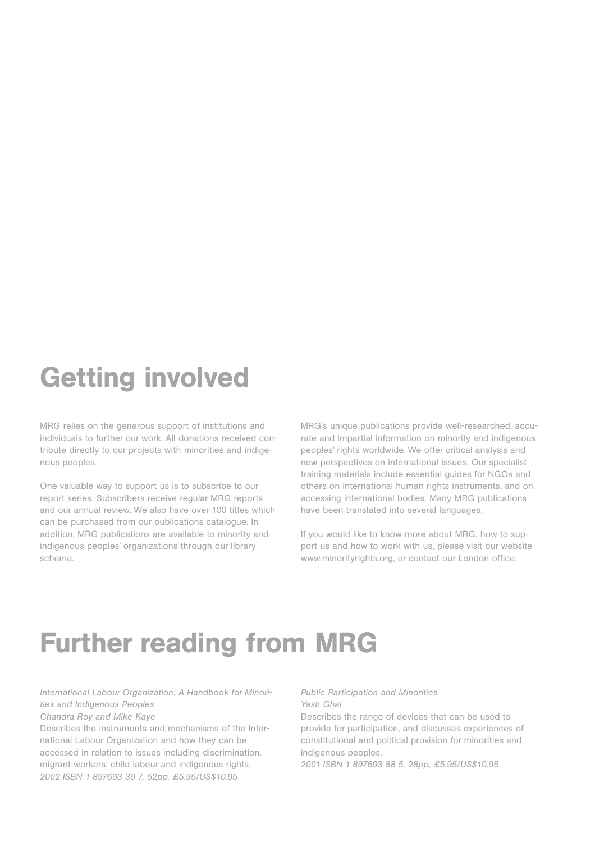# Getting involved

MRG relies on the generous support of institutions and individuals to further our work. All donations received contribute directly to our projects with minorities and indigenous peoples.

One valuable way to support us is to subscribe to our report series. Subscribers receive regular MRG reports and our annual review. We also have over 100 titles which can be purchased from our publications catalogue. In addition, MRG publications are available to minority and indigenous peoples' organizations through our library scheme.

MRG's unique publications provide well-researched, accurate and impartial information on minority and indigenous peoples' rights worldwide. We offer critical analysis and new perspectives on international issues. Our specialist training materials include essential guides for NGOs and others on international human rights instruments, and on accessing international bodies. Many MRG publications have been translated into several languages.

If you would like to know more about MRG, how to support us and how to work with us, please visit our website www.minorityrights.org, or contact our London office.

# Further reading from MRG

*International Labour Organization: A Handbook for Minorities and Indigenous Peoples*

*Chandra Roy and Mike Kaye* 

Describes the instruments and mechanisms of the International Labour Organization and how they can be accessed in relation to issues including discrimination, migrant workers, child labour and indigenous rights. *2002 ISBN 1 897693 39 7, 52pp, £5.95/US\$10.95* 

*Public Participation and Minorities Yash Ghai* 

Describes the range of devices that can be used to provide for participation, and discusses experiences of constitutional and political provision for minorities and indigenous peoples.

*2001 ISBN 1 897693 88 5, 28pp, £5.95/US\$10.95*